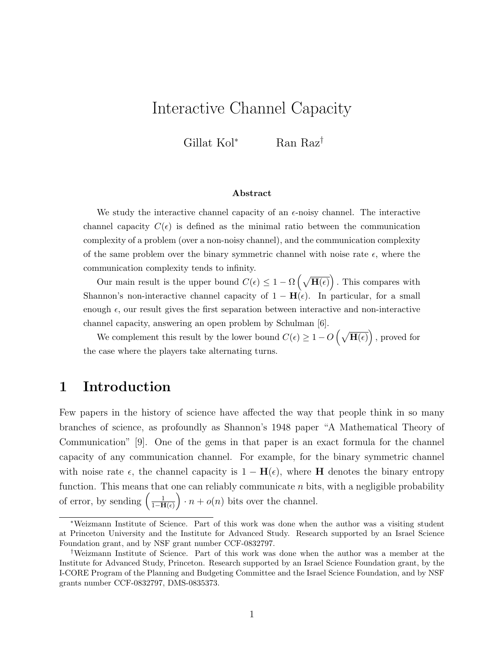# Interactive Channel Capacity

Gillat Kol<sup>∗</sup> Ran Raz†

#### Abstract

We study the interactive channel capacity of an  $\epsilon$ -noisy channel. The interactive channel capacity  $C(\epsilon)$  is defined as the minimal ratio between the communication complexity of a problem (over a non-noisy channel), and the communication complexity of the same problem over the binary symmetric channel with noise rate  $\epsilon$ , where the communication complexity tends to infinity.

Our main result is the upper bound  $C(\epsilon) \leq 1 - \Omega\left(\sqrt{\mathbf{H}(\epsilon)}\right)$ . This compares with Shannon's non-interactive channel capacity of  $1 - H(\epsilon)$ . In particular, for a small enough  $\epsilon$ , our result gives the first separation between interactive and non-interactive channel capacity, answering an open problem by Schulman [6].

We complement this result by the lower bound  $C(\epsilon) \geq 1 - O\left(\sqrt{\mathbf{H}(\epsilon)}\right)$ , proved for the case where the players take alternating turns.

# 1 Introduction

Few papers in the history of science have affected the way that people think in so many branches of science, as profoundly as Shannon's 1948 paper "A Mathematical Theory of Communication" [9]. One of the gems in that paper is an exact formula for the channel capacity of any communication channel. For example, for the binary symmetric channel with noise rate  $\epsilon$ , the channel capacity is  $1 - \mathbf{H}(\epsilon)$ , where **H** denotes the binary entropy function. This means that one can reliably communicate  $n$  bits, with a negligible probability of error, by sending  $\left(\frac{1}{1-H}\right)$  $\frac{1}{1-\mathbf{H}(\epsilon)}$   $\cdot$  n +  $o(n)$  bits over the channel.

<sup>∗</sup>Weizmann Institute of Science. Part of this work was done when the author was a visiting student at Princeton University and the Institute for Advanced Study. Research supported by an Israel Science Foundation grant, and by NSF grant number CCF-0832797.

<sup>†</sup>Weizmann Institute of Science. Part of this work was done when the author was a member at the Institute for Advanced Study, Princeton. Research supported by an Israel Science Foundation grant, by the I-CORE Program of the Planning and Budgeting Committee and the Israel Science Foundation, and by NSF grants number CCF-0832797, DMS-0835373.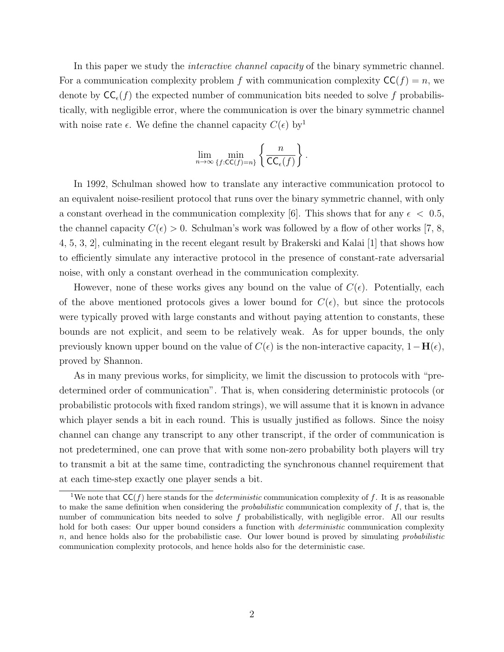In this paper we study the *interactive channel capacity* of the binary symmetric channel. For a communication complexity problem f with communication complexity  $CC(f) = n$ , we denote by  $\mathsf{CC}_{\epsilon}(f)$  the expected number of communication bits needed to solve f probabilistically, with negligible error, where the communication is over the binary symmetric channel with noise rate  $\epsilon$ . We define the channel capacity  $C(\epsilon)$  by<sup>1</sup>

$$
\lim_{n\to\infty}\min_{\{f:\mathsf{CC}(f)=n\}}\left\{\frac{n}{\mathsf{CC}_{\epsilon}(f)}\right\}.
$$

In 1992, Schulman showed how to translate any interactive communication protocol to an equivalent noise-resilient protocol that runs over the binary symmetric channel, with only a constant overhead in the communication complexity [6]. This shows that for any  $\epsilon$  < 0.5, the channel capacity  $C(\epsilon) > 0$ . Schulman's work was followed by a flow of other works [7, 8, 4, 5, 3, 2], culminating in the recent elegant result by Brakerski and Kalai [1] that shows how to efficiently simulate any interactive protocol in the presence of constant-rate adversarial noise, with only a constant overhead in the communication complexity.

However, none of these works gives any bound on the value of  $C(\epsilon)$ . Potentially, each of the above mentioned protocols gives a lower bound for  $C(\epsilon)$ , but since the protocols were typically proved with large constants and without paying attention to constants, these bounds are not explicit, and seem to be relatively weak. As for upper bounds, the only previously known upper bound on the value of  $C(\epsilon)$  is the non-interactive capacity,  $1-\mathbf{H}(\epsilon)$ , proved by Shannon.

As in many previous works, for simplicity, we limit the discussion to protocols with "predetermined order of communication". That is, when considering deterministic protocols (or probabilistic protocols with fixed random strings), we will assume that it is known in advance which player sends a bit in each round. This is usually justified as follows. Since the noisy channel can change any transcript to any other transcript, if the order of communication is not predetermined, one can prove that with some non-zero probability both players will try to transmit a bit at the same time, contradicting the synchronous channel requirement that at each time-step exactly one player sends a bit.

<sup>&</sup>lt;sup>1</sup>We note that  $CC(f)$  here stands for the *deterministic* communication complexity of f. It is as reasonable to make the same definition when considering the *probabilistic* communication complexity of  $f$ , that is, the number of communication bits needed to solve f probabilistically, with negligible error. All our results hold for both cases: Our upper bound considers a function with *deterministic* communication complexity  $n$ , and hence holds also for the probabilistic case. Our lower bound is proved by simulating *probabilistic* communication complexity protocols, and hence holds also for the deterministic case.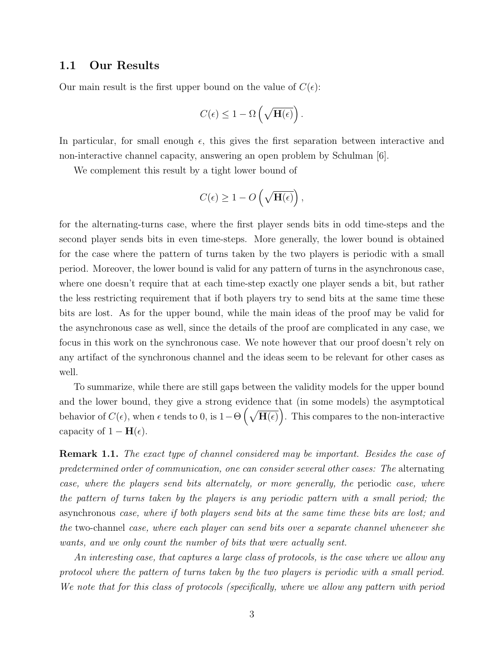### 1.1 Our Results

Our main result is the first upper bound on the value of  $C(\epsilon)$ :

$$
C(\epsilon) \leq 1 - \Omega\left(\sqrt{\mathbf{H}(\epsilon)}\right).
$$

In particular, for small enough  $\epsilon$ , this gives the first separation between interactive and non-interactive channel capacity, answering an open problem by Schulman [6].

We complement this result by a tight lower bound of

$$
C(\epsilon) \geq 1 - O\left(\sqrt{\mathbf{H}(\epsilon)}\right),\,
$$

for the alternating-turns case, where the first player sends bits in odd time-steps and the second player sends bits in even time-steps. More generally, the lower bound is obtained for the case where the pattern of turns taken by the two players is periodic with a small period. Moreover, the lower bound is valid for any pattern of turns in the asynchronous case, where one doesn't require that at each time-step exactly one player sends a bit, but rather the less restricting requirement that if both players try to send bits at the same time these bits are lost. As for the upper bound, while the main ideas of the proof may be valid for the asynchronous case as well, since the details of the proof are complicated in any case, we focus in this work on the synchronous case. We note however that our proof doesn't rely on any artifact of the synchronous channel and the ideas seem to be relevant for other cases as well.

To summarize, while there are still gaps between the validity models for the upper bound and the lower bound, they give a strong evidence that (in some models) the asymptotical behavior of  $C(\epsilon)$ , when  $\epsilon$  tends to 0, is  $1-\Theta\left(\sqrt{\mathbf{H}(\epsilon)}\right)$ . This compares to the non-interactive capacity of  $1 - \mathbf{H}(\epsilon)$ .

**Remark 1.1.** The exact type of channel considered may be important. Besides the case of predetermined order of communication, one can consider several other cases: The alternating case, where the players send bits alternately, or more generally, the periodic case, where the pattern of turns taken by the players is any periodic pattern with a small period; the asynchronous case, where if both players send bits at the same time these bits are lost; and the two-channel case, where each player can send bits over a separate channel whenever she wants, and we only count the number of bits that were actually sent.

An interesting case, that captures a large class of protocols, is the case where we allow any protocol where the pattern of turns taken by the two players is periodic with a small period. We note that for this class of protocols (specifically, where we allow any pattern with period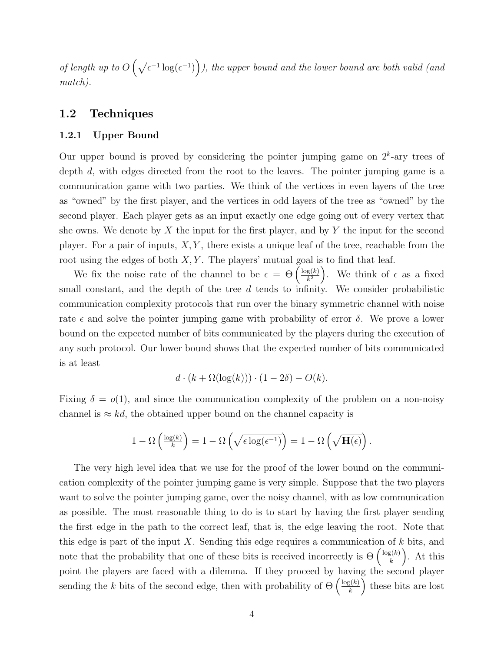of length up to  $O\left(\sqrt{\epsilon^{-1}\log(\epsilon^{-1})}\right)$ ), the upper bound and the lower bound are both valid (and match).

## 1.2 Techniques

### 1.2.1 Upper Bound

Our upper bound is proved by considering the pointer jumping game on  $2<sup>k</sup>$ -ary trees of depth d, with edges directed from the root to the leaves. The pointer jumping game is a communication game with two parties. We think of the vertices in even layers of the tree as "owned" by the first player, and the vertices in odd layers of the tree as "owned" by the second player. Each player gets as an input exactly one edge going out of every vertex that she owns. We denote by X the input for the first player, and by Y the input for the second player. For a pair of inputs,  $X, Y$ , there exists a unique leaf of the tree, reachable from the root using the edges of both  $X, Y$ . The players' mutual goal is to find that leaf.

We fix the noise rate of the channel to be  $\epsilon = \Theta\left(\frac{\log(k)}{k^2}\right)$  $\frac{g(k)}{k^2}$ . We think of  $\epsilon$  as a fixed small constant, and the depth of the tree d tends to infinity. We consider probabilistic communication complexity protocols that run over the binary symmetric channel with noise rate  $\epsilon$  and solve the pointer jumping game with probability of error  $\delta$ . We prove a lower bound on the expected number of bits communicated by the players during the execution of any such protocol. Our lower bound shows that the expected number of bits communicated is at least

$$
d \cdot (k + \Omega(\log(k))) \cdot (1 - 2\delta) - O(k).
$$

Fixing  $\delta = o(1)$ , and since the communication complexity of the problem on a non-noisy channel is  $\approx kd$ , the obtained upper bound on the channel capacity is

$$
1 - \Omega\left(\frac{\log(k)}{k}\right) = 1 - \Omega\left(\sqrt{\epsilon \log(\epsilon^{-1})}\right) = 1 - \Omega\left(\sqrt{\mathbf{H}(\epsilon)}\right).
$$

The very high level idea that we use for the proof of the lower bound on the communication complexity of the pointer jumping game is very simple. Suppose that the two players want to solve the pointer jumping game, over the noisy channel, with as low communication as possible. The most reasonable thing to do is to start by having the first player sending the first edge in the path to the correct leaf, that is, the edge leaving the root. Note that this edge is part of the input X. Sending this edge requires a communication of  $k$  bits, and note that the probability that one of these bits is received incorrectly is  $\Theta\left(\frac{\log(k)}{k}\right)$  $\binom{g(k)}{k}$ . At this point the players are faced with a dilemma. If they proceed by having the second player sending the k bits of the second edge, then with probability of  $\Theta\left(\frac{\log(k)}{k}\right)$  $\left(\frac{g(k)}{k}\right)$  these bits are lost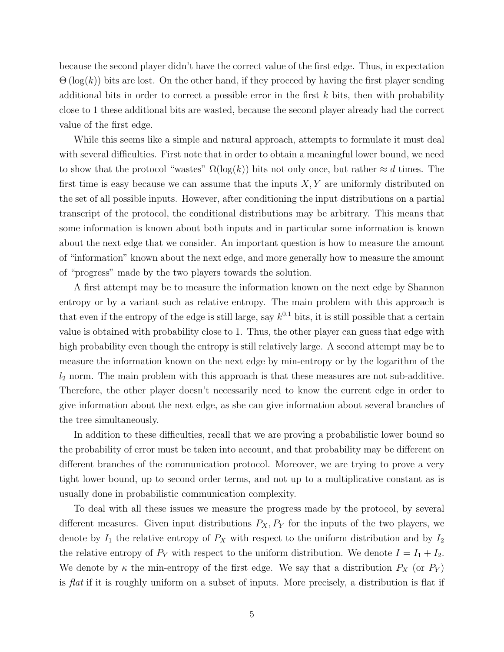because the second player didn't have the correct value of the first edge. Thus, in expectation  $\Theta(\log(k))$  bits are lost. On the other hand, if they proceed by having the first player sending additional bits in order to correct a possible error in the first  $k$  bits, then with probability close to 1 these additional bits are wasted, because the second player already had the correct value of the first edge.

While this seems like a simple and natural approach, attempts to formulate it must deal with several difficulties. First note that in order to obtain a meaningful lower bound, we need to show that the protocol "wastes"  $\Omega(\log(k))$  bits not only once, but rather  $\approx d$  times. The first time is easy because we can assume that the inputs  $X, Y$  are uniformly distributed on the set of all possible inputs. However, after conditioning the input distributions on a partial transcript of the protocol, the conditional distributions may be arbitrary. This means that some information is known about both inputs and in particular some information is known about the next edge that we consider. An important question is how to measure the amount of "information" known about the next edge, and more generally how to measure the amount of "progress" made by the two players towards the solution.

A first attempt may be to measure the information known on the next edge by Shannon entropy or by a variant such as relative entropy. The main problem with this approach is that even if the entropy of the edge is still large, say  $k^{0.1}$  bits, it is still possible that a certain value is obtained with probability close to 1. Thus, the other player can guess that edge with high probability even though the entropy is still relatively large. A second attempt may be to measure the information known on the next edge by min-entropy or by the logarithm of the  $l_2$  norm. The main problem with this approach is that these measures are not sub-additive. Therefore, the other player doesn't necessarily need to know the current edge in order to give information about the next edge, as she can give information about several branches of the tree simultaneously.

In addition to these difficulties, recall that we are proving a probabilistic lower bound so the probability of error must be taken into account, and that probability may be different on different branches of the communication protocol. Moreover, we are trying to prove a very tight lower bound, up to second order terms, and not up to a multiplicative constant as is usually done in probabilistic communication complexity.

To deal with all these issues we measure the progress made by the protocol, by several different measures. Given input distributions  $P_X, P_Y$  for the inputs of the two players, we denote by  $I_1$  the relative entropy of  $P_X$  with respect to the uniform distribution and by  $I_2$ the relative entropy of  $P_Y$  with respect to the uniform distribution. We denote  $I = I_1 + I_2$ . We denote by  $\kappa$  the min-entropy of the first edge. We say that a distribution  $P_X$  (or  $P_Y$ ) is flat if it is roughly uniform on a subset of inputs. More precisely, a distribution is flat if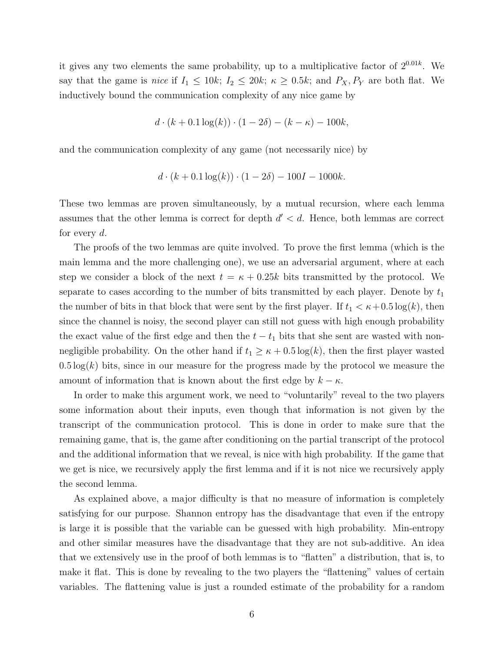it gives any two elements the same probability, up to a multiplicative factor of  $2^{0.01k}$ . We say that the game is nice if  $I_1 \le 10k$ ;  $I_2 \le 20k$ ;  $\kappa \ge 0.5k$ ; and  $P_X, P_Y$  are both flat. We inductively bound the communication complexity of any nice game by

$$
d \cdot (k + 0.1 \log(k)) \cdot (1 - 2\delta) - (k - \kappa) - 100k,
$$

and the communication complexity of any game (not necessarily nice) by

$$
d \cdot (k + 0.1 \log(k)) \cdot (1 - 2\delta) - 100I - 1000k.
$$

These two lemmas are proven simultaneously, by a mutual recursion, where each lemma assumes that the other lemma is correct for depth  $d' < d$ . Hence, both lemmas are correct for every  $d$ .

The proofs of the two lemmas are quite involved. To prove the first lemma (which is the main lemma and the more challenging one), we use an adversarial argument, where at each step we consider a block of the next  $t = \kappa + 0.25k$  bits transmitted by the protocol. We separate to cases according to the number of bits transmitted by each player. Denote by  $t_1$ the number of bits in that block that were sent by the first player. If  $t_1 < \kappa + 0.5 \log(k)$ , then since the channel is noisy, the second player can still not guess with high enough probability the exact value of the first edge and then the  $t - t_1$  bits that she sent are wasted with nonnegligible probability. On the other hand if  $t_1 \geq \kappa + 0.5 \log(k)$ , then the first player wasted  $0.5 \log(k)$  bits, since in our measure for the progress made by the protocol we measure the amount of information that is known about the first edge by  $k - \kappa$ .

In order to make this argument work, we need to "voluntarily" reveal to the two players some information about their inputs, even though that information is not given by the transcript of the communication protocol. This is done in order to make sure that the remaining game, that is, the game after conditioning on the partial transcript of the protocol and the additional information that we reveal, is nice with high probability. If the game that we get is nice, we recursively apply the first lemma and if it is not nice we recursively apply the second lemma.

As explained above, a major difficulty is that no measure of information is completely satisfying for our purpose. Shannon entropy has the disadvantage that even if the entropy is large it is possible that the variable can be guessed with high probability. Min-entropy and other similar measures have the disadvantage that they are not sub-additive. An idea that we extensively use in the proof of both lemmas is to "flatten" a distribution, that is, to make it flat. This is done by revealing to the two players the "flattening" values of certain variables. The flattening value is just a rounded estimate of the probability for a random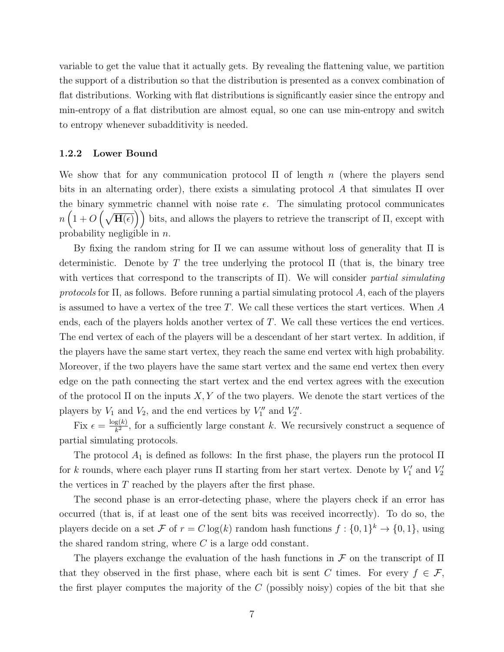variable to get the value that it actually gets. By revealing the flattening value, we partition the support of a distribution so that the distribution is presented as a convex combination of flat distributions. Working with flat distributions is significantly easier since the entropy and min-entropy of a flat distribution are almost equal, so one can use min-entropy and switch to entropy whenever subadditivity is needed.

#### 1.2.2 Lower Bound

We show that for any communication protocol  $\Pi$  of length n (where the players send bits in an alternating order), there exists a simulating protocol A that simulates  $\Pi$  over the binary symmetric channel with noise rate  $\epsilon$ . The simulating protocol communicates  $n\left(1+O\left(\sqrt{\mathbf{H}(\epsilon)}\right)\right)$  bits, and allows the players to retrieve the transcript of  $\Pi$ , except with probability negligible in n.

By fixing the random string for Π we can assume without loss of generality that Π is deterministic. Denote by T the tree underlying the protocol  $\Pi$  (that is, the binary tree with vertices that correspond to the transcripts of  $\Pi$ ). We will consider partial simulating protocols for  $\Pi$ , as follows. Before running a partial simulating protocol A, each of the players is assumed to have a vertex of the tree T. We call these vertices the start vertices. When A ends, each of the players holds another vertex of T. We call these vertices the end vertices. The end vertex of each of the players will be a descendant of her start vertex. In addition, if the players have the same start vertex, they reach the same end vertex with high probability. Moreover, if the two players have the same start vertex and the same end vertex then every edge on the path connecting the start vertex and the end vertex agrees with the execution of the protocol  $\Pi$  on the inputs  $X, Y$  of the two players. We denote the start vertices of the players by  $V_1$  and  $V_2$ , and the end vertices by  $V''_1$  and  $V''_2$ .

Fix  $\epsilon = \frac{\log(k)}{k^2}$  $\frac{g(k)}{k^2}$ , for a sufficiently large constant k. We recursively construct a sequence of partial simulating protocols.

The protocol  $A_1$  is defined as follows: In the first phase, the players run the protocol  $\Pi$ for k rounds, where each player runs  $\Pi$  starting from her start vertex. Denote by  $V'_1$  and  $V'_2$ the vertices in  $T$  reached by the players after the first phase.

The second phase is an error-detecting phase, where the players check if an error has occurred (that is, if at least one of the sent bits was received incorrectly). To do so, the players decide on a set F of  $r = C \log(k)$  random hash functions  $f: \{0,1\}^k \to \{0,1\}$ , using the shared random string, where  $C$  is a large odd constant.

The players exchange the evaluation of the hash functions in  $\mathcal F$  on the transcript of  $\Pi$ that they observed in the first phase, where each bit is sent C times. For every  $f \in \mathcal{F}$ , the first player computes the majority of the  $C$  (possibly noisy) copies of the bit that she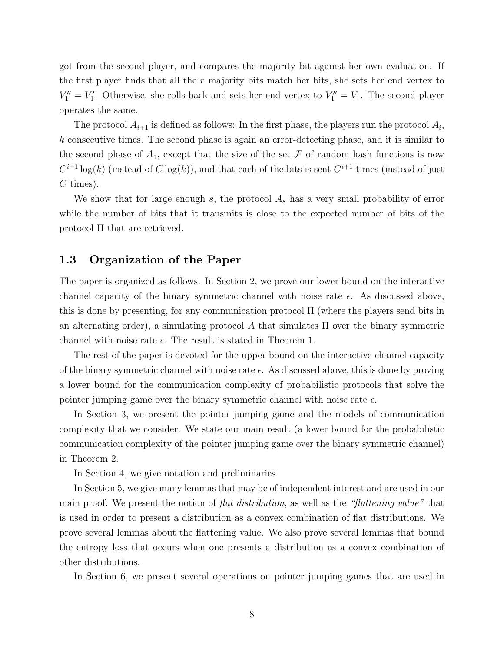got from the second player, and compares the majority bit against her own evaluation. If the first player finds that all the r majority bits match her bits, she sets her end vertex to  $V''_1 = V'_1$ . Otherwise, she rolls-back and sets her end vertex to  $V''_1 = V_1$ . The second player operates the same.

The protocol  $A_{i+1}$  is defined as follows: In the first phase, the players run the protocol  $A_i$ , k consecutive times. The second phase is again an error-detecting phase, and it is similar to the second phase of  $A_1$ , except that the size of the set F of random hash functions is now  $C^{i+1}\log(k)$  (instead of  $C\log(k)$ ), and that each of the bits is sent  $C^{i+1}$  times (instead of just  $C$  times).

We show that for large enough s, the protocol  $A_s$  has a very small probability of error while the number of bits that it transmits is close to the expected number of bits of the protocol Π that are retrieved.

### 1.3 Organization of the Paper

The paper is organized as follows. In Section 2, we prove our lower bound on the interactive channel capacity of the binary symmetric channel with noise rate  $\epsilon$ . As discussed above, this is done by presenting, for any communication protocol  $\Pi$  (where the players send bits in an alternating order), a simulating protocol A that simulates  $\Pi$  over the binary symmetric channel with noise rate  $\epsilon$ . The result is stated in Theorem 1.

The rest of the paper is devoted for the upper bound on the interactive channel capacity of the binary symmetric channel with noise rate  $\epsilon$ . As discussed above, this is done by proving a lower bound for the communication complexity of probabilistic protocols that solve the pointer jumping game over the binary symmetric channel with noise rate  $\epsilon$ .

In Section 3, we present the pointer jumping game and the models of communication complexity that we consider. We state our main result (a lower bound for the probabilistic communication complexity of the pointer jumping game over the binary symmetric channel) in Theorem 2.

In Section 4, we give notation and preliminaries.

In Section 5, we give many lemmas that may be of independent interest and are used in our main proof. We present the notion of *flat distribution*, as well as the "*flattening value*" that is used in order to present a distribution as a convex combination of flat distributions. We prove several lemmas about the flattening value. We also prove several lemmas that bound the entropy loss that occurs when one presents a distribution as a convex combination of other distributions.

In Section 6, we present several operations on pointer jumping games that are used in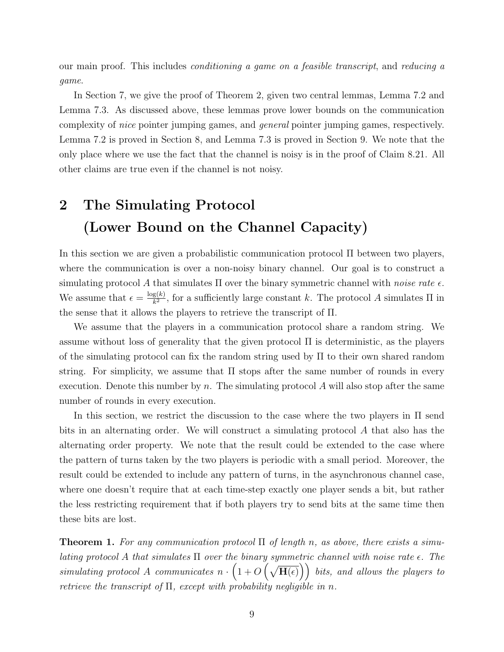our main proof. This includes conditioning a game on a feasible transcript, and reducing a game.

In Section 7, we give the proof of Theorem 2, given two central lemmas, Lemma 7.2 and Lemma 7.3. As discussed above, these lemmas prove lower bounds on the communication complexity of nice pointer jumping games, and general pointer jumping games, respectively. Lemma 7.2 is proved in Section 8, and Lemma 7.3 is proved in Section 9. We note that the only place where we use the fact that the channel is noisy is in the proof of Claim 8.21. All other claims are true even if the channel is not noisy.

# 2 The Simulating Protocol (Lower Bound on the Channel Capacity)

In this section we are given a probabilistic communication protocol Π between two players, where the communication is over a non-noisy binary channel. Our goal is to construct a simulating protocol A that simulates  $\Pi$  over the binary symmetric channel with noise rate  $\epsilon$ . We assume that  $\epsilon = \frac{\log(k)}{k^2}$  $\frac{g(k)}{k^2}$ , for a sufficiently large constant k. The protocol A simulates  $\Pi$  in the sense that it allows the players to retrieve the transcript of Π.

We assume that the players in a communication protocol share a random string. We assume without loss of generality that the given protocol Π is deterministic, as the players of the simulating protocol can fix the random string used by Π to their own shared random string. For simplicity, we assume that  $\Pi$  stops after the same number of rounds in every execution. Denote this number by n. The simulating protocol  $A$  will also stop after the same number of rounds in every execution.

In this section, we restrict the discussion to the case where the two players in Π send bits in an alternating order. We will construct a simulating protocol A that also has the alternating order property. We note that the result could be extended to the case where the pattern of turns taken by the two players is periodic with a small period. Moreover, the result could be extended to include any pattern of turns, in the asynchronous channel case, where one doesn't require that at each time-step exactly one player sends a bit, but rather the less restricting requirement that if both players try to send bits at the same time then these bits are lost.

**Theorem 1.** For any communication protocol  $\Pi$  of length n, as above, there exists a simulating protocol A that simulates  $\Pi$  over the binary symmetric channel with noise rate  $\epsilon$ . The simulating protocol A communicates  $n \cdot (1 + O(\sqrt{\mathbf{H}(\epsilon)}))$  bits, and allows the players to retrieve the transcript of  $\Pi$ , except with probability negligible in n.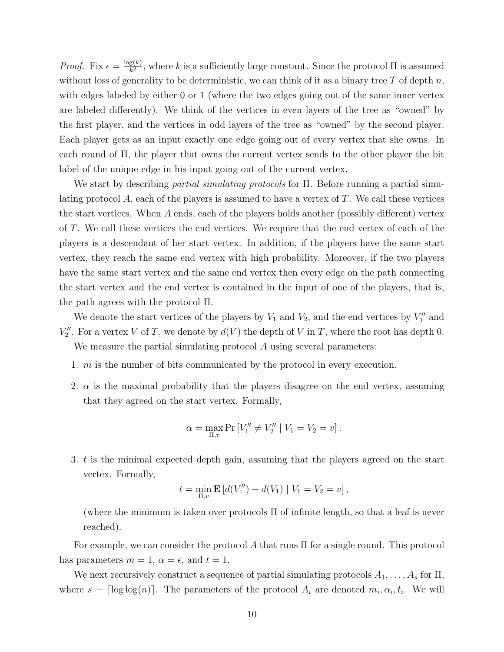*Proof.* Fix  $\epsilon = \frac{\log(k)}{k^2}$  $\frac{g(k)}{k^2}$ , where k is a sufficiently large constant. Since the protocol  $\Pi$  is assumed without loss of generality to be deterministic, we can think of it as a binary tree  $T$  of depth  $n$ , with edges labeled by either 0 or 1 (where the two edges going out of the same inner vertex are labeled differently). We think of the vertices in even layers of the tree as "owned" by the first player, and the vertices in odd layers of the tree as "owned" by the second player. Each player gets as an input exactly one edge going out of every vertex that she owns. In each round of  $\Pi$ , the player that owns the current vertex sends to the other player the bit label of the unique edge in his input going out of the current vertex.

We start by describing partial simulating protocols for Π. Before running a partial simulating protocol  $A$ , each of the players is assumed to have a vertex of  $T$ . We call these vertices the start vertices. When  $A$  ends, each of the players holds another (possibly different) vertex of T. We call these vertices the end vertices. We require that the end vertex of each of the players is a descendant of her start vertex. In addition, if the players have the same start vertex, they reach the same end vertex with high probability. Moreover, if the two players have the same start vertex and the same end vertex then every edge on the path connecting the start vertex and the end vertex is contained in the input of one of the players, that is, the path agrees with the protocol Π.

We denote the start vertices of the players by  $V_1$  and  $V_2$ , and the end vertices by  $V''_1$  and  $V''_2$ . For a vertex V of T, we denote by  $d(V)$  the depth of V in T, where the root has depth 0.

We measure the partial simulating protocol A using several parameters:

- 1. m is the number of bits communicated by the protocol in every execution.
- 2.  $\alpha$  is the maximal probability that the players disagree on the end vertex, assuming that they agreed on the start vertex. Formally,

$$
\alpha = \max_{\Pi, v} \Pr\left[V_1'' \neq V_2'' \mid V_1 = V_2 = v\right].
$$

3. t is the minimal expected depth gain, assuming that the players agreed on the start vertex. Formally,

$$
t = \min_{\Pi, v} \mathbf{E} \left[ d(V_1'') - d(V_1) \mid V_1 = V_2 = v \right],
$$

(where the minimum is taken over protocols  $\Pi$  of infinite length, so that a leaf is never reached).

For example, we can consider the protocol A that runs  $\Pi$  for a single round. This protocol has parameters  $m = 1$ ,  $\alpha = \epsilon$ , and  $t = 1$ .

We next recursively construct a sequence of partial simulating protocols  $A_1, \ldots, A_s$  for  $\Pi$ , where  $s = \lceil \log \log(n) \rceil$ . The parameters of the protocol  $A_i$  are denoted  $m_i, \alpha_i, t_i$ . We will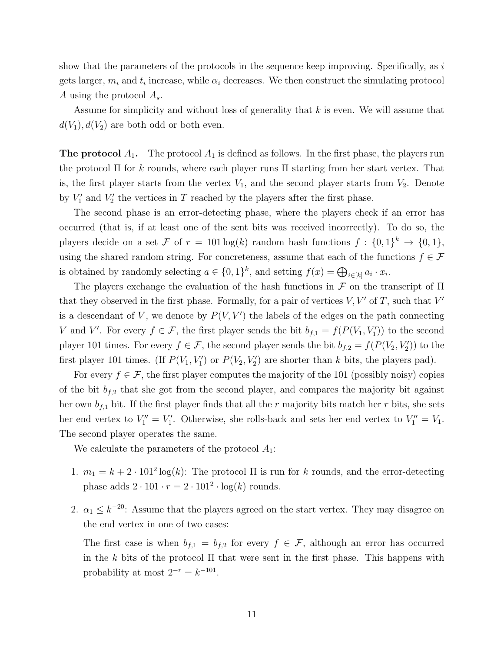show that the parameters of the protocols in the sequence keep improving. Specifically, as  $i$ gets larger,  $m_i$  and  $t_i$  increase, while  $\alpha_i$  decreases. We then construct the simulating protocol A using the protocol  $A_s$ .

Assume for simplicity and without loss of generality that  $k$  is even. We will assume that  $d(V_1), d(V_2)$  are both odd or both even.

**The protocol**  $A_1$ . The protocol  $A_1$  is defined as follows. In the first phase, the players run the protocol  $\Pi$  for k rounds, where each player runs  $\Pi$  starting from her start vertex. That is, the first player starts from the vertex  $V_1$ , and the second player starts from  $V_2$ . Denote by  $V'_1$  and  $V'_2$  the vertices in T reached by the players after the first phase.

The second phase is an error-detecting phase, where the players check if an error has occurred (that is, if at least one of the sent bits was received incorrectly). To do so, the players decide on a set F of  $r = 101 \log(k)$  random hash functions  $f: \{0,1\}^k \to \{0,1\}$ , using the shared random string. For concreteness, assume that each of the functions  $f \in \mathcal{F}$ is obtained by randomly selecting  $a \in \{0,1\}^k$ , and setting  $f(x) = \bigoplus_{i \in [k]} a_i \cdot x_i$ .

The players exchange the evaluation of the hash functions in  $\mathcal F$  on the transcript of  $\Pi$ that they observed in the first phase. Formally, for a pair of vertices  $V, V'$  of T, such that  $V'$ is a descendant of V, we denote by  $P(V, V')$  the labels of the edges on the path connecting V and V'. For every  $f \in \mathcal{F}$ , the first player sends the bit  $b_{f,1} = f(P(V_1, V'_1))$  to the second player 101 times. For every  $f \in \mathcal{F}$ , the second player sends the bit  $b_{f,2} = f(P(V_2, V'_2))$  to the first player 101 times. (If  $P(V_1, V'_1)$  or  $P(V_2, V'_2)$  are shorter than k bits, the players pad).

For every  $f \in \mathcal{F}$ , the first player computes the majority of the 101 (possibly noisy) copies of the bit  $b_{f,2}$  that she got from the second player, and compares the majority bit against her own  $b_{f,1}$  bit. If the first player finds that all the r majority bits match her r bits, she sets her end vertex to  $V_1'' = V_1'$ . Otherwise, she rolls-back and sets her end vertex to  $V_1'' = V_1$ . The second player operates the same.

We calculate the parameters of the protocol  $A_1$ :

- 1.  $m_1 = k + 2 \cdot 101^2 \log(k)$ : The protocol  $\Pi$  is run for k rounds, and the error-detecting phase adds  $2 \cdot 101 \cdot r = 2 \cdot 101^2 \cdot \log(k)$  rounds.
- 2.  $\alpha_1 \leq k^{-20}$ : Assume that the players agreed on the start vertex. They may disagree on the end vertex in one of two cases:

The first case is when  $b_{f,1} = b_{f,2}$  for every  $f \in \mathcal{F}$ , although an error has occurred in the k bits of the protocol  $\Pi$  that were sent in the first phase. This happens with probability at most  $2^{-r} = k^{-101}$ .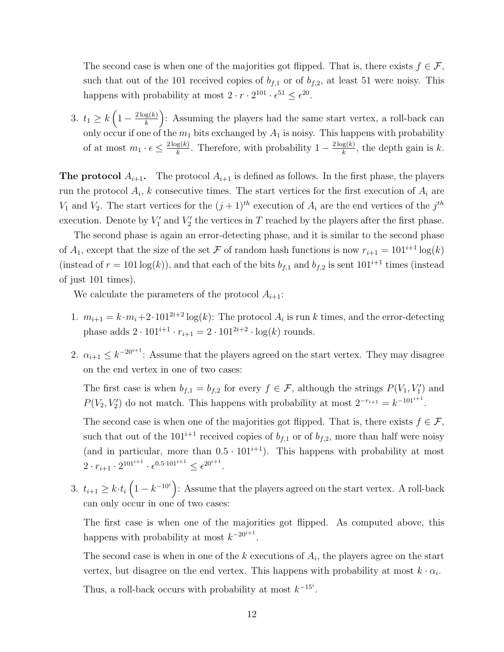The second case is when one of the majorities got flipped. That is, there exists  $f \in \mathcal{F}$ , such that out of the 101 received copies of  $b_{f,1}$  or of  $b_{f,2}$ , at least 51 were noisy. This happens with probability at most  $2 \cdot r \cdot 2^{101} \cdot \epsilon^{51} \leq \epsilon^{20}$ .

3.  $t_1 \geq k \left(1 - \frac{2 \log(k)}{k}\right)$  $\left(\frac{g(k)}{k}\right)$ : Assuming the players had the same start vertex, a roll-back can only occur if one of the  $m_1$  bits exchanged by  $A_1$  is noisy. This happens with probability of at most  $m_1 \cdot \epsilon \leq \frac{2 \log(k)}{k}$  $\frac{g(k)}{k}$ . Therefore, with probability  $1 - \frac{2 \log(k)}{k}$  $\frac{g(k)}{k}$ , the depth gain is k.

**The protocol**  $A_{i+1}$ . The protocol  $A_{i+1}$  is defined as follows. In the first phase, the players run the protocol  $A_i$ , k consecutive times. The start vertices for the first execution of  $A_i$  are  $V_1$  and  $V_2$ . The start vertices for the  $(j+1)^{th}$  execution of  $A_i$  are the end vertices of the  $j^{th}$ execution. Denote by  $V_1'$  and  $V_2'$  the vertices in T reached by the players after the first phase.

The second phase is again an error-detecting phase, and it is similar to the second phase of  $A_1$ , except that the size of the set F of random hash functions is now  $r_{i+1} = 101^{i+1} \log(k)$ (instead of  $r = 101 \log(k)$ ), and that each of the bits  $b_{f,1}$  and  $b_{f,2}$  is sent  $101^{i+1}$  times (instead of just 101 times).

We calculate the parameters of the protocol  $A_{i+1}$ :

- 1.  $m_{i+1} = k \cdot m_i + 2 \cdot 101^{2i+2} \log(k)$ : The protocol  $A_i$  is run k times, and the error-detecting phase adds  $2 \cdot 101^{i+1} \cdot r_{i+1} = 2 \cdot 101^{2i+2} \cdot \log(k)$  rounds.
- 2.  $\alpha_{i+1} \leq k^{-20^{i+1}}$ : Assume that the players agreed on the start vertex. They may disagree on the end vertex in one of two cases:

The first case is when  $b_{f,1} = b_{f,2}$  for every  $f \in \mathcal{F}$ , although the strings  $P(V_1, V'_1)$  and  $P(V_2, V_2')$  do not match. This happens with probability at most  $2^{-r_{i+1}} = k^{-101^{i+1}}$ .

The second case is when one of the majorities got flipped. That is, there exists  $f \in \mathcal{F}$ , such that out of the  $101^{i+1}$  received copies of  $b_{f,1}$  or of  $b_{f,2}$ , more than half were noisy (and in particular, more than  $0.5 \cdot 101^{i+1}$ ). This happens with probability at most  $2 \cdot r_{i+1} \cdot 2^{101^{i+1}} \cdot \epsilon^{0.5 \cdot 101^{i+1}} \leq \epsilon^{20^{i+1}}.$ 

3.  $t_{i+1} \geq k \cdot t_i \left(1 - k^{-10^i}\right)$ : Assume that the players agreed on the start vertex. A roll-back can only occur in one of two cases:

The first case is when one of the majorities got flipped. As computed above, this happens with probability at most  $k^{-20^{i+1}}$ .

The second case is when in one of the  $k$  executions of  $A_i$ , the players agree on the start vertex, but disagree on the end vertex. This happens with probability at most  $k \cdot \alpha_i$ .

Thus, a roll-back occurs with probability at most  $k^{-15^i}$ .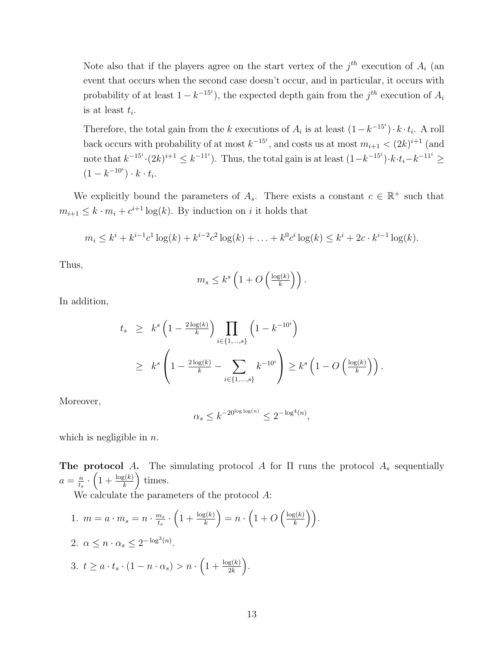Note also that if the players agree on the start vertex of the  $j<sup>th</sup>$  execution of  $A_i$  (and event that occurs when the second case doesn't occur, and in particular, it occurs with probability of at least  $1 - k^{-15^i}$ , the expected depth gain from the  $j^{th}$  execution of  $A_i$ is at least  $t_i$ .

Therefore, the total gain from the k executions of  $A_i$  is at least  $(1 - k^{-15^i}) \cdot k \cdot t_i$ . A roll back occurs with probability of at most  $k^{-15^i}$ , and costs us at most  $m_{i+1} < (2k)^{i+1}$  (and note that  $k^{-15^i} \cdot (2k)^{i+1} \leq k^{-11^i}$ ). Thus, the total gain is at least  $(1 - k^{-15^i}) \cdot k \cdot t_i - k^{-11^i} \geq$  $(1 - k^{-10^{i}}) \cdot k \cdot t_{i}.$ 

We explicitly bound the parameters of  $A_s$ . There exists a constant  $c \in \mathbb{R}^+$  such that  $m_{i+1} \leq k \cdot m_i + c^{i+1} \log(k)$ . By induction on *i* it holds that

$$
m_i \le k^i + k^{i-1}c^1 \log(k) + k^{i-2}c^2 \log(k) + \ldots + k^0 c^i \log(k) \le k^i + 2c \cdot k^{i-1} \log(k).
$$

Thus,

$$
m_s \leq k^s \left( 1 + O\left(\frac{\log(k)}{k}\right) \right).
$$

In addition,

$$
t_s \geq k^s \left(1 - \frac{2 \log(k)}{k}\right) \prod_{i \in \{1, \dots, s\}} \left(1 - k^{-10^i}\right)
$$
  
 
$$
\geq k^s \left(1 - \frac{2 \log(k)}{k} - \sum_{i \in \{1, \dots, s\}} k^{-10^i}\right) \geq k^s \left(1 - O\left(\frac{\log(k)}{k}\right)\right).
$$

Moreover,

$$
\alpha_s \leq k^{-20^{\log\log(n)}} \leq 2^{-\log^4(n)},
$$

which is negligible in  $n$ .

The protocol A. The simulating protocol A for  $\Pi$  runs the protocol  $A_s$  sequentially  $a=\frac{n}{t}$  $\frac{n}{t_s} \cdot \left(1 + \frac{\log(k)}{k}\right)$  times.

We calculate the parameters of the protocol A:

1.  $m = a \cdot m_s = n \cdot \frac{m_s}{t_s}$  $\frac{n_s}{t_s} \cdot \left( 1 + \frac{\log(k)}{k} \right) = n \cdot \left( 1 + O\left( \frac{\log(k)}{k} \right) \right)$  $\left(\frac{g(k)}{k}\right)\bigg).$ 2.  $\alpha \leq n \cdot \alpha_s \leq 2^{-\log^3(n)}$ . 3.  $t \geq a \cdot t_s \cdot (1 - n \cdot \alpha_s) > n \cdot \left(1 + \frac{\log(k)}{2k}\right).$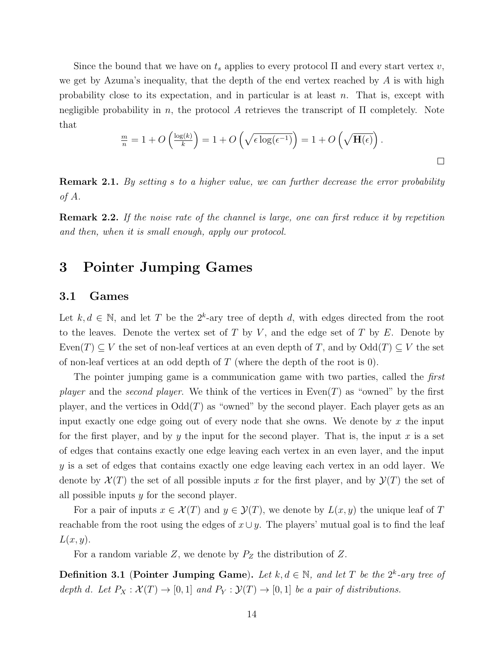Since the bound that we have on  $t_s$  applies to every protocol  $\Pi$  and every start vertex  $v$ , we get by Azuma's inequality, that the depth of the end vertex reached by  $A$  is with high probability close to its expectation, and in particular is at least n. That is, except with negligible probability in n, the protocol A retrieves the transcript of  $\Pi$  completely. Note that

$$
\frac{m}{n} = 1 + O\left(\frac{\log(k)}{k}\right) = 1 + O\left(\sqrt{\epsilon \log(\epsilon^{-1})}\right) = 1 + O\left(\sqrt{\mathbf{H}(\epsilon)}\right).
$$

**Remark 2.1.** By setting s to a higher value, we can further decrease the error probability of A.

Remark 2.2. If the noise rate of the channel is large, one can first reduce it by repetition and then, when it is small enough, apply our protocol.

# 3 Pointer Jumping Games

### 3.1 Games

Let  $k, d \in \mathbb{N}$ , and let T be the  $2^k$ -ary tree of depth d, with edges directed from the root to the leaves. Denote the vertex set of  $T$  by  $V$ , and the edge set of  $T$  by  $E$ . Denote by Even(T)  $\subseteq V$  the set of non-leaf vertices at an even depth of T, and by  $\text{Odd}(T) \subseteq V$  the set of non-leaf vertices at an odd depth of  $T$  (where the depth of the root is 0).

The pointer jumping game is a communication game with two parties, called the *first player* and the *second player*. We think of the vertices in  $Even(T)$  as "owned" by the first player, and the vertices in  $Odd(T)$  as "owned" by the second player. Each player gets as an input exactly one edge going out of every node that she owns. We denote by  $x$  the input for the first player, and by y the input for the second player. That is, the input x is a set of edges that contains exactly one edge leaving each vertex in an even layer, and the input y is a set of edges that contains exactly one edge leaving each vertex in an odd layer. We denote by  $\mathcal{X}(T)$  the set of all possible inputs x for the first player, and by  $\mathcal{Y}(T)$  the set of all possible inputs  $y$  for the second player.

For a pair of inputs  $x \in \mathcal{X}(T)$  and  $y \in \mathcal{Y}(T)$ , we denote by  $L(x, y)$  the unique leaf of T reachable from the root using the edges of  $x \cup y$ . The players' mutual goal is to find the leaf  $L(x, y)$ .

For a random variable Z, we denote by  $P_Z$  the distribution of Z.

**Definition 3.1 (Pointer Jumping Game).** Let  $k, d \in \mathbb{N}$ , and let T be the  $2^k$ -ary tree of depth d. Let  $P_X : \mathcal{X}(T) \to [0,1]$  and  $P_Y : \mathcal{Y}(T) \to [0,1]$  be a pair of distributions.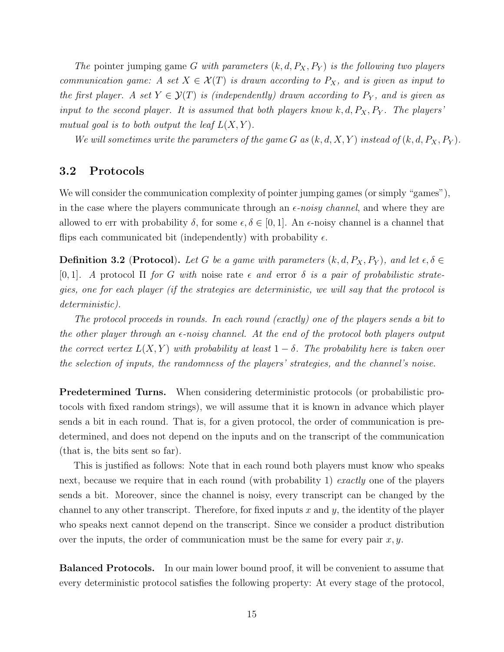The pointer jumping game G with parameters  $(k, d, P_X, P_Y)$  is the following two players communication game: A set  $X \in \mathcal{X}(T)$  is drawn according to  $P_X$ , and is given as input to the first player. A set  $Y \in \mathcal{Y}(T)$  is (independently) drawn according to  $P_Y$ , and is given as input to the second player. It is assumed that both players know  $k, d, P_X, P_Y$ . The players' mutual goal is to both output the leaf  $L(X, Y)$ .

We will sometimes write the parameters of the game G as  $(k, d, X, Y)$  instead of  $(k, d, P_X, P_Y)$ .

### 3.2 Protocols

We will consider the communication complexity of pointer jumping games (or simply "games"), in the case where the players communicate through an  $\epsilon$ -noisy channel, and where they are allowed to err with probability  $\delta$ , for some  $\epsilon, \delta \in [0, 1]$ . An  $\epsilon$ -noisy channel is a channel that flips each communicated bit (independently) with probability  $\epsilon$ .

**Definition 3.2** (Protocol). Let G be a game with parameters  $(k, d, P_X, P_Y)$ , and let  $\epsilon, \delta \in$ [0, 1]. A protocol  $\Pi$  for G with noise rate  $\epsilon$  and error  $\delta$  is a pair of probabilistic strategies, one for each player (if the strategies are deterministic, we will say that the protocol is deterministic).

The protocol proceeds in rounds. In each round (exactly) one of the players sends a bit to the other player through an  $\epsilon$ -noisy channel. At the end of the protocol both players output the correct vertex  $L(X, Y)$  with probability at least  $1 - \delta$ . The probability here is taken over the selection of inputs, the randomness of the players' strategies, and the channel's noise.

Predetermined Turns. When considering deterministic protocols (or probabilistic protocols with fixed random strings), we will assume that it is known in advance which player sends a bit in each round. That is, for a given protocol, the order of communication is predetermined, and does not depend on the inputs and on the transcript of the communication (that is, the bits sent so far).

This is justified as follows: Note that in each round both players must know who speaks next, because we require that in each round (with probability 1) exactly one of the players sends a bit. Moreover, since the channel is noisy, every transcript can be changed by the channel to any other transcript. Therefore, for fixed inputs x and y, the identity of the player who speaks next cannot depend on the transcript. Since we consider a product distribution over the inputs, the order of communication must be the same for every pair  $x, y$ .

Balanced Protocols. In our main lower bound proof, it will be convenient to assume that every deterministic protocol satisfies the following property: At every stage of the protocol,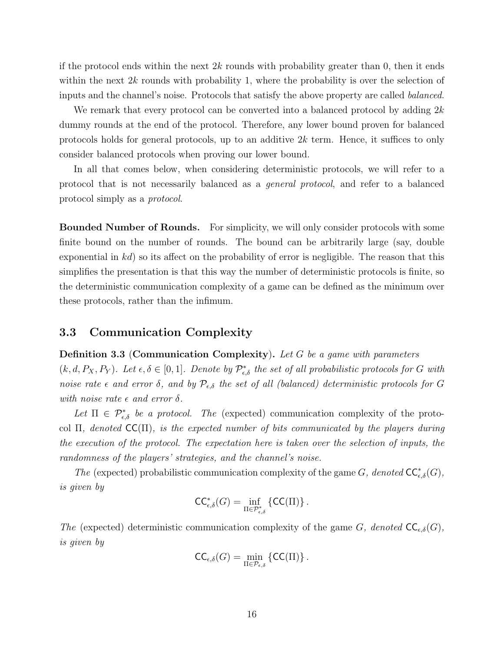if the protocol ends within the next  $2k$  rounds with probability greater than 0, then it ends within the next  $2k$  rounds with probability 1, where the probability is over the selection of inputs and the channel's noise. Protocols that satisfy the above property are called balanced.

We remark that every protocol can be converted into a balanced protocol by adding  $2k$ dummy rounds at the end of the protocol. Therefore, any lower bound proven for balanced protocols holds for general protocols, up to an additive  $2k$  term. Hence, it suffices to only consider balanced protocols when proving our lower bound.

In all that comes below, when considering deterministic protocols, we will refer to a protocol that is not necessarily balanced as a general protocol, and refer to a balanced protocol simply as a protocol.

Bounded Number of Rounds. For simplicity, we will only consider protocols with some finite bound on the number of rounds. The bound can be arbitrarily large (say, double exponential in  $kd$ ) so its affect on the probability of error is negligible. The reason that this simplifies the presentation is that this way the number of deterministic protocols is finite, so the deterministic communication complexity of a game can be defined as the minimum over these protocols, rather than the infimum.

### 3.3 Communication Complexity

#### **Definition 3.3 (Communication Complexity).** Let G be a game with parameters

 $(k, d, P_X, P_Y)$ . Let  $\epsilon, \delta \in [0, 1]$ . Denote by  $\mathcal{P}_{\epsilon, \delta}^*$  the set of all probabilistic protocols for G with noise rate  $\epsilon$  and error  $\delta$ , and by  $\mathcal{P}_{\epsilon,\delta}$  the set of all (balanced) deterministic protocols for G with noise rate  $\epsilon$  and error  $\delta$ .

Let  $\Pi \in \mathcal{P}^*_{\epsilon,\delta}$  be a protocol. The (expected) communication complexity of the protocol  $\Pi$ , denoted  $\mathsf{CC}(\Pi)$ , is the expected number of bits communicated by the players during the execution of the protocol. The expectation here is taken over the selection of inputs, the randomness of the players' strategies, and the channel's noise.

The (expected) probabilistic communication complexity of the game G, denoted  $\mathsf{CC}^*_{\epsilon,\delta}(G)$ , is given by

$$
\mathsf{CC}^*_{\epsilon,\delta}(G)=\inf_{\Pi\in\mathcal{P}^*_{\epsilon,\delta}}\left\{\mathsf{CC}(\Pi)\right\}.
$$

The (expected) deterministic communication complexity of the game G, denoted  $\mathsf{CC}_{\epsilon,\delta}(G)$ , is given by

$$
\mathsf{CC}_{\epsilon,\delta}(G) = \min_{\Pi \in \mathcal{P}_{\epsilon,\delta}} \left\{ \mathsf{CC}(\Pi) \right\}.
$$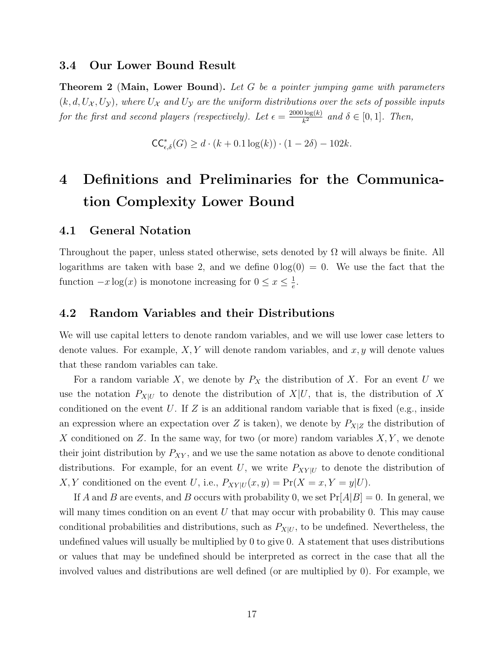### 3.4 Our Lower Bound Result

**Theorem 2 (Main, Lower Bound).** Let G be a pointer jumping game with parameters  $(k, d, U_X, U_Y)$ , where  $U_X$  and  $U_Y$  are the uniform distributions over the sets of possible inputs for the first and second players (respectively). Let  $\epsilon = \frac{2000 \log(k)}{k^2}$  $\frac{\log(k)}{k^2}$  and  $\delta \in [0,1]$ . Then,

 $\mathsf{CC}^*_{\epsilon, \delta}(G) \geq d \cdot (k + 0.1 \log(k)) \cdot (1 - 2\delta) - 102k.$ 

# 4 Definitions and Preliminaries for the Communication Complexity Lower Bound

### 4.1 General Notation

Throughout the paper, unless stated otherwise, sets denoted by  $\Omega$  will always be finite. All logarithms are taken with base 2, and we define  $0 \log(0) = 0$ . We use the fact that the function  $-x \log(x)$  is monotone increasing for  $0 \le x \le \frac{1}{e}$  $\frac{1}{e}$ .

### 4.2 Random Variables and their Distributions

We will use capital letters to denote random variables, and we will use lower case letters to denote values. For example,  $X, Y$  will denote random variables, and  $x, y$  will denote values that these random variables can take.

For a random variable X, we denote by  $P_X$  the distribution of X. For an event U we use the notation  $P_{X|U}$  to denote the distribution of  $X|U$ , that is, the distribution of X conditioned on the event  $U$ . If  $Z$  is an additional random variable that is fixed (e.g., inside an expression where an expectation over Z is taken), we denote by  $P_{X|Z}$  the distribution of X conditioned on Z. In the same way, for two (or more) random variables  $X, Y$ , we denote their joint distribution by  $P_{XY}$ , and we use the same notation as above to denote conditional distributions. For example, for an event U, we write  $P_{XY|U}$  to denote the distribution of X, Y conditioned on the event U, i.e.,  $P_{XY|U}(x,y) = \Pr(X = x, Y = y|U)$ .

If A and B are events, and B occurs with probability 0, we set  $Pr[A|B] = 0$ . In general, we will many times condition on an event  $U$  that may occur with probability 0. This may cause conditional probabilities and distributions, such as  $P_{X|U}$ , to be undefined. Nevertheless, the undefined values will usually be multiplied by 0 to give 0. A statement that uses distributions or values that may be undefined should be interpreted as correct in the case that all the involved values and distributions are well defined (or are multiplied by 0). For example, we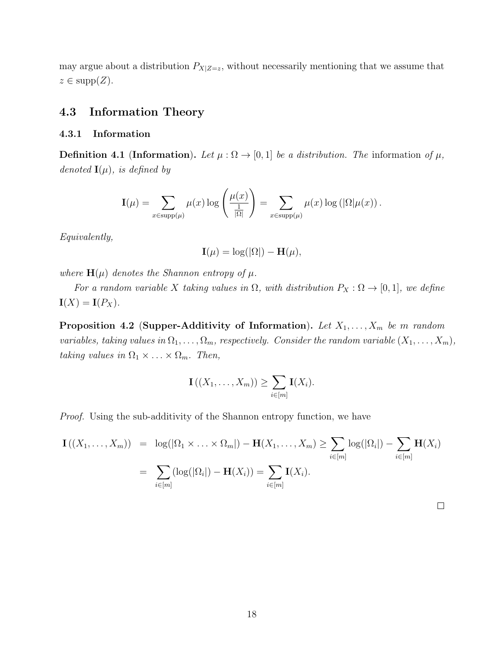may argue about a distribution  $P_{X|Z=z}$ , without necessarily mentioning that we assume that  $z \in \text{supp}(Z)$ .

## 4.3 Information Theory

### 4.3.1 Information

**Definition 4.1 (Information).** Let  $\mu : \Omega \to [0,1]$  be a distribution. The information of  $\mu$ , denoted  $\mathbf{I}(\mu)$ , is defined by

$$
\mathbf{I}(\mu) = \sum_{x \in \text{supp}(\mu)} \mu(x) \log \left( \frac{\mu(x)}{\frac{1}{|\Omega|}} \right) = \sum_{x \in \text{supp}(\mu)} \mu(x) \log \left( |\Omega| \mu(x) \right).
$$

Equivalently,

$$
\mathbf{I}(\mu) = \log(|\Omega|) - \mathbf{H}(\mu),
$$

where  $H(\mu)$  denotes the Shannon entropy of  $\mu$ .

For a random variable X taking values in  $\Omega$ , with distribution  $P_X : \Omega \to [0,1]$ , we define  $\mathbf{I}(X) = \mathbf{I}(P_X).$ 

Proposition 4.2 (Supper-Additivity of Information). Let  $X_1, \ldots, X_m$  be m random variables, taking values in  $\Omega_1, \ldots, \Omega_m$ , respectively. Consider the random variable  $(X_1, \ldots, X_m)$ , taking values in  $\Omega_1 \times \ldots \times \Omega_m$ . Then,

$$
\mathbf{I}((X_1,\ldots,X_m))\geq \sum_{i\in [m]}\mathbf{I}(X_i).
$$

Proof. Using the sub-additivity of the Shannon entropy function, we have

$$
\mathbf{I}((X_1,\ldots,X_m)) = \log(|\Omega_1 \times \ldots \times \Omega_m|) - \mathbf{H}(X_1,\ldots,X_m) \ge \sum_{i \in [m]} \log(|\Omega_i|) - \sum_{i \in [m]} \mathbf{H}(X_i)
$$

$$
= \sum_{i \in [m]} (\log(|\Omega_i|) - \mathbf{H}(X_i)) = \sum_{i \in [m]} \mathbf{I}(X_i).
$$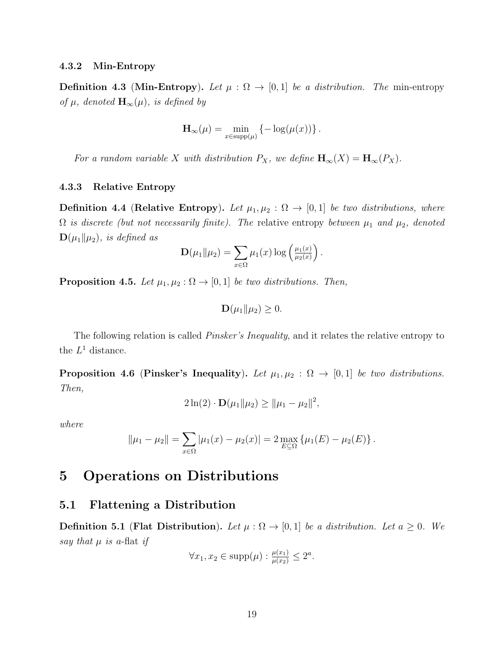#### 4.3.2 Min-Entropy

**Definition 4.3 (Min-Entropy).** Let  $\mu : \Omega \to [0,1]$  be a distribution. The min-entropy of  $\mu$ , denoted  $\mathbf{H}_{\infty}(\mu)$ , is defined by

$$
\mathbf{H}_{\infty}(\mu) = \min_{x \in \text{supp}(\mu)} \left\{-\log(\mu(x))\right\}.
$$

For a random variable X with distribution  $P_X$ , we define  $H_{\infty}(X) = H_{\infty}(P_X)$ .

#### 4.3.3 Relative Entropy

**Definition 4.4 (Relative Entropy).** Let  $\mu_1, \mu_2 : \Omega \to [0,1]$  be two distributions, where  $\Omega$  is discrete (but not necessarily finite). The relative entropy between  $\mu_1$  and  $\mu_2$ , denoted  $\mathbf{D}(\mu_1||\mu_2)$ , is defined as

$$
\mathbf{D}(\mu_1\|\mu_2) = \sum_{x \in \Omega} \mu_1(x) \log \left(\frac{\mu_1(x)}{\mu_2(x)}\right).
$$

**Proposition 4.5.** Let  $\mu_1, \mu_2 : \Omega \to [0, 1]$  be two distributions. Then,

$$
\mathbf{D}(\mu_1\|\mu_2)\geq 0.
$$

The following relation is called *Pinsker's Inequality*, and it relates the relative entropy to the  $L^1$  distance.

**Proposition 4.6 (Pinsker's Inequality).** Let  $\mu_1, \mu_2 : \Omega \to [0,1]$  be two distributions. Then,

$$
2\ln(2) \cdot \mathbf{D}(\mu_1 \|\mu_2) \ge \|\mu_1 - \mu_2\|^2,
$$

where

$$
\|\mu_1 - \mu_2\| = \sum_{x \in \Omega} |\mu_1(x) - \mu_2(x)| = 2 \max_{E \subseteq \Omega} {\{\mu_1(E) - \mu_2(E)\}}.
$$

# 5 Operations on Distributions

## 5.1 Flattening a Distribution

**Definition 5.1 (Flat Distribution).** Let  $\mu : \Omega \to [0,1]$  be a distribution. Let  $a \geq 0$ . We say that  $\mu$  is a-flat if

$$
\forall x_1, x_2 \in \text{supp}(\mu) : \frac{\mu(x_1)}{\mu(x_2)} \le 2^a.
$$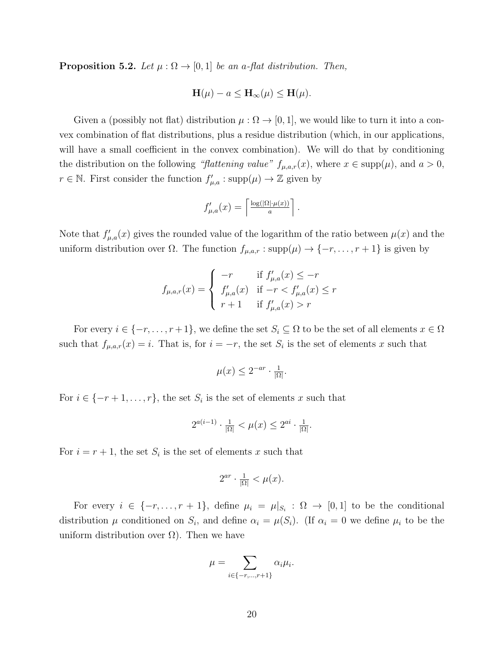**Proposition 5.2.** Let  $\mu : \Omega \to [0,1]$  be an a-flat distribution. Then,

$$
\mathbf{H}(\mu) - a \le \mathbf{H}_{\infty}(\mu) \le \mathbf{H}(\mu).
$$

Given a (possibly not flat) distribution  $\mu : \Omega \to [0,1]$ , we would like to turn it into a convex combination of flat distributions, plus a residue distribution (which, in our applications, will have a small coefficient in the convex combination). We will do that by conditioning the distribution on the following "flattening value"  $f_{\mu,a,r}(x)$ , where  $x \in \text{supp}(\mu)$ , and  $a > 0$ ,  $r \in \mathbb{N}$ . First consider the function  $f'_{\mu,a} : \text{supp}(\mu) \to \mathbb{Z}$  given by

$$
f'_{\mu,a}(x) = \left\lceil \frac{\log(|\Omega| \cdot \mu(x))}{a} \right\rceil.
$$

Note that  $f'_{\mu,a}(x)$  gives the rounded value of the logarithm of the ratio between  $\mu(x)$  and the uniform distribution over  $\Omega$ . The function  $f_{\mu,a,r}$ : supp $(\mu) \to \{-r, \ldots, r+1\}$  is given by

$$
f_{\mu,a,r}(x) = \begin{cases} -r & \text{if } f'_{\mu,a}(x) \leq -r \\ f'_{\mu,a}(x) & \text{if } -r < f'_{\mu,a}(x) \leq r \\ r+1 & \text{if } f'_{\mu,a}(x) > r \end{cases}
$$

For every  $i \in \{-r, \ldots, r+1\}$ , we define the set  $S_i \subseteq \Omega$  to be the set of all elements  $x \in \Omega$ such that  $f_{\mu,a,r}(x) = i$ . That is, for  $i = -r$ , the set  $S_i$  is the set of elements x such that

$$
\mu(x) \le 2^{-ar} \cdot \frac{1}{|\Omega|}.
$$

For  $i \in \{-r+1,\ldots,r\}$ , the set  $S_i$  is the set of elements x such that

$$
2^{a(i-1)} \cdot \frac{1}{|\Omega|} < \mu(x) \le 2^{ai} \cdot \frac{1}{|\Omega|}.
$$

For  $i = r + 1$ , the set  $S_i$  is the set of elements x such that

$$
2^{ar} \cdot \frac{1}{|\Omega|} < \mu(x).
$$

For every  $i \in \{-r, \ldots, r+1\}$ , define  $\mu_i = \mu|_{S_i} : \Omega \to [0,1]$  to be the conditional distribution  $\mu$  conditioned on  $S_i$ , and define  $\alpha_i = \mu(S_i)$ . (If  $\alpha_i = 0$  we define  $\mu_i$  to be the uniform distribution over  $\Omega$ ). Then we have

$$
\mu = \sum_{i \in \{-r, \dots, r+1\}} \alpha_i \mu_i.
$$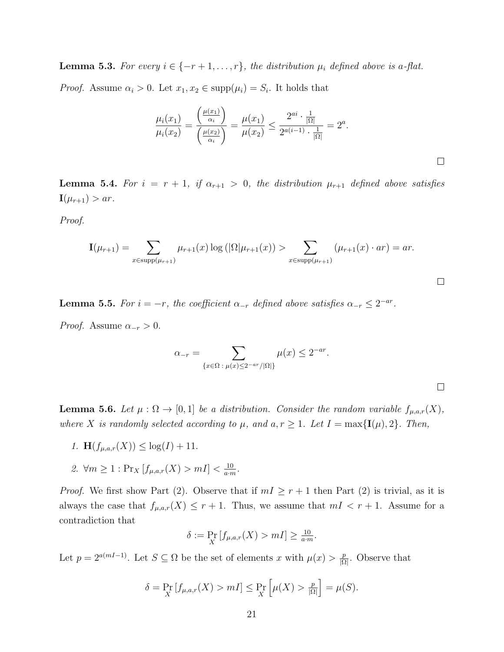**Lemma 5.3.** For every  $i \in \{-r+1,\ldots,r\}$ , the distribution  $\mu_i$  defined above is a-flat.

*Proof.* Assume  $\alpha_i > 0$ . Let  $x_1, x_2 \in \text{supp}(\mu_i) = S_i$ . It holds that

$$
\frac{\mu_i(x_1)}{\mu_i(x_2)} = \frac{\left(\frac{\mu(x_1)}{\alpha_i}\right)}{\left(\frac{\mu(x_2)}{\alpha_i}\right)} = \frac{\mu(x_1)}{\mu(x_2)} \le \frac{2^{ai} \cdot \frac{1}{|\Omega|}}{2^{a(i-1)} \cdot \frac{1}{|\Omega|}} = 2^a.
$$

 $\Box$ 

 $\Box$ 

**Lemma 5.4.** For  $i = r + 1$ , if  $\alpha_{r+1} > 0$ , the distribution  $\mu_{r+1}$  defined above satisfies  $\mathbf{I}(\mu_{r+1}) > ar.$ 

Proof.

$$
\mathbf{I}(\mu_{r+1}) = \sum_{x \in \text{supp}(\mu_{r+1})} \mu_{r+1}(x) \log(|\Omega|\mu_{r+1}(x)) > \sum_{x \in \text{supp}(\mu_{r+1})} (\mu_{r+1}(x) \cdot ar) = ar.
$$

**Lemma 5.5.** For  $i = -r$ , the coefficient  $\alpha_{-r}$  defined above satisfies  $\alpha_{-r} \leq 2^{-ar}$ .

*Proof.* Assume  $\alpha_{-r} > 0$ .

$$
\alpha_{-r} = \sum_{\{x \in \Omega \,:\, \mu(x) \le 2^{-ar}/|\Omega|\}} \mu(x) \le 2^{-ar}.
$$

**Lemma 5.6.** Let  $\mu : \Omega \to [0,1]$  be a distribution. Consider the random variable  $f_{\mu,a,r}(X)$ , where X is randomly selected according to  $\mu$ , and  $a, r \geq 1$ . Let  $I = \max\{\mathbf{I}(\mu), 2\}$ . Then,

- 1.  $\mathbf{H}(f_{\mu,a,r}(X)) \leq \log(I) + 11$ .
- 2.  $\forall m \geq 1 : \Pr_X [f_{\mu,a,r}(X) > m] < \frac{10}{a \cdot n}$  $\frac{10}{a \cdot m}$ .

*Proof.* We first show Part (2). Observe that if  $mI \ge r+1$  then Part (2) is trivial, as it is always the case that  $f_{\mu,a,r}(X) \leq r+1$ . Thus, we assume that  $mI \leq r+1$ . Assume for a contradiction that

$$
\delta := \Pr_X[f_{\mu,a,r}(X) > m] \ge \frac{10}{a \cdot m}.
$$

Let  $p = 2^{a(mI-1)}$ . Let  $S \subseteq \Omega$  be the set of elements x with  $\mu(x) > \frac{p}{\Omega}$  $\frac{p}{|\Omega|}$ . Observe that

$$
\delta = \Pr_X[f_{\mu,a,r}(X) > mI] \le \Pr_X\left[\mu(X) > \frac{p}{|\Omega|}\right] = \mu(S).
$$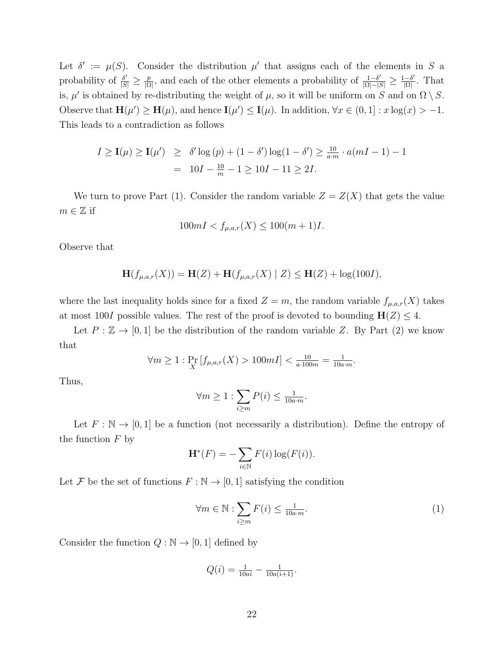Let  $\delta' := \mu(S)$ . Consider the distribution  $\mu'$  that assigns each of the elements in S a probability of  $\frac{\delta'}{|S|} \geq \frac{p}{|\Omega|}$  $\frac{p}{|\Omega|}$ , and each of the other elements a probability of  $\frac{1-\delta'}{|\Omega|-|S|} \geq \frac{1-\delta'}{|\Omega|}$  $\frac{-\delta'}{|\Omega|}$ . That is,  $\mu'$  is obtained by re-distributing the weight of  $\mu$ , so it will be uniform on S and on  $\Omega \setminus S$ . Observe that  $\mathbf{H}(\mu') \geq \mathbf{H}(\mu)$ , and hence  $\mathbf{I}(\mu') \leq \mathbf{I}(\mu)$ . In addition,  $\forall x \in (0,1]: x \log(x) > -1$ . This leads to a contradiction as follows

$$
I \ge \mathbf{I}(\mu) \ge \mathbf{I}(\mu') \ge \delta' \log (p) + (1 - \delta') \log (1 - \delta') \ge \frac{10}{a \cdot m} \cdot a(mI - 1) - 1
$$
  
= 10I -  $\frac{10}{m} - 1 \ge 10I - 11 \ge 2I$ .

We turn to prove Part (1). Consider the random variable  $Z = Z(X)$  that gets the value  $m \in \mathbb{Z}$  if

$$
100mI < f_{\mu,a,r}(X) \le 100(m+1)I.
$$

Observe that

$$
\mathbf{H}(f_{\mu,a,r}(X)) = \mathbf{H}(Z) + \mathbf{H}(f_{\mu,a,r}(X) | Z) \le \mathbf{H}(Z) + \log(100I),
$$

where the last inequality holds since for a fixed  $Z = m$ , the random variable  $f_{\mu,a,r}(X)$  takes at most 100I possible values. The rest of the proof is devoted to bounding  $H(Z) \leq 4$ .

Let  $P : \mathbb{Z} \to [0,1]$  be the distribution of the random variable Z. By Part (2) we know that

$$
\forall m \ge 1 : \Pr_X[f_{\mu,a,r}(X) > 100mI] < \frac{10}{a \cdot 100m} = \frac{1}{10a \cdot m}.
$$

Thus,

$$
\forall m \ge 1 : \sum_{i \ge m} P(i) \le \frac{1}{10a \cdot m}.
$$

Let  $F : \mathbb{N} \to [0,1]$  be a function (not necessarily a distribution). Define the entropy of the function  $F$  by

$$
\mathbf{H}^*(F) = -\sum_{i \in \mathbb{N}} F(i) \log(F(i)).
$$

Let F be the set of functions  $F : \mathbb{N} \to [0,1]$  satisfying the condition

$$
\forall m \in \mathbb{N}: \sum_{i \ge m} F(i) \le \frac{1}{10a \cdot m}.\tag{1}
$$

Consider the function  $Q : \mathbb{N} \to [0, 1]$  defined by

$$
Q(i) = \frac{1}{10ai} - \frac{1}{10a(i+1)}.
$$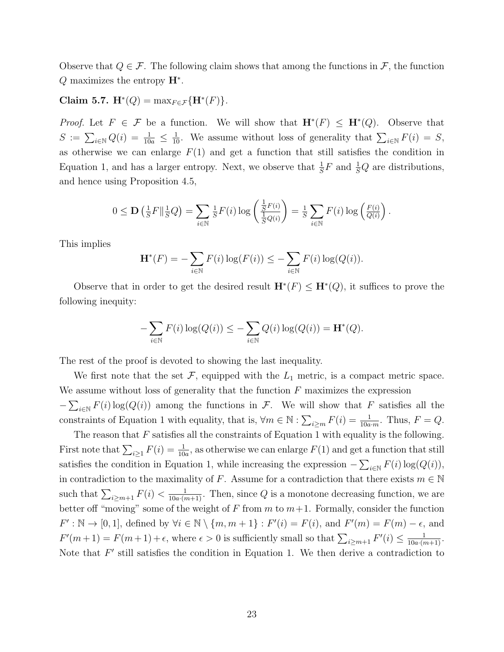Observe that  $Q \in \mathcal{F}$ . The following claim shows that among the functions in  $\mathcal{F}$ , the function  $Q$  maximizes the entropy  $\mathbf{H}^*$ .

Claim 5.7.  $\mathbf{H}^*(Q) = \max_{F \in \mathcal{F}} \{ \mathbf{H}^*(F) \}.$ 

*Proof.* Let  $F \in \mathcal{F}$  be a function. We will show that  $\mathbf{H}^*(F) \leq \mathbf{H}^*(Q)$ . Observe that  $S := \sum_{i \in \mathbb{N}} Q(i) = \frac{1}{10a} \leq \frac{1}{10}$ . We assume without loss of generality that  $\sum_{i \in \mathbb{N}} F(i) = S$ , as otherwise we can enlarge  $F(1)$  and get a function that still satisfies the condition in Equation 1, and has a larger entropy. Next, we observe that  $\frac{1}{S}F$  and  $\frac{1}{S}Q$  are distributions, and hence using Proposition 4.5,

$$
0 \leq \mathbf{D} \left( \frac{1}{S} F \Vert_{S}^{\frac{1}{2}} Q \right) = \sum_{i \in \mathbb{N}} \frac{1}{S} F(i) \log \left( \frac{\frac{1}{S} F(i)}{\frac{1}{S} Q(i)} \right) = \frac{1}{S} \sum_{i \in \mathbb{N}} F(i) \log \left( \frac{F(i)}{Q(i)} \right).
$$

This implies

$$
\mathbf{H}^*(F) = -\sum_{i \in \mathbb{N}} F(i) \log(F(i)) \leq -\sum_{i \in \mathbb{N}} F(i) \log(Q(i)).
$$

Observe that in order to get the desired result  $\mathbf{H}^*(F) \leq \mathbf{H}^*(Q)$ , it suffices to prove the following inequity:

$$
-\sum_{i\in\mathbb{N}} F(i)\log(Q(i)) \leq -\sum_{i\in\mathbb{N}} Q(i)\log(Q(i)) = \mathbf{H}^*(Q).
$$

The rest of the proof is devoted to showing the last inequality.

We first note that the set  $\mathcal{F}$ , equipped with the  $L_1$  metric, is a compact metric space. We assume without loss of generality that the function  $F$  maximizes the expression  $-\sum_{i\in\mathbb{N}} F(i) \log(Q(i))$  among the functions in F. We will show that F satisfies all the

constraints of Equation 1 with equality, that is,  $\forall m \in \mathbb{N} : \sum_{i \ge m} F(i) = \frac{1}{10a \cdot m}$ . Thus,  $F = Q$ .

The reason that  $F$  satisfies all the constraints of Equation 1 with equality is the following. First note that  $\sum_{i\geq 1} F(i) = \frac{1}{10a}$ , as otherwise we can enlarge  $F(1)$  and get a function that still satisfies the condition in Equation 1, while increasing the expression  $-\sum_{i\in\mathbb{N}} F(i) \log(Q(i))$ , in contradiction to the maximality of F. Assume for a contradiction that there exists  $m \in \mathbb{N}$ such that  $\sum_{i\geq m+1} F(i) < \frac{1}{10a\cdot(m+1)}$ . Then, since Q is a monotone decreasing function, we are better off "moving" some of the weight of F from  $m$  to  $m+1$ . Formally, consider the function  $F': \mathbb{N} \to [0,1],$  defined by  $\forall i \in \mathbb{N} \setminus \{m, m + 1\} : F'(i) = F(i)$ , and  $F'(m) = F(m) - \epsilon$ , and  $F'(m+1) = F(m+1) + \epsilon$ , where  $\epsilon > 0$  is sufficiently small so that  $\sum_{i \geq m+1} F'(i) \leq \frac{1}{10a \cdot (m+1)}$ . Note that  $F'$  still satisfies the condition in Equation 1. We then derive a contradiction to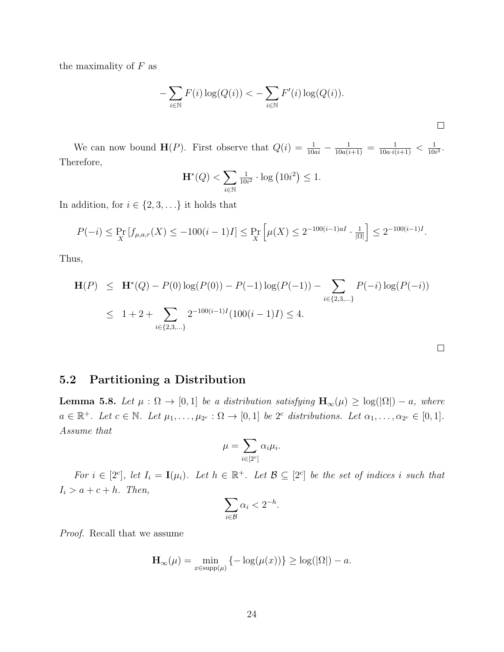the maximality of  $F$  as

$$
-\sum_{i\in\mathbb{N}} F(i)\log(Q(i)) < -\sum_{i\in\mathbb{N}} F'(i)\log(Q(i)).
$$

We can now bound  $\mathbf{H}(P)$ . First observe that  $Q(i) = \frac{1}{10ai} - \frac{1}{10a(i+1)} = \frac{1}{10a(i+1)} < \frac{1}{10i}$  $\frac{1}{10i^2}$ . Therefore,

$$
\mathbf{H}^*(Q) < \sum_{i \in \mathbb{N}} \frac{1}{10i^2} \cdot \log \left( 10i^2 \right) \le 1.
$$

In addition, for  $i \in \{2, 3, \ldots\}$  it holds that

$$
P(-i) \le \Pr_X[f_{\mu,a,r}(X) \le -100(i-1)I] \le \Pr_X\left[\mu(X) \le 2^{-100(i-1)aI} \cdot \frac{1}{|\Omega|}\right] \le 2^{-100(i-1)I}.
$$

Thus,

$$
\mathbf{H}(P) \leq \mathbf{H}^*(Q) - P(0) \log(P(0)) - P(-1) \log(P(-1)) - \sum_{i \in \{2, 3, \dots\}} P(-i) \log(P(-i))
$$
  

$$
\leq 1 + 2 + \sum_{i \in \{2, 3, \dots\}} 2^{-100(i-1)I} (100(i-1)I) \leq 4.
$$

 $\Box$ 

## 5.2 Partitioning a Distribution

**Lemma 5.8.** Let  $\mu : \Omega \to [0,1]$  be a distribution satisfying  $\mathbf{H}_{\infty}(\mu) \geq \log(|\Omega|) - a$ , where  $a \in \mathbb{R}^+$ . Let  $c \in \mathbb{N}$ . Let  $\mu_1, \ldots, \mu_{2^c} : \Omega \to [0,1]$  be  $2^c$  distributions. Let  $\alpha_1, \ldots, \alpha_{2^c} \in [0,1]$ . Assume that

$$
\mu = \sum_{i \in [2^c]} \alpha_i \mu_i.
$$

For  $i \in [2^c]$ , let  $I_i = \mathbf{I}(\mu_i)$ . Let  $h \in \mathbb{R}^+$ . Let  $\mathcal{B} \subseteq [2^c]$  be the set of indices i such that  $I_i > a + c + h$ . Then,

$$
\sum_{i \in \mathcal{B}} \alpha_i < 2^{-h}.
$$

Proof. Recall that we assume

$$
\mathbf{H}_{\infty}(\mu) = \min_{x \in \text{supp}(\mu)} \left\{-\log(\mu(x))\right\} \ge \log(|\Omega|) - a.
$$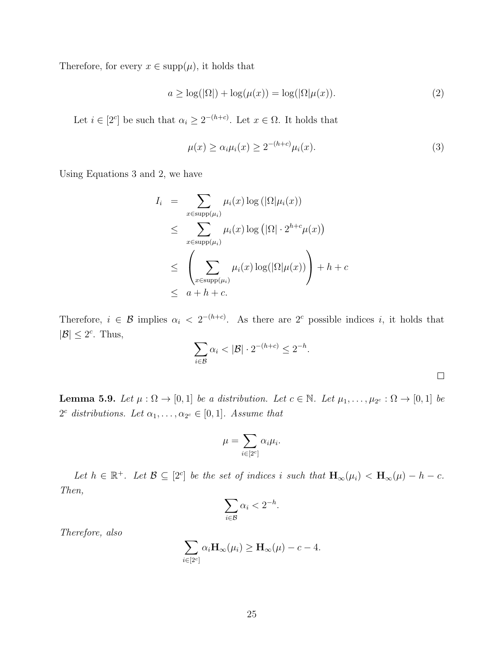Therefore, for every  $x \in \text{supp}(\mu)$ , it holds that

$$
a \ge \log(|\Omega|) + \log(\mu(x)) = \log(|\Omega|\mu(x)).\tag{2}
$$

Let  $i \in [2^c]$  be such that  $\alpha_i \geq 2^{-(h+c)}$ . Let  $x \in \Omega$ . It holds that

$$
\mu(x) \ge \alpha_i \mu_i(x) \ge 2^{-(h+c)} \mu_i(x). \tag{3}
$$

Using Equations 3 and 2, we have

$$
I_i = \sum_{x \in \text{supp}(\mu_i)} \mu_i(x) \log(|\Omega|\mu_i(x))
$$
  
\n
$$
\leq \sum_{x \in \text{supp}(\mu_i)} \mu_i(x) \log(|\Omega| \cdot 2^{h+c} \mu(x))
$$
  
\n
$$
\leq \left(\sum_{x \in \text{supp}(\mu_i)} \mu_i(x) \log(|\Omega|\mu(x))\right) + h + c
$$
  
\n
$$
\leq a + h + c.
$$

Therefore,  $i \in \mathcal{B}$  implies  $\alpha_i < 2^{-(h+c)}$ . As there are  $2^c$  possible indices i, it holds that  $|\mathcal{B}| \leq 2^c$ . Thus,

$$
\sum_{i \in \mathcal{B}} \alpha_i < |\mathcal{B}| \cdot 2^{-(h+c)} \leq 2^{-h}.
$$

**Lemma 5.9.** Let  $\mu : \Omega \to [0,1]$  be a distribution. Let  $c \in \mathbb{N}$ . Let  $\mu_1, \ldots, \mu_{2^c} : \Omega \to [0,1]$  be  $2^c$  distributions. Let  $\alpha_1, \ldots, \alpha_{2^c} \in [0,1]$ . Assume that

$$
\mu=\sum_{i\in[2^c]}\alpha_i\mu_i.
$$

Let  $h \in \mathbb{R}^+$ . Let  $\mathcal{B} \subseteq [2^c]$  be the set of indices i such that  $\mathbf{H}_{\infty}(\mu_i) < \mathbf{H}_{\infty}(\mu) - h - c$ . Then,

$$
\sum_{i\in\mathcal{B}}\alpha_i<2^{-h}.
$$

Therefore, also

$$
\sum_{i\in[2^c]}\alpha_i\mathbf{H}_{\infty}(\mu_i)\geq \mathbf{H}_{\infty}(\mu)-c-4.
$$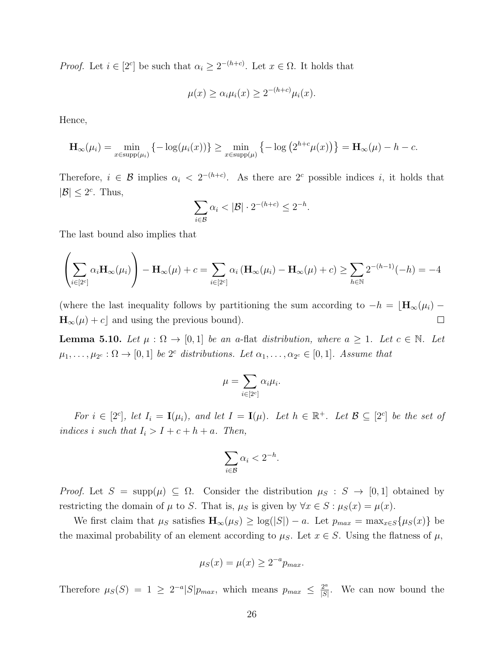*Proof.* Let  $i \in [2^c]$  be such that  $\alpha_i \geq 2^{-(h+c)}$ . Let  $x \in \Omega$ . It holds that

$$
\mu(x) \ge \alpha_i \mu_i(x) \ge 2^{-(h+c)} \mu_i(x).
$$

Hence,

$$
\mathbf{H}_{\infty}(\mu_i) = \min_{x \in \text{supp}(\mu_i)} \left\{-\log(\mu_i(x))\right\} \ge \min_{x \in \text{supp}(\mu)} \left\{-\log\left(2^{h+c}\mu(x)\right)\right\} = \mathbf{H}_{\infty}(\mu) - h - c.
$$

Therefore,  $i \in \mathcal{B}$  implies  $\alpha_i < 2^{-(h+c)}$ . As there are  $2^c$  possible indices i, it holds that  $|\mathcal{B}| \leq 2^c$ . Thus,

$$
\sum_{i\in\mathcal{B}}\alpha_i<|\mathcal{B}|\cdot 2^{-(h+c)}\leq 2^{-h}.
$$

The last bound also implies that

$$
\left(\sum_{i\in[2^c]}\alpha_i\mathbf{H}_{\infty}(\mu_i)\right)-\mathbf{H}_{\infty}(\mu)+c=\sum_{i\in[2^c]}\alpha_i\left(\mathbf{H}_{\infty}(\mu_i)-\mathbf{H}_{\infty}(\mu)+c\right)\geq\sum_{h\in\mathbb{N}}2^{-(h-1)}(-h)=-4
$$

(where the last inequality follows by partitioning the sum according to  $-h = \lfloor \mathbf{H}_{\infty}(\mu_i) - \mathbf{H}_{\infty}(\mu_i) \rfloor$  $\mathbf{H}_{\infty}(\mu) + c$  and using the previous bound).  $\Box$ 

**Lemma 5.10.** Let  $\mu : \Omega \to [0,1]$  be an a-flat distribution, where  $a \geq 1$ . Let  $c \in \mathbb{N}$ . Let  $\mu_1, \ldots, \mu_{2^c} : \Omega \to [0,1]$  be 2<sup>c</sup> distributions. Let  $\alpha_1, \ldots, \alpha_{2^c} \in [0,1]$ . Assume that

$$
\mu = \sum_{i \in [2^c]} \alpha_i \mu_i.
$$

For  $i \in [2^c]$ , let  $I_i = \mathbf{I}(\mu_i)$ , and let  $I = \mathbf{I}(\mu)$ . Let  $h \in \mathbb{R}^+$ . Let  $\mathcal{B} \subseteq [2^c]$  be the set of indices i such that  $I_i > I + c + h + a$ . Then,

$$
\sum_{i \in \mathcal{B}} \alpha_i < 2^{-h}.
$$

Proof. Let  $S = \text{supp}(\mu) \subseteq \Omega$ . Consider the distribution  $\mu_S : S \to [0,1]$  obtained by restricting the domain of  $\mu$  to S. That is,  $\mu_S$  is given by  $\forall x \in S : \mu_S(x) = \mu(x)$ .

We first claim that  $\mu_S$  satisfies  $\mathbf{H}_{\infty}(\mu_S) \geq \log(|S|) - a$ . Let  $p_{max} = \max_{x \in S} {\mu_S(x)}$  be the maximal probability of an element according to  $\mu_S$ . Let  $x \in S$ . Using the flatness of  $\mu$ ,

$$
\mu_S(x) = \mu(x) \ge 2^{-a} p_{max}.
$$

Therefore  $\mu_S(S) = 1 \geq 2^{-a} |S| p_{max}$ , which means  $p_{max} \leq \frac{2^a}{|S|}$  $\frac{2^a}{|S|}$ . We can now bound the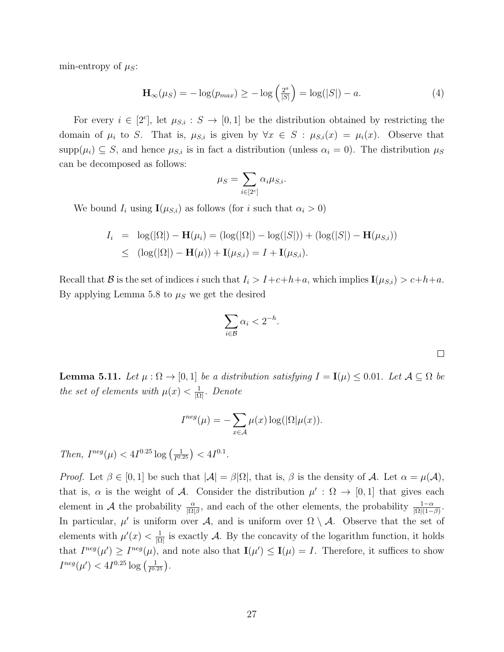min-entropy of  $\mu_S$ :

$$
\mathbf{H}_{\infty}(\mu_S) = -\log(p_{max}) \ge -\log\left(\frac{2^a}{|S|}\right) = \log(|S|) - a. \tag{4}
$$

For every  $i \in [2<sup>c</sup>]$ , let  $\mu_{S,i}: S \to [0,1]$  be the distribution obtained by restricting the domain of  $\mu_i$  to S. That is,  $\mu_{S,i}$  is given by  $\forall x \in S : \mu_{S,i}(x) = \mu_i(x)$ . Observe that  $\text{supp}(\mu_i) \subseteq S$ , and hence  $\mu_{S,i}$  is in fact a distribution (unless  $\alpha_i = 0$ ). The distribution  $\mu_S$ can be decomposed as follows:

$$
\mu_S = \sum_{i \in [2^c]} \alpha_i \mu_{S,i}.
$$

We bound  $I_i$  using  $\mathbf{I}(\mu_{S,i})$  as follows (for i such that  $\alpha_i > 0$ )

$$
I_i = \log(|\Omega|) - \mathbf{H}(\mu_i) = (\log(|\Omega|) - \log(|S|)) + (\log(|S|) - \mathbf{H}(\mu_{S,i}))
$$
  
\n
$$
\leq (\log(|\Omega|) - \mathbf{H}(\mu)) + \mathbf{I}(\mu_{S,i}) = I + \mathbf{I}(\mu_{S,i}).
$$

Recall that B is the set of indices i such that  $I_i > I+c+h+a$ , which implies  $\mathbf{I}(\mu_{S,i}) > c+h+a$ . By applying Lemma 5.8 to  $\mu<sub>S</sub>$  we get the desired

$$
\sum_{i \in \mathcal{B}} \alpha_i < 2^{-h}.
$$

**Lemma 5.11.** Let  $\mu : \Omega \to [0,1]$  be a distribution satisfying  $I = I(\mu) \leq 0.01$ . Let  $\mathcal{A} \subseteq \Omega$  be the set of elements with  $\mu(x) < \frac{1}{10}$  $\frac{1}{|\Omega|}$ . Denote

$$
I^{neg}(\mu) = -\sum_{x \in \mathcal{A}} \mu(x) \log(|\Omega|\mu(x)).
$$

Then,  $I^{neg}(\mu) < 4I^{0.25} \log \left( \frac{1}{I^{0.4}} \right)$  $\frac{1}{I^{0.25}}$  >  $<$   $4I^{0.1}$ .

*Proof.* Let  $\beta \in [0, 1]$  be such that  $|\mathcal{A}| = \beta |\Omega|$ , that is,  $\beta$  is the density of A. Let  $\alpha = \mu(\mathcal{A})$ , that is,  $\alpha$  is the weight of A. Consider the distribution  $\mu': \Omega \to [0,1]$  that gives each element in A the probability  $\frac{\alpha}{|\Omega|\beta}$ , and each of the other elements, the probability  $\frac{1-\alpha}{|\Omega|(1-\beta)}$ . In particular,  $\mu'$  is uniform over A, and is uniform over  $\Omega \setminus A$ . Observe that the set of elements with  $\mu'(x) < \frac{1}{10}$  $\frac{1}{|\Omega|}$  is exactly A. By the concavity of the logarithm function, it holds that  $I^{neg}(\mu') \geq I^{neg}(\mu)$ , and note also that  $\mathbf{I}(\mu') \leq \mathbf{I}(\mu) = I$ . Therefore, it suffices to show  $I^{neg}(\mu') < 4I^{0.25} \log \left( \frac{1}{I^{0.5}} \right)$  $\frac{1}{I^{0.25}}$ .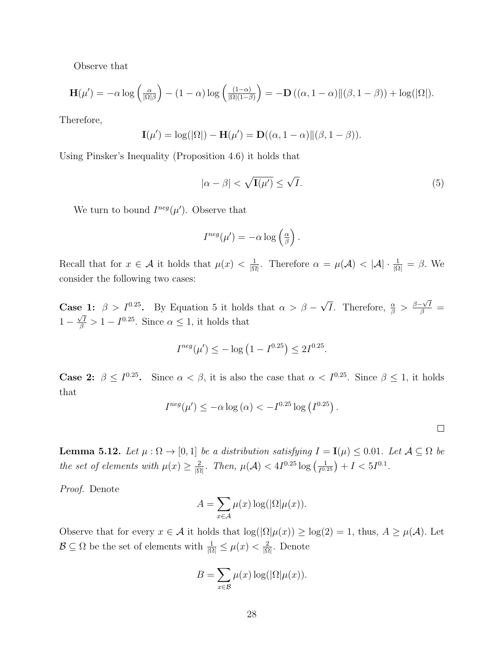Observe that

$$
\mathbf{H}(\mu') = -\alpha \log \left(\frac{\alpha}{|\Omega|\beta}\right) - (1-\alpha) \log \left(\frac{(1-\alpha)}{|\Omega|(1-\beta)}\right) = -\mathbf{D}\left((\alpha, 1-\alpha)\|(\beta, 1-\beta)\right) + \log(|\Omega|).
$$

Therefore,

$$
\mathbf{I}(\mu') = \log(|\Omega|) - \mathbf{H}(\mu') = \mathbf{D}((\alpha, 1 - \alpha) \| (\beta, 1 - \beta)).
$$

Using Pinsker's Inequality (Proposition 4.6) it holds that

$$
|\alpha - \beta| < \sqrt{\mathbf{I}(\mu')} \le \sqrt{I}.\tag{5}
$$

We turn to bound  $I^{neg}(\mu')$ . Observe that

$$
I^{neg}(\mu') = -\alpha \log \left(\frac{\alpha}{\beta}\right).
$$

Recall that for  $x \in \mathcal{A}$  it holds that  $\mu(x) < \frac{1}{10}$  $\frac{1}{|\Omega|}$ . Therefore  $\alpha = \mu(\mathcal{A}) < |\mathcal{A}| \cdot \frac{1}{|\Omega|} = \beta$ . We consider the following two cases:

**Case 1:**  $\beta > I^{0.25}$ . By Equation 5 it holds that  $\alpha > \beta$  – √ **e** 1:  $\beta > I^{0.25}$ . By Equation 5 it holds that  $\alpha > \beta - \sqrt{I}$ . Therefore,  $\frac{\alpha}{\beta} > \frac{\beta - \sqrt{I}}{\beta}$  $1 - \frac{\sqrt{I}}{\beta} > 1 - I^{0.25}$ . Since  $\alpha \leq 1$ , it holds that

$$
I^{neg}(\mu') \le -\log\left(1 - I^{0.25}\right) \le 2I^{0.25}.
$$

**Case 2:**  $\beta \leq I^{0.25}$ . Since  $\alpha < \beta$ , it is also the case that  $\alpha < I^{0.25}$ . Since  $\beta \leq 1$ , it holds that

$$
I^{neg}(\mu') \le -\alpha \log(\alpha) < -I^{0.25} \log(I^{0.25}).
$$

 $\Box$ 

**Lemma 5.12.** Let  $\mu : \Omega \to [0,1]$  be a distribution satisfying  $I = I(\mu) \leq 0.01$ . Let  $\mathcal{A} \subseteq \Omega$  be the set of elements with  $\mu(x) \geq \frac{2}{\log x}$  $\frac{2}{|\Omega|}$ . Then,  $\mu(\mathcal{A}) < 4I^{0.25} \log \left( \frac{1}{I^{0.25}} \right)$  $\frac{1}{I^{0.25}}$  +  $I < 5I^{0.1}$ .

Proof. Denote

$$
A = \sum_{x \in \mathcal{A}} \mu(x) \log(|\Omega|\mu(x)).
$$

Observe that for every  $x \in A$  it holds that  $\log(|\Omega|\mu(x)) \ge \log(2) = 1$ , thus,  $A \ge \mu(A)$ . Let  $\mathcal{B} \subseteq \Omega$  be the set of elements with  $\frac{1}{|\Omega|} \leq \mu(x) < \frac{2}{|\Omega|}$  $\frac{2}{|\Omega|}$ . Denote

$$
B = \sum_{x \in \mathcal{B}} \mu(x) \log(|\Omega|\mu(x)).
$$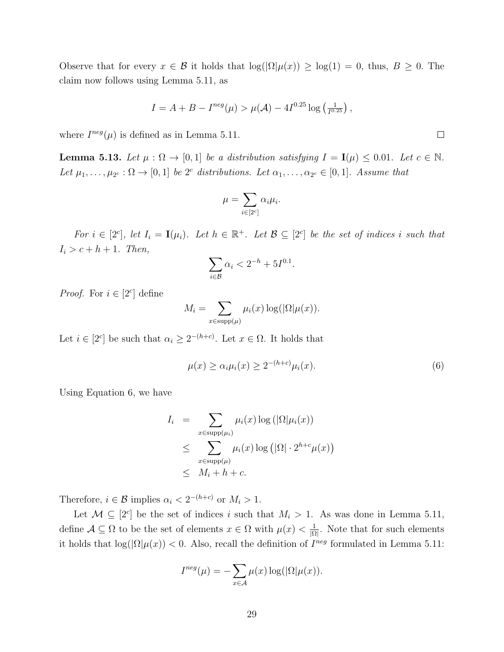Observe that for every  $x \in \mathcal{B}$  it holds that  $\log(|\Omega|\mu(x)) \ge \log(1) = 0$ , thus,  $B \ge 0$ . The claim now follows using Lemma 5.11, as

$$
I = A + B - I^{neg}(\mu) > \mu(\mathcal{A}) - 4I^{0.25} \log\left(\frac{1}{I^{0.25}}\right),
$$

where  $I^{neg}(\mu)$  is defined as in Lemma 5.11.

**Lemma 5.13.** Let  $\mu : \Omega \to [0,1]$  be a distribution satisfying  $I = I(\mu) \leq 0.01$ . Let  $c \in \mathbb{N}$ . Let  $\mu_1, \ldots, \mu_{2^c} : \Omega \to [0,1]$  be  $2^c$  distributions. Let  $\alpha_1, \ldots, \alpha_{2^c} \in [0,1]$ . Assume that

$$
\mu = \sum_{i \in [2^c]} \alpha_i \mu_i.
$$

For  $i \in [2^c]$ , let  $I_i = \mathbf{I}(\mu_i)$ . Let  $h \in \mathbb{R}^+$ . Let  $\mathcal{B} \subseteq [2^c]$  be the set of indices i such that  $I_i > c + h + 1$ . Then,

$$
\sum_{i\in\mathcal{B}}\alpha_i < 2^{-h} + 5I^{0.1}.
$$

*Proof.* For  $i \in [2^c]$  define

$$
M_i = \sum_{x \in \text{supp}(\mu)} \mu_i(x) \log(|\Omega|\mu(x)).
$$

Let  $i \in [2^c]$  be such that  $\alpha_i \geq 2^{-(h+c)}$ . Let  $x \in \Omega$ . It holds that

$$
\mu(x) \ge \alpha_i \mu_i(x) \ge 2^{-(h+c)} \mu_i(x). \tag{6}
$$

Using Equation 6, we have

$$
I_i = \sum_{x \in \text{supp}(\mu_i)} \mu_i(x) \log(|\Omega|\mu_i(x))
$$
  
\n
$$
\leq \sum_{x \in \text{supp}(\mu)} \mu_i(x) \log(|\Omega| \cdot 2^{h+c} \mu(x))
$$
  
\n
$$
\leq M_i + h + c.
$$

Therefore,  $i \in \mathcal{B}$  implies  $\alpha_i < 2^{-(h+c)}$  or  $M_i > 1$ .

Let  $\mathcal{M} \subseteq [2^c]$  be the set of indices i such that  $M_i > 1$ . As was done in Lemma 5.11, define  $A \subseteq \Omega$  to be the set of elements  $x \in \Omega$  with  $\mu(x) < \frac{1}{\Omega}$  $\frac{1}{|\Omega|}$ . Note that for such elements it holds that  $\log(|\Omega|\mu(x)) < 0$ . Also, recall the definition of  $I^{neg}$  formulated in Lemma 5.11:

$$
I^{neg}(\mu) = -\sum_{x \in \mathcal{A}} \mu(x) \log(|\Omega|\mu(x)).
$$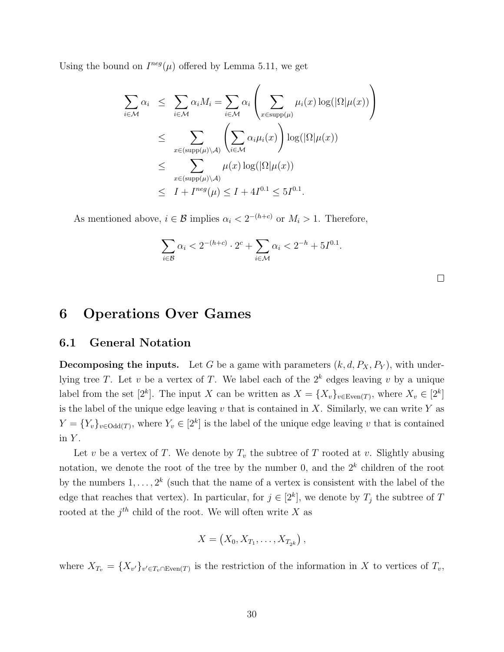Using the bound on  $I^{neg}(\mu)$  offered by Lemma 5.11, we get

$$
\sum_{i \in \mathcal{M}} \alpha_i \leq \sum_{i \in \mathcal{M}} \alpha_i M_i = \sum_{i \in \mathcal{M}} \alpha_i \left( \sum_{x \in \text{supp}(\mu)} \mu_i(x) \log(|\Omega|\mu(x)) \right)
$$
\n
$$
\leq \sum_{x \in (\text{supp}(\mu) \setminus \mathcal{A})} \left( \sum_{i \in \mathcal{M}} \alpha_i \mu_i(x) \right) \log(|\Omega|\mu(x))
$$
\n
$$
\leq \sum_{x \in (\text{supp}(\mu) \setminus \mathcal{A})} \mu(x) \log(|\Omega|\mu(x))
$$
\n
$$
\leq I + I^{neg}(\mu) \leq I + 4I^{0.1} \leq 5I^{0.1}.
$$

As mentioned above,  $i \in \mathcal{B}$  implies  $\alpha_i < 2^{-(h+c)}$  or  $M_i > 1$ . Therefore,

$$
\sum_{i \in \mathcal{B}} \alpha_i < 2^{-(h+c)} \cdot 2^c + \sum_{i \in \mathcal{M}} \alpha_i < 2^{-h} + 5I^{0.1}.
$$

## 6 Operations Over Games

### 6.1 General Notation

**Decomposing the inputs.** Let G be a game with parameters  $(k, d, P_X, P_Y)$ , with underlying tree T. Let v be a vertex of T. We label each of the  $2^k$  edges leaving v by a unique label from the set  $[2^k]$ . The input X can be written as  $X = \{X_v\}_{v \in \text{Even}(T)}$ , where  $X_v \in [2^k]$ is the label of the unique edge leaving  $v$  that is contained in  $X$ . Similarly, we can write  $Y$  as  $Y = \{Y_v\}_{v \in \text{Odd}(T)}$ , where  $Y_v \in [2^k]$  is the label of the unique edge leaving v that is contained in  $Y$ .

Let v be a vertex of T. We denote by  $T_v$  the subtree of T rooted at v. Slightly abusing notation, we denote the root of the tree by the number 0, and the  $2<sup>k</sup>$  children of the root by the numbers  $1, \ldots, 2^k$  (such that the name of a vertex is consistent with the label of the edge that reaches that vertex). In particular, for  $j \in [2^k]$ , we denote by  $T_j$  the subtree of T rooted at the  $j^{th}$  child of the root. We will often write X as

$$
X=\left(X_0,X_{T_1},\ldots,X_{T_{2^k}}\right),
$$

where  $X_{T_v} = \{X_{v'}\}_{v' \in T_v \cap \text{Even}(T)}$  is the restriction of the information in X to vertices of  $T_v$ ,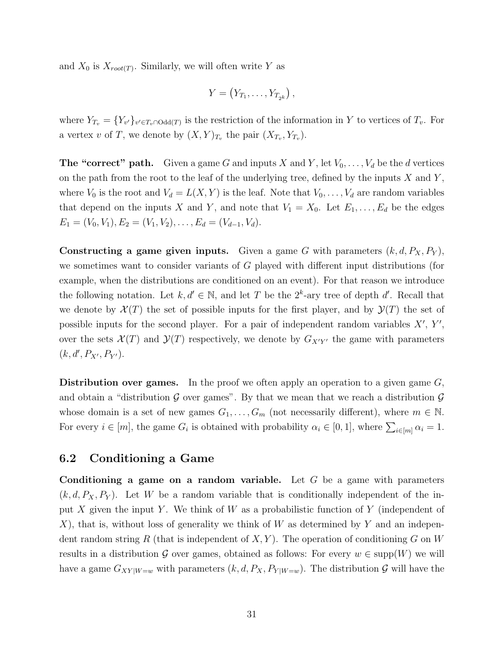and  $X_0$  is  $X_{root(T)}$ . Similarly, we will often write Y as

$$
Y=\left(Y_{T_1},\ldots,Y_{T_{2^k}}\right),
$$

where  $Y_{T_v} = \{Y_{v'}\}_{v' \in T_v \cap \text{Odd}(T)}$  is the restriction of the information in Y to vertices of  $T_v$ . For a vertex v of T, we denote by  $(X,Y)_{T_v}$  the pair  $(X_{T_v}, Y_{T_v})$ .

**The "correct" path.** Given a game G and inputs X and Y, let  $V_0, \ldots, V_d$  be the d vertices on the path from the root to the leaf of the underlying tree, defined by the inputs  $X$  and  $Y$ , where  $V_0$  is the root and  $V_d = L(X, Y)$  is the leaf. Note that  $V_0, \ldots, V_d$  are random variables that depend on the inputs X and Y, and note that  $V_1 = X_0$ . Let  $E_1, \ldots, E_d$  be the edges  $E_1 = (V_0, V_1), E_2 = (V_1, V_2), \dots, E_d = (V_{d-1}, V_d).$ 

Constructing a game given inputs. Given a game G with parameters  $(k, d, P_X, P_Y)$ , we sometimes want to consider variants of G played with different input distributions (for example, when the distributions are conditioned on an event). For that reason we introduce the following notation. Let  $k, d' \in \mathbb{N}$ , and let T be the  $2^k$ -ary tree of depth d'. Recall that we denote by  $\mathcal{X}(T)$  the set of possible inputs for the first player, and by  $\mathcal{Y}(T)$  the set of possible inputs for the second player. For a pair of independent random variables  $X'$ ,  $Y'$ , over the sets  $\mathcal{X}(T)$  and  $\mathcal{Y}(T)$  respectively, we denote by  $G_{X'Y'}$  the game with parameters  $(k, d', P_{X'}, P_{Y'})$ .

**Distribution over games.** In the proof we often apply an operation to a given game  $G$ , and obtain a "distribution  $\mathcal G$  over games". By that we mean that we reach a distribution  $\mathcal G$ whose domain is a set of new games  $G_1, \ldots, G_m$  (not necessarily different), where  $m \in \mathbb{N}$ . For every  $i \in [m]$ , the game  $G_i$  is obtained with probability  $\alpha_i \in [0,1]$ , where  $\sum_{i \in [m]} \alpha_i = 1$ .

## 6.2 Conditioning a Game

Conditioning a game on a random variable. Let  $G$  be a game with parameters  $(k, d, P_X, P_Y)$ . Let W be a random variable that is conditionally independent of the input X given the input Y. We think of W as a probabilistic function of Y (independent of X), that is, without loss of generality we think of  $W$  as determined by  $Y$  and an independent random string R (that is independent of  $X, Y$ ). The operation of conditioning G on W results in a distribution G over games, obtained as follows: For every  $w \in \text{supp}(W)$  we will have a game  $G_{XY|W=w}$  with parameters  $(k, d, P_X, P_{Y|W=w})$ . The distribution  $\mathcal G$  will have the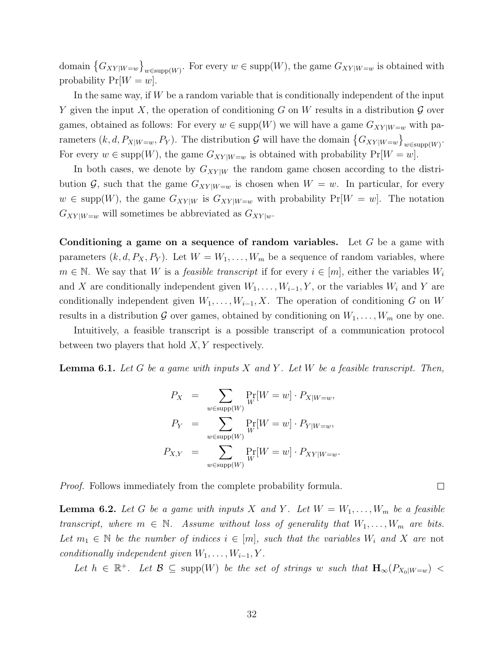domain  $\{G_{XY|W=w}\}_{w\in \text{supp}(W)}$ . For every  $w\in \text{supp}(W)$ , the game  $G_{XY|W=w}$  is obtained with probability  $Pr[W = w]$ .

In the same way, if W be a random variable that is conditionally independent of the input Y given the input X, the operation of conditioning G on W results in a distribution  $\mathcal G$  over games, obtained as follows: For every  $w \in \text{supp}(W)$  we will have a game  $G_{XY|W=w}$  with parameters  $(k, d, P_{X|W=w}, P_Y)$ . The distribution G will have the domain  $\{G_{XY|W=w}\}_{w \in \text{supp}(W)}$ . For every  $w \in \text{supp}(W)$ , the game  $G_{XY|W=w}$  is obtained with probability  $Pr[W=w]$ .

In both cases, we denote by  $G_{XY|W}$  the random game chosen according to the distribution  $\mathcal{G}$ , such that the game  $G_{XY|W=w}$  is chosen when  $W=w$ . In particular, for every  $w \in \text{supp}(W)$ , the game  $G_{XY|W}$  is  $G_{XY|W=w}$  with probability  $Pr[W=w]$ . The notation  $G_{XY|W=w}$  will sometimes be abbreviated as  $G_{XY|w}$ .

Conditioning a game on a sequence of random variables. Let  $G$  be a game with parameters  $(k, d, P_X, P_Y)$ . Let  $W = W_1, \ldots, W_m$  be a sequence of random variables, where  $m \in \mathbb{N}$ . We say that W is a *feasible transcript* if for every  $i \in [m]$ , either the variables  $W_i$ and X are conditionally independent given  $W_1, \ldots, W_{i-1}, Y$ , or the variables  $W_i$  and Y are conditionally independent given  $W_1, \ldots, W_{i-1}, X$ . The operation of conditioning G on W results in a distribution G over games, obtained by conditioning on  $W_1, \ldots, W_m$  one by one.

Intuitively, a feasible transcript is a possible transcript of a communication protocol between two players that hold  $X, Y$  respectively.

**Lemma 6.1.** Let G be a game with inputs X and Y. Let W be a feasible transcript. Then,

$$
P_X = \sum_{w \in \text{supp}(W)} \Pr_W[W = w] \cdot P_{X|W=w},
$$
  
\n
$$
P_Y = \sum_{w \in \text{supp}(W)} \Pr_W[W = w] \cdot P_{Y|W=w},
$$
  
\n
$$
P_{X,Y} = \sum_{w \in \text{supp}(W)} \Pr_W[W = w] \cdot P_{XY|W=w}.
$$

Proof. Follows immediately from the complete probability formula.

**Lemma 6.2.** Let G be a game with inputs X and Y. Let  $W = W_1, \ldots, W_m$  be a feasible transcript, where  $m \in \mathbb{N}$ . Assume without loss of generality that  $W_1, \ldots, W_m$  are bits. Let  $m_1 \in \mathbb{N}$  be the number of indices  $i \in [m]$ , such that the variables  $W_i$  and X are not conditionally independent given  $W_1, \ldots, W_{i-1}, Y$ .

Let  $h \in \mathbb{R}^+$ . Let  $\mathcal{B} \subseteq \text{supp}(W)$  be the set of strings w such that  $\mathbf{H}_{\infty}(P_{X_0|W=w})$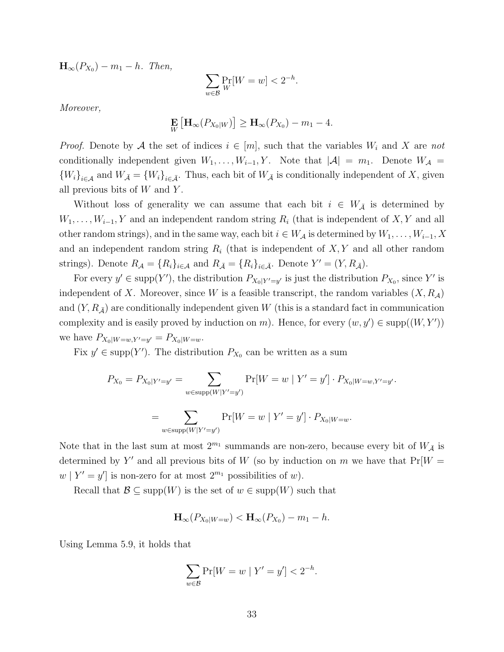$\mathbf{H}_{\infty}(P_{X_0}) - m_1 - h$ . Then,

$$
\sum_{w \in \mathcal{B}} \Pr_W[W = w] < 2^{-h}.
$$

Moreover,

$$
\mathop{\mathbf{E}}_{W}\left[\mathbf{H}_{\infty}(P_{X_0|W})\right] \geq \mathbf{H}_{\infty}(P_{X_0}) - m_1 - 4.
$$

*Proof.* Denote by A the set of indices  $i \in [m]$ , such that the variables  $W_i$  and X are not conditionally independent given  $W_1, \ldots, W_{i-1}, Y$ . Note that  $|\mathcal{A}| = m_1$ . Denote  $W_{\mathcal{A}} =$  ${W_i}_{i\in\mathcal{A}}$  and  $W_{\bar{\mathcal{A}}}={W_i}_{i\in\bar{\mathcal{A}}}$ . Thus, each bit of  $W_{\bar{\mathcal{A}}}$  is conditionally independent of X, given all previous bits of  $W$  and  $Y$ .

Without loss of generality we can assume that each bit  $i \in W_{\bar{\mathcal{A}}}$  is determined by  $W_1, \ldots, W_{i-1}, Y$  and an independent random string  $R_i$  (that is independent of X, Y and all other random strings), and in the same way, each bit  $i \in W_{\mathcal{A}}$  is determined by  $W_1, \ldots, W_{i-1}, X$ and an independent random string  $R_i$  (that is independent of  $X, Y$  and all other random strings). Denote  $R_{\mathcal{A}} = \{R_i\}_{i \in \mathcal{A}}$  and  $R_{\bar{\mathcal{A}}} = \{R_i\}_{i \in \bar{\mathcal{A}}}$ . Denote  $Y' = (Y, R_{\bar{\mathcal{A}}})$ .

For every  $y' \in \text{supp}(Y')$ , the distribution  $P_{X_0|Y'=y'}$  is just the distribution  $P_{X_0}$ , since Y' is independent of X. Moreover, since W is a feasible transcript, the random variables  $(X, R<sub>A</sub>)$ and  $(Y, R_{\overline{A}})$  are conditionally independent given W (this is a standard fact in communication complexity and is easily proved by induction on m). Hence, for every  $(w, y') \in \text{supp}((W, Y'))$ we have  $P_{X_0|W=w,Y'=y'} = P_{X_0|W=w}$ .

Fix  $y' \in \text{supp}(Y')$ . The distribution  $P_{X_0}$  can be written as a sum

$$
P_{X_0} = P_{X_0|Y'=y'} = \sum_{w \in \text{supp}(W|Y'=y')} \Pr[W = w \mid Y' = y'] \cdot P_{X_0|W=w,Y'=y'}.
$$
  
= 
$$
\sum_{w \in \text{supp}(W|Y'=y')} \Pr[W = w \mid Y' = y'] \cdot P_{X_0|W=w}.
$$

Note that in the last sum at most  $2^{m_1}$  summands are non-zero, because every bit of  $W_{\bar{A}}$  is determined by Y' and all previous bits of W (so by induction on m we have that  $Pr[W =$  $w \mid Y' = y'$  is non-zero for at most  $2^{m_1}$  possibilities of w).

Recall that  $\mathcal{B} \subseteq \text{supp}(W)$  is the set of  $w \in \text{supp}(W)$  such that

$$
\mathbf{H}_{\infty}(P_{X_0|W=w}) < \mathbf{H}_{\infty}(P_{X_0}) - m_1 - h.
$$

Using Lemma 5.9, it holds that

$$
\sum_{w \in \mathcal{B}} \Pr[W = w \mid Y' = y'] < 2^{-h}.
$$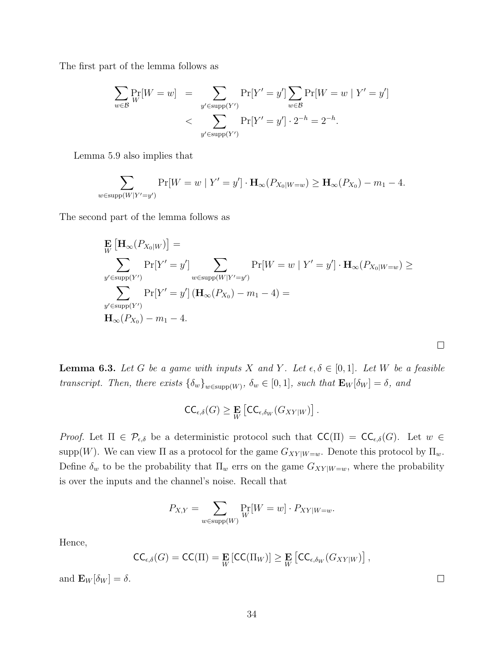The first part of the lemma follows as

$$
\sum_{w \in \mathcal{B}} \Pr_{W}[W = w] = \sum_{y' \in \text{supp}(Y')} \Pr[Y' = y'] \sum_{w \in \mathcal{B}} \Pr[W = w \mid Y' = y'] \n< \sum_{y' \in \text{supp}(Y')} \Pr[Y' = y'] \cdot 2^{-h} = 2^{-h}.
$$

Lemma 5.9 also implies that

$$
\sum_{w \in \text{supp}(W|Y'=y')} \Pr[W=w \mid Y'=y'] \cdot \mathbf{H}_{\infty}(P_{X_0|W=w}) \ge \mathbf{H}_{\infty}(P_{X_0}) - m_1 - 4.
$$

The second part of the lemma follows as

$$
\mathbf{E}_{W} \left[ \mathbf{H}_{\infty} (P_{X_0|W}) \right] =
$$
\n
$$
\sum_{y' \in \text{supp}(Y')} \Pr[Y' = y'] \sum_{w \in \text{supp}(W|Y' = y')} \Pr[W = w | Y' = y'] \cdot \mathbf{H}_{\infty} (P_{X_0|W=w}) \ge
$$
\n
$$
\sum_{y' \in \text{supp}(Y')} \Pr[Y' = y'] \left( \mathbf{H}_{\infty} (P_{X_0}) - m_1 - 4 \right) =
$$
\n
$$
\mathbf{H}_{\infty} (P_{X_0}) - m_1 - 4.
$$

**Lemma 6.3.** Let G be a game with inputs X and Y. Let  $\epsilon, \delta \in [0, 1]$ . Let W be a feasible transcript. Then, there exists  $\{\delta_w\}_{w \in \text{supp}(W)}$ ,  $\delta_w \in [0,1]$ , such that  $\mathbf{E}_W[\delta_W] = \delta$ , and

$$
\mathsf{CC}_{\epsilon,\delta}(G) \geq \mathop{\mathbf{E}}_{W} \left[ \mathsf{CC}_{\epsilon,\delta_W}(G_{XY|W}) \right].
$$

Proof. Let  $\Pi \in \mathcal{P}_{\epsilon,\delta}$  be a deterministic protocol such that  $\mathsf{CC}(\Pi) = \mathsf{CC}_{\epsilon,\delta}(G)$ . Let  $w \in$ supp(W). We can view  $\Pi$  as a protocol for the game  $G_{XY|W=w}$ . Denote this protocol by  $\Pi_w$ . Define  $\delta_w$  to be the probability that  $\Pi_w$  errs on the game  $G_{XY|W=w}$ , where the probability is over the inputs and the channel's noise. Recall that

$$
P_{X,Y} = \sum_{w \in \text{supp}(W)} \Pr_W[W = w] \cdot P_{XY|W=w}.
$$

Hence,

$$
\mathsf{CC}_{\epsilon,\delta}(G) = \mathsf{CC}(\Pi) = \mathop{\mathbf{E}}_{W} [\mathsf{CC}(\Pi_W)] \geq \mathop{\mathbf{E}}_{W} [\mathsf{CC}_{\epsilon,\delta_W}(G_{XY|W})],
$$

and  $\mathbf{E}_W[\delta_W] = \delta$ .

 $\Box$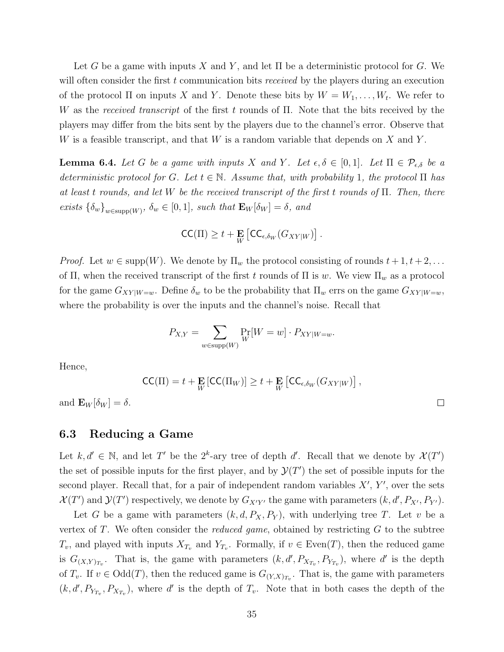Let G be a game with inputs X and Y, and let  $\Pi$  be a deterministic protocol for G. We will often consider the first  $t$  communication bits *received* by the players during an execution of the protocol  $\Pi$  on inputs X and Y. Denote these bits by  $W = W_1, \ldots, W_t$ . We refer to W as the received transcript of the first t rounds of  $\Pi$ . Note that the bits received by the players may differ from the bits sent by the players due to the channel's error. Observe that W is a feasible transcript, and that  $W$  is a random variable that depends on  $X$  and  $Y$ .

**Lemma 6.4.** Let G be a game with inputs X and Y. Let  $\epsilon, \delta \in [0,1]$ . Let  $\Pi \in \mathcal{P}_{\epsilon,\delta}$  be a deterministic protocol for G. Let  $t \in \mathbb{N}$ . Assume that, with probability 1, the protocol  $\Pi$  has at least t rounds, and let W be the received transcript of the first t rounds of  $\Pi$ . Then, there exists  $\{\delta_w\}_{w \in \text{supp}(W)}$ ,  $\delta_w \in [0,1]$ , such that  $\mathbf{E}_W[\delta_W] = \delta$ , and

$$
\mathsf{CC}(\Pi) \geq t + \mathop{\mathbf{E}}_{W} \left[ \mathsf{CC}_{\epsilon, \delta_{W}}(G_{XY|W}) \right].
$$

*Proof.* Let  $w \in \text{supp}(W)$ . We denote by  $\Pi_w$  the protocol consisting of rounds  $t + 1, t + 2, \ldots$ of Π, when the received transcript of the first t rounds of  $\Pi$  is w. We view  $\Pi_w$  as a protocol for the game  $G_{XY|W=w}$ . Define  $\delta_w$  to be the probability that  $\Pi_w$  errs on the game  $G_{XY|W=w}$ , where the probability is over the inputs and the channel's noise. Recall that

$$
P_{X,Y} = \sum_{w \in \text{supp}(W)} \Pr_W[W = w] \cdot P_{XY|W=w}.
$$

Hence,

$$
\mathsf{CC}(\Pi) = t + \mathop{\mathbf{E}}_{W} [\mathsf{CC}(\Pi_W)] \ge t + \mathop{\mathbf{E}}_{W} [\mathsf{CC}_{\epsilon, \delta_W} (G_{XY|W})],
$$

and  $\mathbf{E}_W[\delta_W] = \delta$ .

### 6.3 Reducing a Game

Let  $k, d' \in \mathbb{N}$ , and let T' be the  $2^k$ -ary tree of depth d'. Recall that we denote by  $\mathcal{X}(T')$ the set of possible inputs for the first player, and by  $\mathcal{Y}(T')$  the set of possible inputs for the second player. Recall that, for a pair of independent random variables  $X'$ ,  $Y'$ , over the sets  $\mathcal{X}(T')$  and  $\mathcal{Y}(T')$  respectively, we denote by  $G_{X'Y'}$  the game with parameters  $(k, d', P_{X'}, P_{Y'})$ .

Let G be a game with parameters  $(k, d, P_X, P_Y)$ , with underlying tree T. Let v be a vertex of  $T$ . We often consider the *reduced game*, obtained by restricting  $G$  to the subtree  $T_v$ , and played with inputs  $X_{T_v}$  and  $Y_{T_v}$ . Formally, if  $v \in \text{Even}(T)$ , then the reduced game is  $G_{(X,Y)_{T_v}}$ . That is, the game with parameters  $(k, d', P_{X_{T_v}}, P_{Y_{T_v}})$ , where d' is the depth of  $T_v$ . If  $v \in \text{Odd}(T)$ , then the reduced game is  $G_{(Y,X)_{T_v}}$ . That is, the game with parameters  $(k, d', P_{Y_{T_v}}, P_{X_{T_v}})$ , where d' is the depth of  $T_v$ . Note that in both cases the depth of the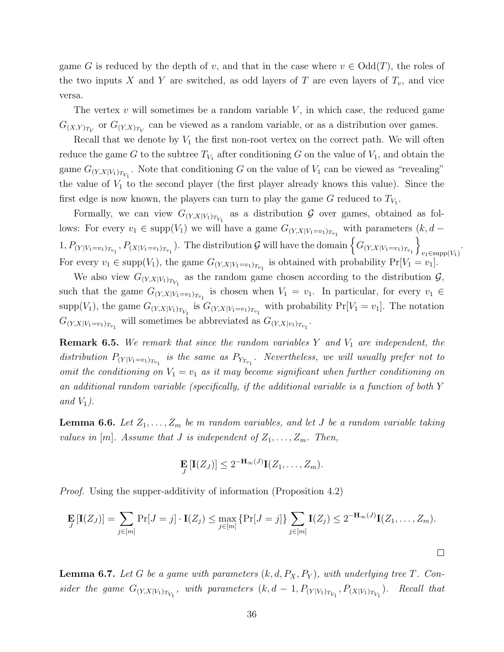game G is reduced by the depth of v, and that in the case where  $v \in \text{Odd}(T)$ , the roles of the two inputs X and Y are switched, as odd layers of T are even layers of  $T_v$ , and vice versa.

The vertex  $v$  will sometimes be a random variable  $V$ , in which case, the reduced game  $G_{(X,Y)_{T_V}}$  or  $G_{(Y,X)_{T_V}}$  can be viewed as a random variable, or as a distribution over games.

Recall that we denote by  $V_1$  the first non-root vertex on the correct path. We will often reduce the game G to the subtree  $T_{V_1}$  after conditioning G on the value of  $V_1$ , and obtain the game  $G_{(Y,X|V_1)_{T_{V_1}}}$ . Note that conditioning G on the value of  $V_1$  can be viewed as "revealing" the value of  $V_1$  to the second player (the first player already knows this value). Since the first edge is now known, the players can turn to play the game  $G$  reduced to  $T_{V_1}$ .

Formally, we can view  $G_{(Y,X|V_1)_{T_{V_1}}}$  as a distribution  $\mathcal G$  over games, obtained as follows: For every  $v_1 \in \text{supp}(V_1)$  we will have a game  $G_{(Y,X|V_1=v_1)_{T_{v_1}}}$  with parameters  $(k, d 1, P_{(Y|V_1=v_1)_{T_{v_1}}}, P_{(X|V_1=v_1)_{T_{v_1}}})$ . The distribution G will have the domain  $\left\{G_{(Y,X|V_1=v_1)_{T_{v_1}}}\right\}$  $v_1 \in \text{supp}(V_1)$ For every  $v_1 \in \text{supp}(V_1)$ , the game  $G_{(Y,X|V_1=v_1)_{T_{v_1}}}$  is obtained with probability  $Pr[V_1=v_1]$ .

.

We also view  $G_{(Y,X|V_1)_{T_{V_1}}}$  as the random game chosen according to the distribution  $\mathcal{G},$ such that the game  $G_{(Y,X|V_1=v_1)_{T_{v_1}}}$  is chosen when  $V_1 = v_1$ . In particular, for every  $v_1 \in$ supp(V<sub>1</sub>), the game  $G_{(Y,X|V_1)_{T_{V_1}}}$  is  $G_{(Y,X|V_1=v_1)_{T_{v_1}}}$  with probability  $Pr[V_1=v_1]$ . The notation  $G_{(Y,X|V_1=v_1)_{T_{v_1}}}$  will sometimes be abbreviated as  $G_{(Y,X|v_1)_{T_{v_1}}}$ .

**Remark 6.5.** We remark that since the random variables Y and  $V_1$  are independent, the distribution  $P_{(Y|V_1=v_1)_{T_{v_1}}}$  is the same as  $P_{Y_{T_{v_1}}}$ . Nevertheless, we will usually prefer not to omit the conditioning on  $V_1 = v_1$  as it may become significant when further conditioning on an additional random variable (specifically, if the additional variable is a function of both Y and  $V_1$ ).

**Lemma 6.6.** Let  $Z_1, \ldots, Z_m$  be m random variables, and let J be a random variable taking values in  $[m]$ . Assume that J is independent of  $Z_1, \ldots, Z_m$ . Then,

$$
\mathbf{E}_{J}[\mathbf{I}(Z_J)] \leq 2^{-\mathbf{H}_{\infty}(J)}\mathbf{I}(Z_1,\ldots,Z_m).
$$

Proof. Using the supper-additivity of information (Proposition 4.2)

$$
\mathbf{E}_{J}[\mathbf{I}(Z_{J})] = \sum_{j \in [m]} \Pr[J = j] \cdot \mathbf{I}(Z_{j}) \le \max_{j \in [m]} \{ \Pr[J = j] \} \sum_{j \in [m]} \mathbf{I}(Z_{j}) \le 2^{-\mathbf{H}_{\infty}(J)} \mathbf{I}(Z_{1}, \dots, Z_{m}).
$$

**Lemma 6.7.** Let G be a game with parameters  $(k, d, P_X, P_Y)$ , with underlying tree T. Consider the game  $G_{(Y,X|V_1)_{T_{V_1}}}$ , with parameters  $(k, d - 1, P_{(Y|V_1)_{T_{V_1}}}, P_{(X|V_1)_{T_{V_1}}})$ . Recall that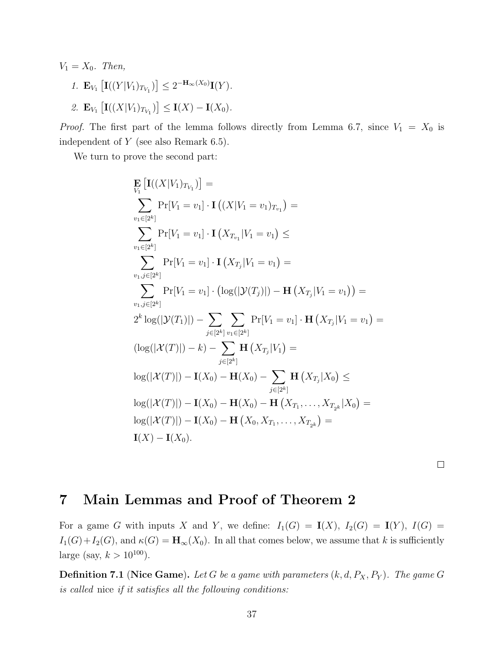$V_1 = X_0$ . Then,

- 1.  $\mathbf{E}_{V_1} \left[ \mathbf{I}((Y|V_1)_{T_{V_1}}) \right] \leq 2^{-\mathbf{H}_{\infty}(X_0)} \mathbf{I}(Y).$
- 2.  $\mathbf{E}_{V_1} \left[ \mathbf{I}((X|V_1)_{T_{V_1}}) \right] \leq \mathbf{I}(X) \mathbf{I}(X_0).$

*Proof.* The first part of the lemma follows directly from Lemma 6.7, since  $V_1 = X_0$  is independent of  $Y$  (see also Remark 6.5).

We turn to prove the second part:

$$
\mathbf{E}_{V_1} \left[ \mathbf{I}((X|V_1)_{T_{V_1}}) \right] =\n\sum_{v_1 \in [2^k]} \Pr[V_1 = v_1] \cdot \mathbf{I} ((X|V_1 = v_1)_{T_{v_1}}) =\n\sum_{v_1 \in [2^k]} \Pr[V_1 = v_1] \cdot \mathbf{I} (X_{T_{v_1}} | V_1 = v_1) \le
$$
\n
$$
\sum_{v_1, j \in [2^k]} \Pr[V_1 = v_1] \cdot \mathbf{I} (X_{T_j} | V_1 = v_1) =\n\sum_{v_1, j \in [2^k]} \Pr[V_1 = v_1] \cdot (\log(|\mathcal{Y}(T_j)|) - \mathbf{H} (X_{T_j} | V_1 = v_1)) =\n2^k \log(|\mathcal{Y}(T_1)|) - \sum_{j \in [2^k]} \sum_{v_1 \in [2^k]} \Pr[V_1 = v_1] \cdot \mathbf{H} (X_{T_j} | V_1 = v_1) =\n(\log(|\mathcal{X}(T)|) - k) - \sum_{j \in [2^k]} \mathbf{H} (X_{T_j} | V_1) =\n\log(|\mathcal{X}(T)|) - \mathbf{I}(X_0) - \mathbf{H}(X_0) - \sum_{j \in [2^k]} \mathbf{H} (X_{T_j} | X_0) \le
$$
\n
$$
\log(|\mathcal{X}(T)|) - \mathbf{I}(X_0) - \mathbf{H}(X_0) - \mathbf{H} (X_{T_1}, \dots, X_{T_{2^k}} | X_0) =\n\log(|\mathcal{X}(T)|) - \mathbf{I}(X_0) - \mathbf{H} (X_0, X_{T_1}, \dots, X_{T_{2^k}}) =\n\mathbf{I}(X) - \mathbf{I}(X_0).
$$

 $\Box$ 

# 7 Main Lemmas and Proof of Theorem 2

For a game G with inputs X and Y, we define:  $I_1(G) = I(X)$ ,  $I_2(G) = I(Y)$ ,  $I(G) =$  $I_1(G)+I_2(G)$ , and  $\kappa(G) = \mathbf{H}_{\infty}(X_0)$ . In all that comes below, we assume that k is sufficiently large (say,  $k > 10^{100}$ ).

**Definition 7.1 (Nice Game).** Let G be a game with parameters  $(k, d, P_X, P_Y)$ . The game G is called nice if it satisfies all the following conditions: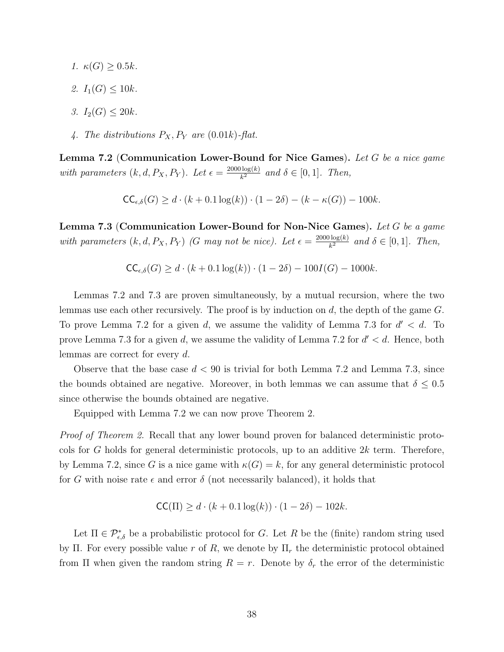- 1.  $\kappa(G) \geq 0.5k$ .
- 2.  $I_1(G) \leq 10k$ .
- 3.  $I_2(G) \leq 20k$ .
- 4. The distributions  $P_X, P_Y$  are (0.01k)-flat.

**Lemma 7.2** (Communication Lower-Bound for Nice Games). Let G be a nice game with parameters  $(k, d, P_X, P_Y)$ . Let  $\epsilon = \frac{2000 \log(k)}{k^2}$  $\frac{\log(k)}{k^2}$  and  $\delta \in [0,1]$ . Then,

$$
\mathsf{CC}_{\epsilon,\delta}(G) \ge d \cdot (k + 0.1 \log(k)) \cdot (1 - 2\delta) - (k - \kappa(G)) - 100k.
$$

Lemma 7.3 (Communication Lower-Bound for Non-Nice Games). Let G be a game with parameters  $(k, d, P_X, P_Y)$  (G may not be nice). Let  $\epsilon = \frac{2000 \log(k)}{k^2}$  $\frac{\log(k)}{k^2}$  and  $\delta \in [0,1]$ . Then,

$$
\mathsf{CC}_{\epsilon,\delta}(G) \ge d \cdot (k + 0.1 \log(k)) \cdot (1 - 2\delta) - 100I(G) - 1000k.
$$

Lemmas 7.2 and 7.3 are proven simultaneously, by a mutual recursion, where the two lemmas use each other recursively. The proof is by induction on d, the depth of the game G. To prove Lemma 7.2 for a given d, we assume the validity of Lemma 7.3 for  $d' < d$ . To prove Lemma 7.3 for a given d, we assume the validity of Lemma 7.2 for  $d' < d$ . Hence, both lemmas are correct for every d.

Observe that the base case  $d < 90$  is trivial for both Lemma 7.2 and Lemma 7.3, since the bounds obtained are negative. Moreover, in both lemmas we can assume that  $\delta \leq 0.5$ since otherwise the bounds obtained are negative.

Equipped with Lemma 7.2 we can now prove Theorem 2.

Proof of Theorem 2. Recall that any lower bound proven for balanced deterministic protocols for G holds for general deterministic protocols, up to an additive 2k term. Therefore, by Lemma 7.2, since G is a nice game with  $\kappa(G) = k$ , for any general deterministic protocol for G with noise rate  $\epsilon$  and error  $\delta$  (not necessarily balanced), it holds that

$$
CC(\Pi) \ge d \cdot (k + 0.1 \log(k)) \cdot (1 - 2\delta) - 102k.
$$

Let  $\Pi \in \mathcal{P}^*_{\epsilon,\delta}$  be a probabilistic protocol for G. Let R be the (finite) random string used by Π. For every possible value r of R, we denote by  $\Pi_r$  the deterministic protocol obtained from  $\Pi$  when given the random string  $R = r$ . Denote by  $\delta_r$  the error of the deterministic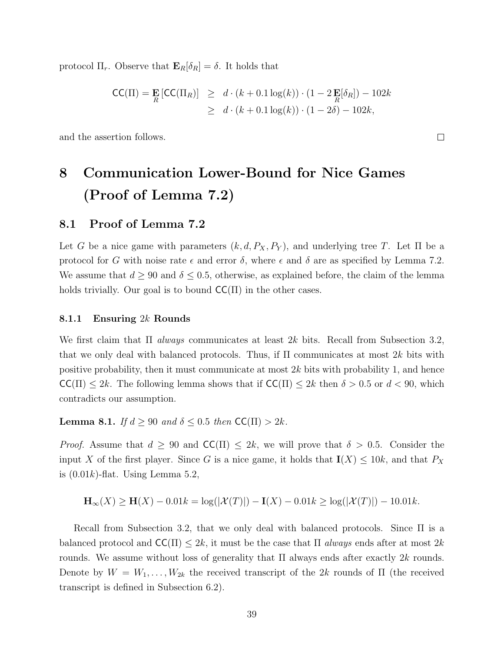protocol  $\Pi_r$ . Observe that  $\mathbf{E}_R[\delta_R] = \delta$ . It holds that

$$
\begin{aligned} \mathsf{CC}(\Pi) &= \mathbf{E} \left[ \mathsf{CC}(\Pi_R) \right] \geq d \cdot (k + 0.1 \log(k)) \cdot (1 - 2 \mathbf{E}[\delta_R]) - 102k \\ &\geq d \cdot (k + 0.1 \log(k)) \cdot (1 - 2\delta) - 102k, \end{aligned}
$$

and the assertion follows.

# 8 Communication Lower-Bound for Nice Games (Proof of Lemma 7.2)

### 8.1 Proof of Lemma 7.2

Let G be a nice game with parameters  $(k, d, P_X, P_Y)$ , and underlying tree T. Let  $\Pi$  be a protocol for G with noise rate  $\epsilon$  and error  $\delta$ , where  $\epsilon$  and  $\delta$  are as specified by Lemma 7.2. We assume that  $d \geq 90$  and  $\delta \leq 0.5$ , otherwise, as explained before, the claim of the lemma holds trivially. Our goal is to bound  $CC(\Pi)$  in the other cases.

#### 8.1.1 Ensuring 2k Rounds

We first claim that  $\Pi$  *always* communicates at least 2k bits. Recall from Subsection 3.2, that we only deal with balanced protocols. Thus, if  $\Pi$  communicates at most 2k bits with positive probability, then it must communicate at most 2k bits with probability 1, and hence  $\mathsf{CC}(\Pi) \leq 2k$ . The following lemma shows that if  $\mathsf{CC}(\Pi) \leq 2k$  then  $\delta > 0.5$  or  $d < 90$ , which contradicts our assumption.

**Lemma 8.1.** If  $d \geq 90$  and  $\delta \leq 0.5$  then  $\mathsf{CC}(\Pi) > 2k$ .

*Proof.* Assume that  $d \geq 90$  and  $\mathsf{CC}(\Pi) \leq 2k$ , we will prove that  $\delta > 0.5$ . Consider the input X of the first player. Since G is a nice game, it holds that  $I(X) \le 10k$ , and that  $P_X$ is  $(0.01k)$ -flat. Using Lemma 5.2,

$$
\mathbf{H}_{\infty}(X) \ge \mathbf{H}(X) - 0.01k = \log(|\mathcal{X}(T)|) - \mathbf{I}(X) - 0.01k \ge \log(|\mathcal{X}(T)|) - 10.01k.
$$

Recall from Subsection 3.2, that we only deal with balanced protocols. Since Π is a balanced protocol and  $\mathsf{CC}(\Pi) \leq 2k$ , it must be the case that  $\Pi$  always ends after at most  $2k$ rounds. We assume without loss of generality that  $\Pi$  always ends after exactly 2k rounds. Denote by  $W = W_1, \ldots, W_{2k}$  the received transcript of the 2k rounds of  $\Pi$  (the received transcript is defined in Subsection 6.2).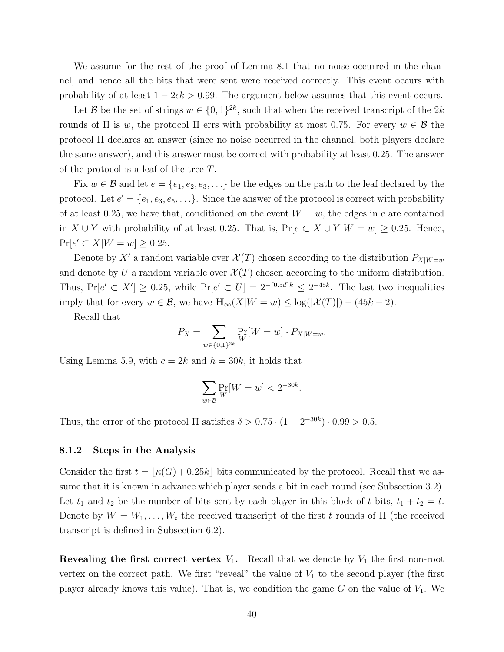We assume for the rest of the proof of Lemma 8.1 that no noise occurred in the channel, and hence all the bits that were sent were received correctly. This event occurs with probability of at least  $1 - 2\epsilon k > 0.99$ . The argument below assumes that this event occurs.

Let B be the set of strings  $w \in \{0,1\}^{2k}$ , such that when the received transcript of the  $2k$ rounds of  $\Pi$  is w, the protocol  $\Pi$  errs with probability at most 0.75. For every  $w \in \mathcal{B}$  the protocol Π declares an answer (since no noise occurred in the channel, both players declare the same answer), and this answer must be correct with probability at least 0.25. The answer of the protocol is a leaf of the tree T.

Fix  $w \in \mathcal{B}$  and let  $e = \{e_1, e_2, e_3, \ldots\}$  be the edges on the path to the leaf declared by the protocol. Let  $e' = \{e_1, e_3, e_5, \ldots\}$ . Since the answer of the protocol is correct with probability of at least 0.25, we have that, conditioned on the event  $W = w$ , the edges in e are contained in  $X \cup Y$  with probability of at least 0.25. That is, Pr[ $e \subset X \cup Y | W = w$ ] ≥ 0.25. Hence,  $Pr[e' \subset X | W = w] \ge 0.25.$ 

Denote by X' a random variable over  $\mathcal{X}(T)$  chosen according to the distribution  $P_{X|W=w}$ and denote by U a random variable over  $\mathcal{X}(T)$  chosen according to the uniform distribution. Thus,  $Pr[e' \subset X'] \ge 0.25$ , while  $Pr[e' \subset U] = 2^{-[0.5d]k} \le 2^{-45k}$ . The last two inequalities imply that for every  $w \in \mathcal{B}$ , we have  $\mathbf{H}_{\infty}(X|W=w) \leq \log(|\mathcal{X}(T)|) - (45k - 2)$ .

Recall that

$$
P_X = \sum_{w \in \{0,1\}^{2k}} \Pr_W[W = w] \cdot P_{X|W=w}.
$$

Using Lemma 5.9, with  $c = 2k$  and  $h = 30k$ , it holds that

$$
\sum_{w \in \mathcal{B}} \Pr_W[W = w] < 2^{-30k}.
$$

Thus, the error of the protocol  $\Pi$  satisfies  $\delta > 0.75 \cdot (1 - 2^{-30k}) \cdot 0.99 > 0.5$ .

 $\Box$ 

#### 8.1.2 Steps in the Analysis

Consider the first  $t = \lfloor \kappa(G) + 0.25k \rfloor$  bits communicated by the protocol. Recall that we assume that it is known in advance which player sends a bit in each round (see Subsection 3.2). Let  $t_1$  and  $t_2$  be the number of bits sent by each player in this block of t bits,  $t_1 + t_2 = t$ . Denote by  $W = W_1, \ldots, W_t$  the received transcript of the first t rounds of  $\Pi$  (the received transcript is defined in Subsection 6.2).

**Revealing the first correct vertex**  $V_1$ **.** Recall that we denote by  $V_1$  the first non-root vertex on the correct path. We first "reveal" the value of  $V_1$  to the second player (the first player already knows this value). That is, we condition the game  $G$  on the value of  $V_1$ . We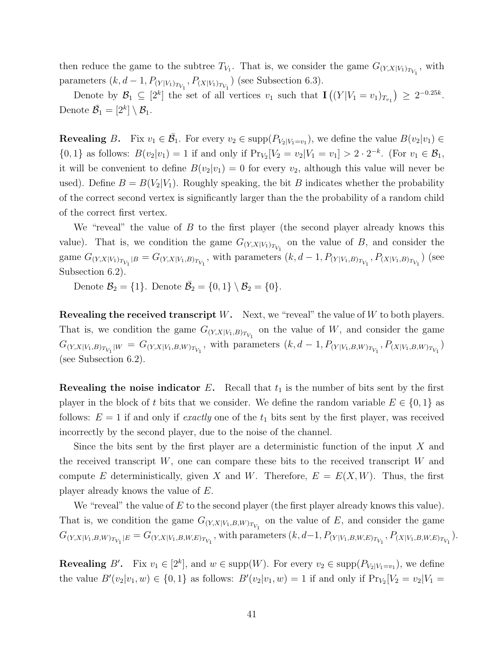then reduce the game to the subtree  $T_{V_1}$ . That is, we consider the game  $G_{(Y,X|V_1)_{T_{V_1}}}$ , with parameters  $(k, d - 1, P_{(Y|V_1)_{T_{V_1}}}, P_{(X|V_1)_{T_{V_1}}})$  (see Subsection 6.3).

Denote by  $\mathcal{B}_1 \subseteq [2^k]$  the set of all vertices  $v_1$  such that  $\mathbf{I}((Y|V_1 = v_1)_{T_{v_1}}) \geq 2^{-0.25k}$ . Denote  $\overline{\mathcal{B}}_1 = [2^k] \setminus \mathcal{B}_1$ .

**Revealing** B. Fix  $v_1 \in \overline{\mathcal{B}}_1$ . For every  $v_2 \in \text{supp}(P_{V_2|V_1=v_1})$ , we define the value  $B(v_2|v_1) \in$  $\{0,1\}$  as follows:  $B(v_2|v_1) = 1$  if and only if  $\Pr_{V_2}[V_2 = v_2|V_1 = v_1] > 2 \cdot 2^{-k}$ . (For  $v_1 \in \mathcal{B}_1$ , it will be convenient to define  $B(v_2|v_1) = 0$  for every  $v_2$ , although this value will never be used). Define  $B = B(V_2|V_1)$ . Roughly speaking, the bit B indicates whether the probability of the correct second vertex is significantly larger than the the probability of a random child of the correct first vertex.

We "reveal" the value of B to the first player (the second player already knows this value). That is, we condition the game  $G_{(Y,X|V_1)_{T_{V_1}}}$  on the value of B, and consider the game  $G_{(Y,X|V_1)_{T_{V_1}}|B}=G_{(Y,X|V_1,B)_{T_{V_1}}}$ , with parameters  $(k, d-1, P_{(Y|V_1,B)_{T_{V_1}}}, P_{(X|V_1,B)_{T_{V_1}}})$  (see Subsection 6.2).

Denote  $\mathcal{B}_2 = \{1\}$ . Denote  $\overline{\mathcal{B}}_2 = \{0, 1\} \setminus \mathcal{B}_2 = \{0\}$ .

**Revealing the received transcript** W. Next, we "reveal" the value of W to both players. That is, we condition the game  $G_{(Y,X|V_1,B)_{T_{V_1}}}$  on the value of W, and consider the game  $G_{(Y,X|V_1,B)_{T_{V_1}}|W} = G_{(Y,X|V_1,B,W)_{T_{V_1}}}$ , with parameters  $(k, d-1, P_{(Y|V_1,B,W)_{T_{V_1}}}, P_{(X|V_1,B,W)_{T_{V_1}}})$ (see Subsection 6.2).

**Revealing the noise indicator E.** Recall that  $t_1$  is the number of bits sent by the first player in the block of t bits that we consider. We define the random variable  $E \in \{0,1\}$  as follows:  $E = 1$  if and only if *exactly* one of the  $t_1$  bits sent by the first player, was received incorrectly by the second player, due to the noise of the channel.

Since the bits sent by the first player are a deterministic function of the input  $X$  and the received transcript  $W$ , one can compare these bits to the received transcript  $W$  and compute E deterministically, given X and W. Therefore,  $E = E(X, W)$ . Thus, the first player already knows the value of E.

We "reveal" the value of E to the second player (the first player already knows this value). That is, we condition the game  $G_{(Y,X|V_1,B,W)_{T_{V_1}}}$  on the value of E, and consider the game  $G_{(Y,X|V_1,B,W)_{T_{V_1}}|E} = G_{(Y,X|V_1,B,W,E)_{T_{V_1}}}$ , with parameters  $(k, d-1, P_{(Y|V_1,B,W,E)_{T_{V_1}}}, P_{(X|V_1,B,W,E)_{T_{V_1}}})$ .

**Revealing** B'. Fix  $v_1 \in [2^k]$ , and  $w \in \text{supp}(W)$ . For every  $v_2 \in \text{supp}(P_{V_2|V_1=v_1})$ , we define the value  $B'(v_2|v_1, w) \in \{0, 1\}$  as follows:  $B'(v_2|v_1, w) = 1$  if and only if  $\Pr_{V_2}[V_2 = v_2|V_1 =$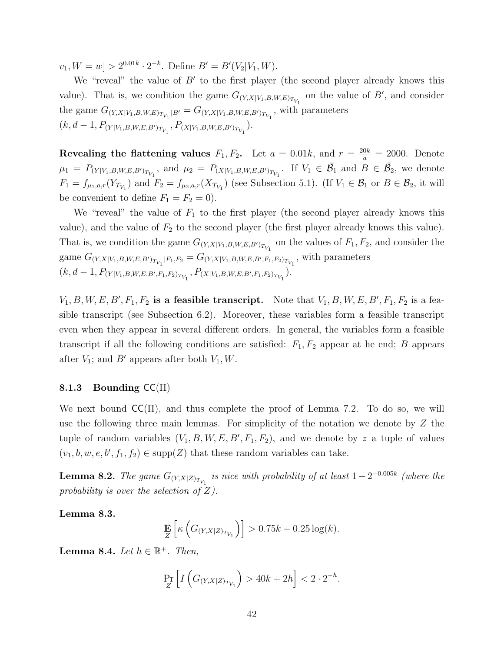$[v_1, W = w] > 2^{0.01k} \cdot 2^{-k}$ . Define  $B' = B'(V_2|V_1, W)$ .

We "reveal" the value of  $B'$  to the first player (the second player already knows this value). That is, we condition the game  $G_{(Y,X|V_1,B,W,E)_{T_{V_1}}}$  on the value of  $B'$ , and consider the game  $G_{(Y,X|V_1,B,W,E)_{T_{V_1}}|B'} = G_{(Y,X|V_1,B,W,E,B')_{T_{V_1}}}$ , with parameters  $(k, d-1, P_{(Y|V_1,B,W,E,B')_{T_{V_1}}}, P_{(X|V_1,B,W,E,B')_{T_{V_1}}}).$ 

Revealing the flattening values  $F_1, F_2$ . Let  $a = 0.01k$ , and  $r = \frac{20k}{a} = 2000$ . Denote  $\mu_1 = P_{(Y|V_1,B,W,E,B')_{T_{V_1}}}$ , and  $\mu_2 = P_{(X|V_1,B,W,E,B')_{T_{V_1}}}$ . If  $V_1 \in \overline{\mathcal{B}}_1$  and  $B \in \overline{\mathcal{B}}_2$ , we denote  $F_1 = f_{\mu_1, a, r}(Y_{T_{V_1}})$  and  $F_2 = f_{\mu_2, a, r}(X_{T_{V_1}})$  (see Subsection 5.1). (If  $V_1 \in \mathcal{B}_1$  or  $B \in \mathcal{B}_2$ , it will be convenient to define  $F_1 = F_2 = 0$ .

We "reveal" the value of  $F_1$  to the first player (the second player already knows this value), and the value of  $F_2$  to the second player (the first player already knows this value). That is, we condition the game  $G_{(Y,X|V_1,B,W,E,B')_{T_{V_1}}}$  on the values of  $F_1, F_2$ , and consider the game  $G_{(Y,X|V_1,B,W,E,B')_{T_{V_1}}|F_1,F_2} = G_{(Y,X|V_1,B,W,E,B',F_1,F_2)_{T_{V_1}}}$ , with parameters  $(k, d-1, P_{(Y|V_1, B, W, E, B', F_1, F_2)_{T_{V_1}}}, P_{(X|V_1, B, W, E, B', F_1, F_2)_{T_{V_1}}}).$ 

 $V_1, B, W, E, B', F_1, F_2$  is a feasible transcript. Note that  $V_1, B, W, E, B', F_1, F_2$  is a feasible transcript (see Subsection 6.2). Moreover, these variables form a feasible transcript even when they appear in several different orders. In general, the variables form a feasible transcript if all the following conditions are satisfied:  $F_1, F_2$  appear at he end; B appears after  $V_1$ ; and  $B'$  appears after both  $V_1, W$ .

#### 8.1.3 Bounding  $\mathsf{CC}(\Pi)$

We next bound  $\mathsf{CC}(\Pi)$ , and thus complete the proof of Lemma 7.2. To do so, we will use the following three main lemmas. For simplicity of the notation we denote by Z the tuple of random variables  $(V_1, B, W, E, B', F_1, F_2)$ , and we denote by z a tuple of values  $(v_1, b, w, e, b', f_1, f_2) \in \text{supp}(Z)$  that these random variables can take.

**Lemma 8.2.** The game  $G_{(Y,X|Z)_{T_{V_1}}}$  is nice with probability of at least  $1-2^{-0.005k}$  (where the probability is over the selection of  $Z$ ).

Lemma 8.3.

$$
\mathbf{E}\left[\kappa\left(G_{(Y,X|Z)_{T_{V_1}}}\right)\right] > 0.75k + 0.25\log(k).
$$

**Lemma 8.4.** Let  $h \in \mathbb{R}^+$ . Then,

$$
\Pr_Z \left[ I\left( G_{(Y,X|Z)_{T_{V_1}}} \right) > 40k + 2h \right] < 2 \cdot 2^{-h}.
$$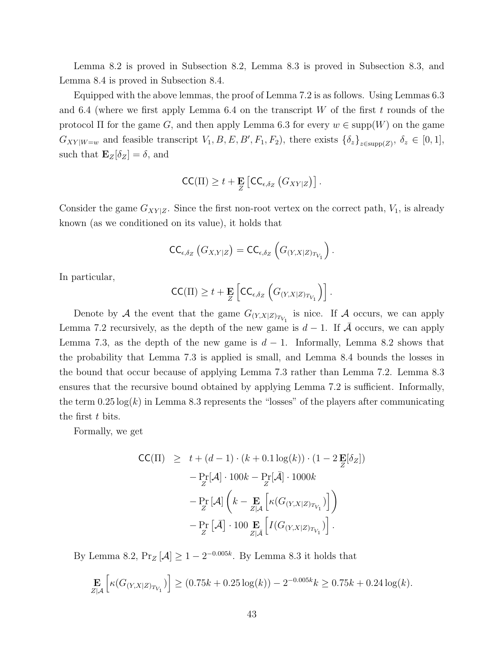Lemma 8.2 is proved in Subsection 8.2, Lemma 8.3 is proved in Subsection 8.3, and Lemma 8.4 is proved in Subsection 8.4.

Equipped with the above lemmas, the proof of Lemma 7.2 is as follows. Using Lemmas 6.3 and 6.4 (where we first apply Lemma 6.4 on the transcript W of the first t rounds of the protocol  $\Pi$  for the game G, and then apply Lemma 6.3 for every  $w \in \text{supp}(W)$  on the game  $G_{XY|W=w}$  and feasible transcript  $V_1, B, E, B', F_1, F_2$ , there exists  $\{\delta_z\}_{z \in \text{supp}(Z)}$ ,  $\delta_z \in [0,1]$ , such that  $\mathbf{E}_Z[\delta_Z] = \delta$ , and

$$
\mathsf{CC}(\Pi) \geq t + \mathbf{E}_{Z} \left[ \mathsf{CC}_{\epsilon, \delta_Z} (G_{XY|Z}) \right].
$$

Consider the game  $G_{XY|Z}$ . Since the first non-root vertex on the correct path,  $V_1$ , is already known (as we conditioned on its value), it holds that

$$
\mathsf{CC}_{\epsilon,\delta_Z}\left(G_{X,Y|Z}\right)=\mathsf{CC}_{\epsilon,\delta_Z}\left(G_{(Y,X|Z)_{T_{V_1}}}\right).
$$

In particular,

$$
\mathsf{CC}(\Pi) \geq t + \mathbf{E}_{Z} \left[ \mathsf{CC}_{\epsilon, \delta_Z} \left( G_{(Y, X|Z)_{T_{V_1}}} \right) \right].
$$

Denote by A the event that the game  $G_{(Y,X|Z)_{T_{V_1}}}$  is nice. If A occurs, we can apply Lemma 7.2 recursively, as the depth of the new game is  $d-1$ . If  $\overline{A}$  occurs, we can apply Lemma 7.3, as the depth of the new game is  $d-1$ . Informally, Lemma 8.2 shows that the probability that Lemma 7.3 is applied is small, and Lemma 8.4 bounds the losses in the bound that occur because of applying Lemma 7.3 rather than Lemma 7.2. Lemma 8.3 ensures that the recursive bound obtained by applying Lemma 7.2 is sufficient. Informally, the term  $0.25 \log(k)$  in Lemma 8.3 represents the "losses" of the players after communicating the first t bits.

Formally, we get

$$
\begin{array}{lcl} \mathsf{CC}(\Pi) & \geq & t + (d-1) \cdot (k+0.1 \log(k)) \cdot (1-2 \, \mathbf{E}[\delta_Z]) \\ & & - \Pr_Z[\mathcal{A}] \cdot 100k - \Pr_Z[\bar{\mathcal{A}}] \cdot 1000k \\ & & - \Pr_Z \left[ \mathcal{A} \right] \left( k - \mathbf{E} \left[ \kappa (G_{(Y,X|Z)_{T_{V_1}}}) \right] \right) \\ & & - \Pr_Z \left[ \bar{\mathcal{A}} \right] \cdot 100 \, \mathbf{E} \left[ I(G_{(Y,X|Z)_{T_{V_1}}}) \right]. \end{array}
$$

By Lemma 8.2,  $Pr_Z[\mathcal{A}] \ge 1 - 2^{-0.005k}$ . By Lemma 8.3 it holds that

$$
\mathop{\mathbf{E}}_{Z|\mathcal{A}}\left[\kappa(G_{(Y,X|Z)_{T_{V_1}}})\right] \ge (0.75k + 0.25\log(k)) - 2^{-0.005k}k \ge 0.75k + 0.24\log(k).
$$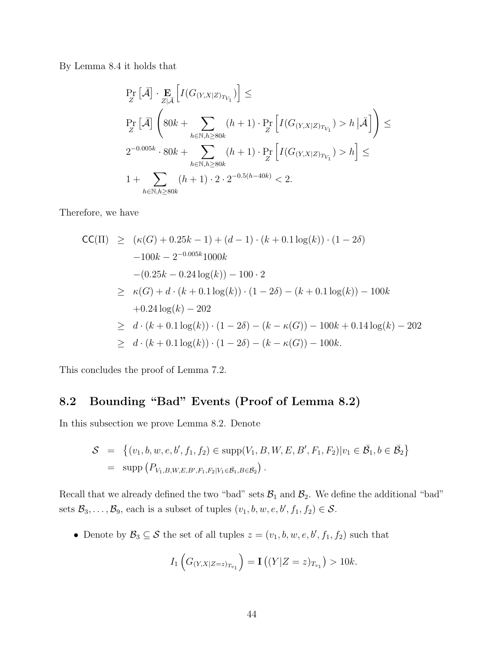By Lemma 8.4 it holds that

$$
\Pr_Z\left[\bar{\mathcal{A}}\right] \cdot \Pr_{Z|\bar{\mathcal{A}}}\left[I(G_{(Y,X|Z)_{T_{V_1}}})\right] \le
$$
\n
$$
\Pr_Z\left[\bar{\mathcal{A}}\right] \left(80k + \sum_{h \in \mathbb{N}, h \ge 80k} (h+1) \cdot \Pr_Z\left[I(G_{(Y,X|Z)_{T_{V_1}}}) > h \,|\bar{\mathcal{A}}\right]\right) \le
$$
\n
$$
2^{-0.005k} \cdot 80k + \sum_{h \in \mathbb{N}, h \ge 80k} (h+1) \cdot \Pr_Z\left[I(G_{(Y,X|Z)_{T_{V_1}}}) > h\right] \le
$$
\n
$$
1 + \sum_{h \in \mathbb{N}, h \ge 80k} (h+1) \cdot 2 \cdot 2^{-0.5(h-40k)} < 2.
$$

Therefore, we have

$$
\begin{aligned}\n\mathsf{CC}(\Pi) &\geq (\kappa(G) + 0.25k - 1) + (d - 1) \cdot (k + 0.1 \log(k)) \cdot (1 - 2\delta) \\
&- 100k - 2^{-0.005k} 1000k \\
&- (0.25k - 0.24 \log(k)) - 100 \cdot 2 \\
&\geq \kappa(G) + d \cdot (k + 0.1 \log(k)) \cdot (1 - 2\delta) - (k + 0.1 \log(k)) - 100k \\
&+ 0.24 \log(k) - 202 \\
&\geq d \cdot (k + 0.1 \log(k)) \cdot (1 - 2\delta) - (k - \kappa(G)) - 100k + 0.14 \log(k) - 202 \\
&\geq d \cdot (k + 0.1 \log(k)) \cdot (1 - 2\delta) - (k - \kappa(G)) - 100k.\n\end{aligned}
$$

This concludes the proof of Lemma 7.2.

## 8.2 Bounding "Bad" Events (Proof of Lemma 8.2)

In this subsection we prove Lemma 8.2. Denote

$$
S = \{(v_1, b, w, e, b', f_1, f_2) \in \text{supp}(V_1, B, W, E, B', F_1, F_2) | v_1 \in \overline{\mathcal{B}}_1, b \in \overline{\mathcal{B}}_2 \}
$$
  
= supp  $(P_{V_1, B, W, E, B', F_1, F_2 | V_1 \in \overline{\mathcal{B}}_1, B \in \overline{\mathcal{B}}_2)}$ .

Recall that we already defined the two "bad" sets  $\mathcal{B}_1$  and  $\mathcal{B}_2$ . We define the additional "bad" sets  $\mathcal{B}_3, \ldots, \mathcal{B}_9$ , each is a subset of tuples  $(v_1, b, w, e, b', f_1, f_2) \in \mathcal{S}$ .

• Denote by  $\mathcal{B}_3 \subseteq \mathcal{S}$  the set of all tuples  $z = (v_1, b, w, e, b', f_1, f_2)$  such that

$$
I_1\left(G_{(Y,X|Z=z)_{T_{v_1}}}\right) = \mathbf{I}\left((Y|Z=z)_{T_{v_1}}\right) > 10k.
$$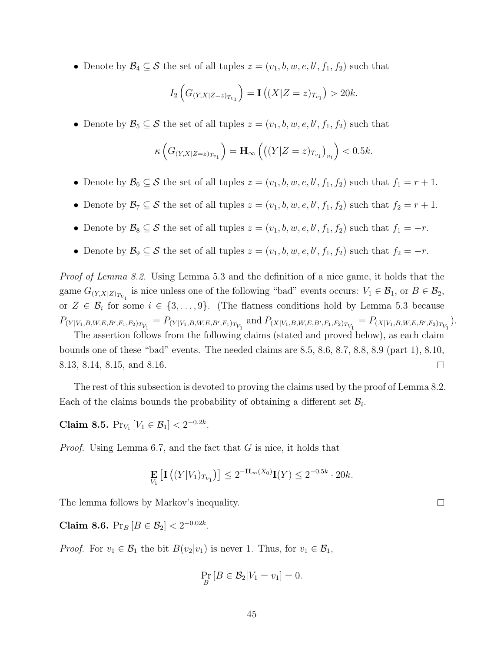• Denote by  $\mathcal{B}_4 \subseteq \mathcal{S}$  the set of all tuples  $z = (v_1, b, w, e, b', f_1, f_2)$  such that

$$
I_2\left(G_{(Y,X|Z=z)_{T_{v_1}}}\right) = \mathbf{I}\left((X|Z=z)_{T_{v_1}}\right) > 20k.
$$

• Denote by  $\mathcal{B}_5 \subseteq \mathcal{S}$  the set of all tuples  $z = (v_1, b, w, e, b', f_1, f_2)$  such that

$$
\kappa\left(G_{(Y,X|Z=z)_{T_{v_1}}}\right) = \mathbf{H}_{\infty}\left(\left((Y|Z=z)_{T_{v_1}}\right)_{v_1}\right) < 0.5k.
$$

- Denote by  $\mathcal{B}_6 \subseteq \mathcal{S}$  the set of all tuples  $z = (v_1, b, w, e, b', f_1, f_2)$  such that  $f_1 = r + 1$ .
- Denote by  $\mathcal{B}_7 \subseteq \mathcal{S}$  the set of all tuples  $z = (v_1, b, w, e, b', f_1, f_2)$  such that  $f_2 = r + 1$ .
- Denote by  $\mathcal{B}_8 \subseteq \mathcal{S}$  the set of all tuples  $z = (v_1, b, w, e, b', f_1, f_2)$  such that  $f_1 = -r$ .
- Denote by  $\mathcal{B}_9 \subseteq \mathcal{S}$  the set of all tuples  $z = (v_1, b, w, e, b', f_1, f_2)$  such that  $f_2 = -r$ .

Proof of Lemma 8.2. Using Lemma 5.3 and the definition of a nice game, it holds that the game  $G_{(Y,X|Z)_{T_{V_1}}}$  is nice unless one of the following "bad" events occurs:  $V_1 \in \mathcal{B}_1$ , or  $B \in \mathcal{B}_2$ , or  $Z \in \mathcal{B}_i$  for some  $i \in \{3, \ldots, 9\}$ . (The flatness conditions hold by Lemma 5.3 because  $P_{(Y|V_1,B,W,E,B',F_1,F_2)_{T_{V_1}}} = P_{(Y|V_1,B,W,E,B',F_1)_{T_{V_1}}}$  and  $P_{(X|V_1,B,W,E,B',F_1,F_2)_{T_{V_1}}} = P_{(X|V_1,B,W,E,B',F_2)_{T_{V_1}}}$ ).

The assertion follows from the following claims (stated and proved below), as each claim bounds one of these "bad" events. The needed claims are 8.5, 8.6, 8.7, 8.8, 8.9 (part 1), 8.10, 8.13, 8.14, 8.15, and 8.16.  $\Box$ 

The rest of this subsection is devoted to proving the claims used by the proof of Lemma 8.2. Each of the claims bounds the probability of obtaining a different set  $\mathcal{B}_i$ .

Claim 8.5.  $Pr_{V_1}[V_1 \in \mathcal{B}_1] < 2^{-0.2k}$ .

Proof. Using Lemma 6.7, and the fact that G is nice, it holds that

$$
\mathbf{E}_{V_1} \left[ \mathbf{I} \left( (Y|V_1)_{T_{V_1}} \right) \right] \leq 2^{-\mathbf{H}_{\infty}(X_0)} \mathbf{I}(Y) \leq 2^{-0.5k} \cdot 20k.
$$

The lemma follows by Markov's inequality.

Claim 8.6.  $Pr_B[B \in \mathcal{B}_2] < 2^{-0.02k}$ .

*Proof.* For  $v_1 \in \mathcal{B}_1$  the bit  $B(v_2|v_1)$  is never 1. Thus, for  $v_1 \in \mathcal{B}_1$ ,

$$
\Pr_B[B \in \mathcal{B}_2 | V_1 = v_1] = 0.
$$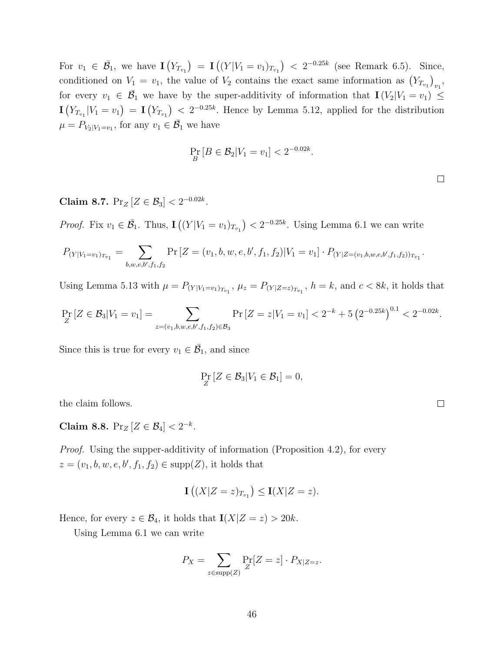For  $v_1 \in \bar{\mathcal{B}}_1$ , we have  $\mathbf{I}(Y_{T_{v_1}}) = \mathbf{I}((Y|V_1 = v_1)_{T_{v_1}}) < 2^{-0.25k}$  (see Remark 6.5). Since, conditioned on  $V_1 = v_1$ , the value of  $V_2$  contains the exact same information as  $(Y_{T_{v_1}})_{v_1}$ , for every  $v_1 \in \overline{\mathcal{B}}_1$  we have by the super-additivity of information that  $I(V_2|V_1 = v_1) \leq$  $\mathbf{I}(Y_{T_{v_1}}|V_1=v_1) = \mathbf{I}(Y_{T_{v_1}}) < 2^{-0.25k}$ . Hence by Lemma 5.12, applied for the distribution  $\mu = P_{V_2|V_1 = v_1}$ , for any  $v_1 \in \overline{\mathcal{B}}_1$  we have

$$
\Pr_B[B \in \mathcal{B}_2 | V_1 = v_1] < 2^{-0.02k}.
$$

Claim 8.7.  $Pr_Z[Z \in \mathcal{B}_3] < 2^{-0.02k}$ .

*Proof.* Fix  $v_1 \in \overline{\mathcal{B}}_1$ . Thus,  $\mathbf{I}((Y|V_1 = v_1)_{T_{v_1}}) < 2^{-0.25k}$ . Using Lemma 6.1 we can write

$$
P_{(Y|V_1=v_1)_{T_{v_1}}} = \sum_{b,w,e,b',f_1,f_2} \Pr\left[Z=(v_1,b,w,e,b',f_1,f_2)|V_1=v_1\right] \cdot P_{(Y|Z=(v_1,b,w,e,b',f_1,f_2))_{T_{v_1}}}.
$$

Using Lemma 5.13 with  $\mu = P_{(Y|V_1 = v_1)_{T_{v_1}}}$ ,  $\mu_z = P_{(Y|Z=z)_{T_{v_1}}}$ ,  $h = k$ , and  $c < 8k$ , it holds that

$$
\Pr_Z[Z \in \mathcal{B}_3 | V_1 = v_1] = \sum_{z = (v_1, b, w, e, b', f_1, f_2) \in \mathcal{B}_3} \Pr[Z = z | V_1 = v_1] < 2^{-k} + 5 \left( 2^{-0.25k} \right)^{0.1} < 2^{-0.02k}.
$$

Since this is true for every  $v_1 \in \overline{\mathcal{B}}_1$ , and since

$$
\Pr_Z[Z \in \mathcal{B}_3 | V_1 \in \mathcal{B}_1] = 0,
$$

the claim follows.

Claim 8.8.  $Pr_Z[Z \in \mathcal{B}_4] < 2^{-k}$ .

Proof. Using the supper-additivity of information (Proposition 4.2), for every  $z = (v_1, b, w, e, b', f_1, f_2) \in \text{supp}(Z)$ , it holds that

$$
\mathbf{I}\left((X|Z=z)_{T_{v_1}}\right) \le \mathbf{I}(X|Z=z).
$$

Hence, for every  $z \in \mathcal{B}_4$ , it holds that  $\mathbf{I}(X|Z=z) > 20k$ .

Using Lemma 6.1 we can write

$$
P_X = \sum_{z \in \text{supp}(Z)} \Pr_{Z}[Z = z] \cdot P_{X|Z=z}.
$$

 $\Box$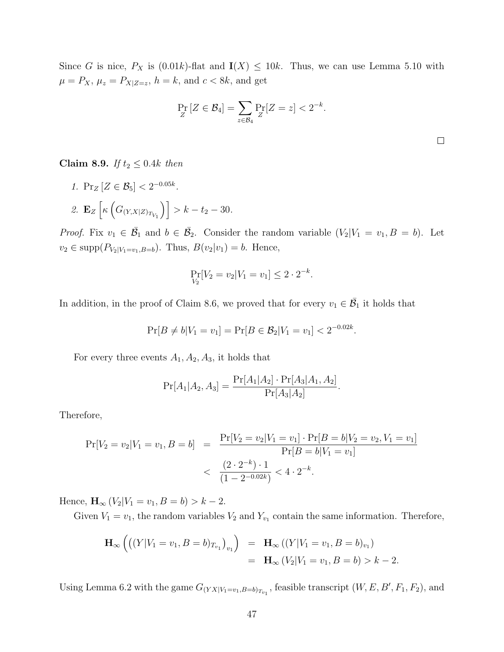Since G is nice,  $P_X$  is  $(0.01k)$ -flat and  $\mathbf{I}(X) \leq 10k$ . Thus, we can use Lemma 5.10 with  $\mu = P_X$ ,  $\mu_z = P_{X|Z=z}$ ,  $h = k$ , and  $c < 8k$ , and get

$$
\Pr_Z[Z \in \mathcal{B}_4] = \sum_{z \in \mathcal{B}_4} \Pr_Z[Z = z] < 2^{-k}.
$$

Claim 8.9. If  $t_2 \leq 0.4k$  then

1.  $\Pr_Z[Z \in \mathcal{B}_5] < 2^{-0.05k}$ . 2.  $\mathbf{E}_Z \left[ \kappa \left( G_{(Y,X|Z)_{T_{V_1}}} \right) \right] > k - t_2 - 30.$ 

*Proof.* Fix  $v_1 \in \overline{\mathcal{B}}_1$  and  $b \in \overline{\mathcal{B}}_2$ . Consider the random variable  $(V_2|V_1 = v_1, B = b)$ . Let  $v_2 \in \text{supp}(P_{V_2|V_1=v_1,B=b})$ . Thus,  $B(v_2|v_1) = b$ . Hence,

$$
\Pr_{V_2}[V_2 = v_2 | V_1 = v_1] \le 2 \cdot 2^{-k}
$$

.

In addition, in the proof of Claim 8.6, we proved that for every  $v_1 \in \overline{\mathcal{B}}_1$  it holds that

$$
\Pr[B \neq b | V_1 = v_1] = \Pr[B \in \mathcal{B}_2 | V_1 = v_1] < 2^{-0.02k}.
$$

For every three events  $A_1, A_2, A_3$ , it holds that

$$
Pr[A_1|A_2, A_3] = \frac{Pr[A_1|A_2] \cdot Pr[A_3|A_1, A_2]}{Pr[A_3|A_2]}.
$$

Therefore,

$$
\Pr[V_2 = v_2 | V_1 = v_1, B = b] = \frac{\Pr[V_2 = v_2 | V_1 = v_1] \cdot \Pr[B = b | V_2 = v_2, V_1 = v_1]}{\Pr[B = b | V_1 = v_1]} < \frac{(2 \cdot 2^{-k}) \cdot 1}{(1 - 2^{-0.02k})} < 4 \cdot 2^{-k}.
$$

Hence,  $\mathbf{H}_{\infty} (V_2 | V_1 = v_1, B = b) > k - 2.$ 

Given  $V_1 = v_1$ , the random variables  $V_2$  and  $Y_{v_1}$  contain the same information. Therefore,

$$
\mathbf{H}_{\infty} ((Y|V_1 = v_1, B = b)_{T_{v_1}})_{v_1}) = \mathbf{H}_{\infty} ((Y|V_1 = v_1, B = b)_{v_1})
$$
  
=  $\mathbf{H}_{\infty} (V_2|V_1 = v_1, B = b) > k - 2.$ 

Using Lemma 6.2 with the game  $G_{(YX|V_1=v_1,B=b)_{T_{v_1}}}$ , feasible transcript  $(W, E, B', F_1, F_2)$ , and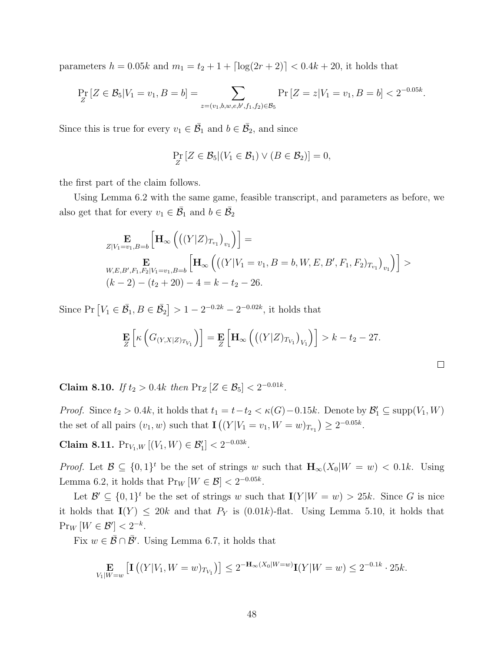parameters  $h = 0.05k$  and  $m_1 = t_2 + 1 + \lfloor \log(2r + 2) \rfloor < 0.4k + 20$ , it holds that

$$
\Pr_Z[Z \in \mathcal{B}_5 | V_1 = v_1, B = b] = \sum_{z = (v_1, b, w, e, b', f_1, f_2) \in \mathcal{B}_5} \Pr[Z = z | V_1 = v_1, B = b] < 2^{-0.05k}.
$$

Since this is true for every  $v_1 \in \overline{\mathcal{B}}_1$  and  $b \in \overline{\mathcal{B}}_2$ , and since

$$
\Pr_Z[Z \in \mathcal{B}_5 | (V_1 \in \mathcal{B}_1) \vee (B \in \mathcal{B}_2)] = 0,
$$

the first part of the claim follows.

Using Lemma 6.2 with the same game, feasible transcript, and parameters as before, we also get that for every  $v_1 \in \overline{\mathcal{B}}_1$  and  $b \in \overline{\mathcal{B}}_2$ 

$$
\mathop{\mathbf{E}}_{Z|V_1=v_1,B=b} \left[ \mathbf{H}_{\infty} \left( \left( (Y|Z)_{T_{v_1}} \right)_{v_1} \right) \right] =
$$
\n
$$
\mathop{\mathbf{E}}_{W,E,B',F_1,F_2|V_1=v_1,B=b} \left[ \mathbf{H}_{\infty} \left( \left( (Y|V_1=v_1,B=b,W,E,B',F_1,F_2)_{T_{v_1}} \right)_{v_1} \right) \right] >
$$
\n
$$
(k-2) - (t_2 + 20) - 4 = k - t_2 - 26.
$$

Since Pr  $[V_1 \in \overline{\mathcal{B}}_1, B \in \overline{\mathcal{B}}_2] > 1 - 2^{-0.2k} - 2^{-0.02k}$ , it holds that

$$
\mathbf{E}_{Z}\left[\kappa\left(G_{(Y,X|Z)_{T_{V_1}}}\right)\right] = \mathbf{E}_{Z}\left[\mathbf{H}_{\infty}\left(\left((Y|Z)_{T_{V_1}}\right)_{V_1}\right)\right] > k - t_2 - 27.
$$

 $\Box$ 

Claim 8.10. If  $t_2 > 0.4k$  then  $Pr_Z[Z \in \mathcal{B}_5] < 2^{-0.01k}$ .

*Proof.* Since  $t_2 > 0.4k$ , it holds that  $t_1 = t - t_2 < \kappa(G) - 0.15k$ . Denote by  $\mathcal{B}'_1 \subseteq \text{supp}(V_1, W)$ the set of all pairs  $(v_1, w)$  such that  $\mathbf{I}((Y | V_1 = v_1, W = w)_{T_{v_1}}) \ge 2^{-0.05k}$ .

Claim 8.11.  $Pr_{V_1,W} [(V_1,W) \in \mathcal{B}'_1] < 2^{-0.03k}$ .

*Proof.* Let  $\mathcal{B} \subseteq \{0,1\}^t$  be the set of strings w such that  $\mathbf{H}_{\infty}(X_0|W=w) < 0.1k$ . Using Lemma 6.2, it holds that  $Pr_W[W \in \mathcal{B}] < 2^{-0.05k}$ .

Let  $\mathcal{B}' \subseteq \{0,1\}^t$  be the set of strings w such that  $I(Y|W = w) > 25k$ . Since G is nice it holds that  $I(Y) \le 20k$  and that  $P_Y$  is  $(0.01k)$ -flat. Using Lemma 5.10, it holds that  $Pr_W[W \in \mathcal{B}'] < 2^{-k}.$ 

Fix  $w \in \overline{\mathcal{B}} \cap \overline{\mathcal{B}}'$ . Using Lemma 6.7, it holds that

$$
\mathop{\mathbf{E}}_{V_1|W=w}\left[\mathbf{I}\left((Y|V_1, W=w)_{T_{V_1}}\right)\right] \leq 2^{-\mathbf{H}_{\infty}(X_0|W=w)}\mathbf{I}(Y|W=w) \leq 2^{-0.1k} \cdot 25k.
$$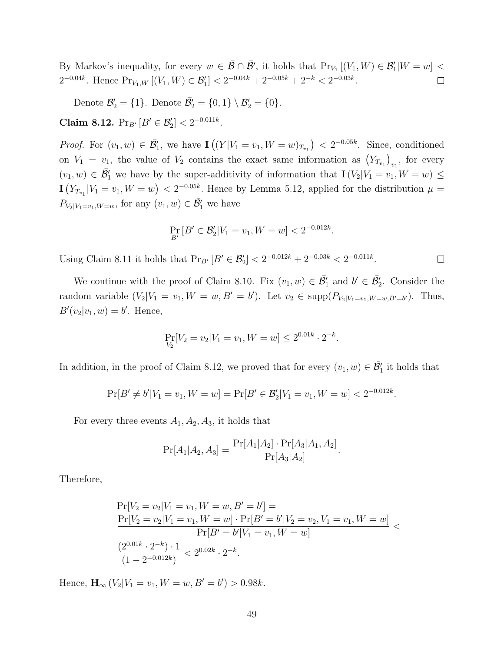By Markov's inequality, for every  $w \in \overline{\mathcal{B}} \cap \overline{\mathcal{B}}'$ , it holds that  $Pr_{V_1} [(V_1, W) \in \mathcal{B}'_1 | W = w]$  $2^{-0.04k}$ . Hence  $Pr_{V_1,W} [(V_1,W) \in \mathcal{B}'_1] < 2^{-0.04k} + 2^{-0.05k} + 2^{-k} < 2^{-0.03k}$ .  $\Box$ 

Denote  $\mathcal{B}'_2 = \{1\}$ . Denote  $\overline{\mathcal{B}}'_2 = \{0,1\} \setminus \mathcal{B}'_2 = \{0\}$ .

Claim 8.12.  $Pr_{B'} [B' \in \mathcal{B}'_2] < 2^{-0.011k}$ .

*Proof.* For  $(v_1, w) \in \overline{\mathcal{B}}'_1$ , we have  $\mathbf{I}((Y|V_1 = v_1, W = w)_{T_{v_1}}) < 2^{-0.05k}$ . Since, conditioned on  $V_1 = v_1$ , the value of  $V_2$  contains the exact same information as  $(Y_{T_{v_1}})_{v_1}$ , for every  $(v_1, w) \in \overline{\mathcal{B}}'_1$  we have by the super-additivity of information that  $\mathbf{I}(V_2|V_1 = v_1, W = w) \leq$  $\mathbf{I}(Y_{T_{v_1}}|V_1=v_1, W=w) < 2^{-0.05k}$ . Hence by Lemma 5.12, applied for the distribution  $\mu =$  $P_{V_2|V_1=v_1,W=w}$ , for any  $(v_1, w) \in \overline{\mathcal{B}}'_1$  we have

$$
\Pr_{B'}\left[B' \in \mathcal{B}'_2 | V_1 = v_1, W = w\right] < 2^{-0.012k}.
$$

Using Claim 8.11 it holds that  $Pr_{B'}[B' \in \mathcal{B}'_2] < 2^{-0.012k} + 2^{-0.03k} < 2^{-0.011k}$ .  $\Box$ 

We continue with the proof of Claim 8.10. Fix  $(v_1, w) \in \overline{\mathcal{B}}'_1$  and  $b' \in \overline{\mathcal{B}}'_2$ . Consider the random variable  $(V_2|V_1 = v_1, W = w, B' = b')$ . Let  $v_2 \in \text{supp}(P_{V_2|V_1=v_1, W=w, B'=b'})$ . Thus,  $B'(v_2|v_1,w) = b'$ . Hence,

$$
\Pr_{V_2}[V_2 = v_2 | V_1 = v_1, W = w] \le 2^{0.01k} \cdot 2^{-k}.
$$

In addition, in the proof of Claim 8.12, we proved that for every  $(v_1, w) \in \overline{\mathcal{B}}'_1$  it holds that

$$
\Pr[B' \neq b'|V_1 = v_1, W = w] = \Pr[B' \in \mathcal{B}'_2 | V_1 = v_1, W = w] < 2^{-0.012k}.
$$

For every three events  $A_1, A_2, A_3$ , it holds that

$$
Pr[A_1|A_2, A_3] = \frac{Pr[A_1|A_2] \cdot Pr[A_3|A_1, A_2]}{Pr[A_3|A_2]}.
$$

Therefore,

$$
\Pr[V_2 = v_2 | V_1 = v_1, W = w, B' = b'] =
$$
\n
$$
\frac{\Pr[V_2 = v_2 | V_1 = v_1, W = w] \cdot \Pr[B' = b' | V_2 = v_2, V_1 = v_1, W = w]}{\Pr[B' = b' | V_1 = v_1, W = w]} \n\frac{(2^{0.01k} \cdot 2^{-k}) \cdot 1}{(1 - 2^{-0.012k})} < 2^{0.02k} \cdot 2^{-k}.
$$

Hence,  $\mathbf{H}_{\infty} (V_2 | V_1 = v_1, W = w, B' = b') > 0.98k.$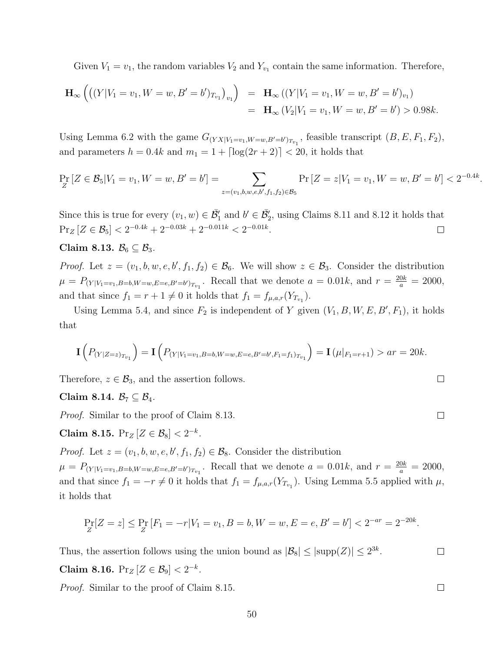Given  $V_1 = v_1$ , the random variables  $V_2$  and  $Y_{v_1}$  contain the same information. Therefore,

$$
\mathbf{H}_{\infty} \left( \left( (Y|V_1 = v_1, W = w, B' = b')_{T_{v_1}} \right)_{v_1} \right) = \mathbf{H}_{\infty} \left( (Y|V_1 = v_1, W = w, B' = b')_{v_1} \right)
$$
  
=  $\mathbf{H}_{\infty} \left( V_2|V_1 = v_1, W = w, B' = b' \right) > 0.98k.$ 

Using Lemma 6.2 with the game  $G_{(YX|V_1=v_1,W=w,B'=b')_{T_{v_1}}}$ , feasible transcript  $(B, E, F_1, F_2)$ , and parameters  $h = 0.4k$  and  $m_1 = 1 + \lfloor \log(2r + 2) \rfloor < 20$ , it holds that

$$
\Pr_Z[Z \in \mathcal{B}_5 | V_1 = v_1, W = w, B' = b'] = \sum_{z = (v_1, b, w, e, b', f_1, f_2) \in \mathcal{B}_5} \Pr[Z = z | V_1 = v_1, W = w, B' = b'] < 2^{-0.4k}.
$$

Since this is true for every  $(v_1, w) \in \overline{\mathcal{B}}'_1$  and  $b' \in \overline{\mathcal{B}}'_2$ , using Claims 8.11 and 8.12 it holds that  $Pr_Z[Z \in \mathcal{B}_5] < 2^{-0.4k} + 2^{-0.03k} + 2^{-0.011k} < 2^{-0.01k}.$  $\Box$ 

Claim 8.13.  $\mathcal{B}_6 \subseteq \mathcal{B}_3$ .

*Proof.* Let  $z = (v_1, b, w, e, b', f_1, f_2) \in \mathcal{B}_6$ . We will show  $z \in \mathcal{B}_3$ . Consider the distribution  $\mu = P_{(Y|V_1=v_1,B=b,W=w,E=e,B'=b')_{T_{v_1}}}$ . Recall that we denote  $a = 0.01k$ , and  $r = \frac{20k}{a} = 2000$ , and that since  $f_1 = r + 1 \neq 0$  it holds that  $f_1 = f_{\mu,a,r}(Y_{T_{v_1}})$ .

Using Lemma 5.4, and since  $F_2$  is independent of Y given  $(V_1, B, W, E, B', F_1)$ , it holds that

$$
\mathbf{I}\left(P_{(Y|Z=z)_{T_{v_1}}}\right) = \mathbf{I}\left(P_{(Y|V_1=v_1,B=b,W=w,E=e,B'=b',F_1=f_1)_{T_{v_1}}}\right) = \mathbf{I}\left(\mu|_{F_1=r+1}\right) > ar = 20k.
$$

Therefore,  $z \in \mathcal{B}_3$ , and the assertion follows.

Claim 8.14.  $\mathcal{B}_7 \subseteq \mathcal{B}_4$ .

Proof. Similar to the proof of Claim 8.13.

Claim 8.15.  $Pr_Z[Z \in \mathcal{B}_8] < 2^{-k}$ .

*Proof.* Let  $z = (v_1, b, w, e, b', f_1, f_2) \in \mathcal{B}_8$ . Consider the distribution  $\mu = P_{(Y|V_1=v_1,B=b,W=w,E=e,B'=b')_{T_{v_1}}}$ . Recall that we denote  $a = 0.01k$ , and  $r = \frac{20k}{a} = 2000$ , and that since  $f_1 = -r \neq 0$  it holds that  $f_1 = f_{\mu,a,r}(Y_{T_{v_1}})$ . Using Lemma 5.5 applied with  $\mu$ , it holds that

$$
\Pr_Z[Z = z] \le \Pr_Z[F_1 = -r|V_1 = v_1, B = b, W = w, E = e, B' = b'] < 2^{-ar} = 2^{-20k}.
$$

Thus, the assertion follows using the union bound as  $|\mathcal{B}_8| \leq |\text{supp}(Z)| \leq 2^{3k}$ .

Claim 8.16.  $Pr_Z[Z \in \mathcal{B}_9] < 2^{-k}$ .

Proof. Similar to the proof of Claim 8.15.

 $\Box$ 

 $\Box$ 

 $\Box$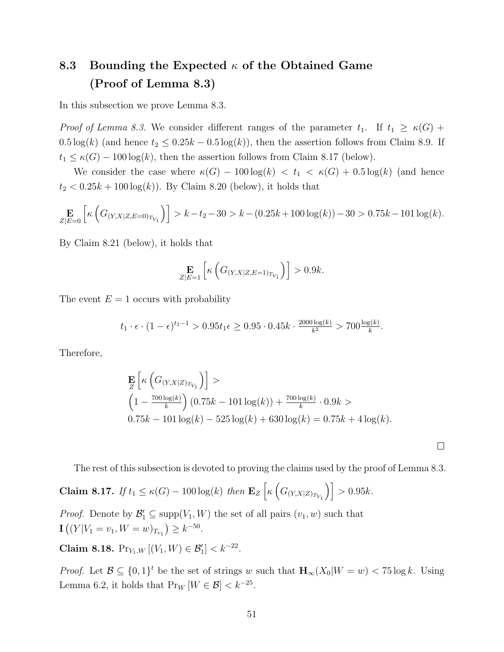# 8.3 Bounding the Expected  $\kappa$  of the Obtained Game (Proof of Lemma 8.3)

In this subsection we prove Lemma 8.3.

*Proof of Lemma 8.3.* We consider different ranges of the parameter  $t_1$ . If  $t_1 \ge \kappa(G)$  +  $0.5 \log(k)$  (and hence  $t_2 \leq 0.25k - 0.5 \log(k)$ ), then the assertion follows from Claim 8.9. If  $t_1 \leq \kappa(G) - 100 \log(k)$ , then the assertion follows from Claim 8.17 (below).

We consider the case where  $\kappa(G) - 100 \log(k) < t_1 < \kappa(G) + 0.5 \log(k)$  (and hence  $t_2 < 0.25k + 100 \log(k)$ . By Claim 8.20 (below), it holds that

$$
\mathop{\mathbf{E}}_{|Z|E=0} \left[ \kappa \left( G_{(Y,X|Z,E=0)_{T_{V_1}}} \right) \right] > k - t_2 - 30 > k - (0.25k + 100 \log(k)) - 30 > 0.75k - 101 \log(k).
$$

By Claim 8.21 (below), it holds that

$$
\mathop{\mathbf{E}}_{Z|E=1} \left[ \kappa \left( G_{(Y,X|Z,E=1)_{T_{V_1}}} \right) \right] > 0.9k.
$$

The event  $E = 1$  occurs with probability

$$
t_1 \cdot \epsilon \cdot (1 - \epsilon)^{t_1 - 1} > 0.95t_1 \epsilon \ge 0.95 \cdot 0.45k \cdot \frac{2000 \log(k)}{k^2} > 700 \frac{\log(k)}{k}.
$$

Therefore,

$$
\mathbf{E}_{Z} \left[ \kappa \left( G_{(Y,X|Z)_{T_{V_1}}} \right) \right] > \n\left( 1 - \frac{700 \log(k)}{k} \right) (0.75k - 101 \log(k)) + \frac{700 \log(k)}{k} \cdot 0.9k > \n0.75k - 101 \log(k) - 525 \log(k) + 630 \log(k) = 0.75k + 4 \log(k).
$$

The rest of this subsection is devoted to proving the claims used by the proof of Lemma 8.3.

 $\Box$ 

**Claim 8.17.** If  $t_1 \le \kappa(G) - 100 \log(k)$  then  $\mathbf{E}_Z \left[ \kappa \left( G_{(Y,X|Z)_{T_{V_1}}} \right) \right] > 0.95k$ .

*Proof.* Denote by  $\mathcal{B}'_1 \subseteq \text{supp}(V_1, W)$  the set of all pairs  $(v_1, w)$  such that  $\mathbf{I}\left( (Y|V_1=v_1, W=w)_{T_{v_1}} \right) \geq k^{-50}.$ 

Claim 8.18.  $Pr_{V_1,W} [(V_1,W) \in \mathcal{B}'_1] < k^{-22}$ .

*Proof.* Let  $\mathcal{B} \subseteq \{0,1\}^t$  be the set of strings w such that  $\mathbf{H}_{\infty}(X_0|W=w) < 75 \log k$ . Using Lemma 6.2, it holds that  $Pr_W[W \in \mathcal{B}] < k^{-25}$ .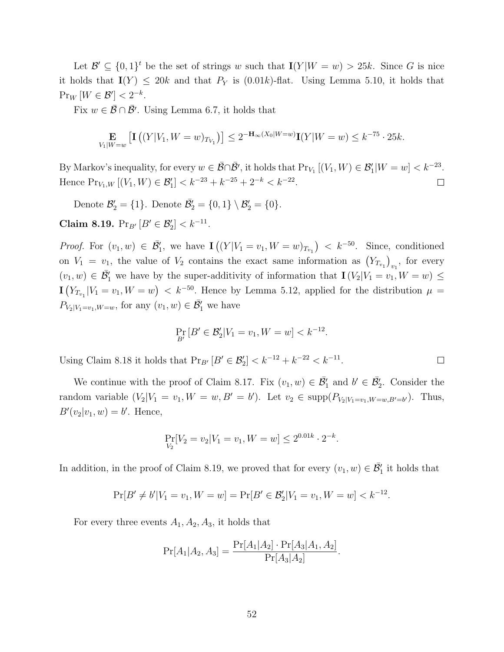Let  $\mathcal{B}' \subseteq \{0,1\}^t$  be the set of strings w such that  $I(Y|W = w) > 25k$ . Since G is nice it holds that  $I(Y) \le 20k$  and that  $P_Y$  is  $(0.01k)$ -flat. Using Lemma 5.10, it holds that  $\Pr_W[W \in \mathcal{B}'] < 2^{-k}.$ 

Fix  $w \in \overline{\mathcal{B}} \cap \overline{\mathcal{B}}'$ . Using Lemma 6.7, it holds that

$$
\mathop{\mathbf{E}}_{V_1|W=w}\left[\mathbf{I}\left((Y|V_1,W=w)_{T_{V_1}}\right)\right] \leq 2^{-\mathbf{H}_{\infty}(X_0|W=w)}\mathbf{I}(Y|W=w) \leq k^{-75}\cdot 25k.
$$

By Markov's inequality, for every  $w \in \overline{\mathcal{B}} \cap \overline{\mathcal{B}}'$ , it holds that  $Pr_{V_1} [(V_1, W) \in \mathcal{B}'_1 | W = w] < k^{-23}$ . Hence  $Pr_{V_1,W} [(V_1, W) \in \mathcal{B}'_1] < k^{-23} + k^{-25} + 2^{-k} < k^{-22}$ .  $\Box$ 

Denote  $\mathcal{B}'_2 = \{1\}$ . Denote  $\overline{\mathcal{B}}'_2 = \{0,1\} \setminus \mathcal{B}'_2 = \{0\}$ .

Claim 8.19.  $Pr_{B'} [B' \in \mathcal{B}'_2] < k^{-11}$ .

*Proof.* For  $(v_1, w) \in \overline{\mathcal{B}}'_1$ , we have  $\mathbf{I}((Y|V_1 = v_1, W = w)_{T_{v_1}}) < k^{-50}$ . Since, conditioned on  $V_1 = v_1$ , the value of  $V_2$  contains the exact same information as  $(Y_{T_{v_1}})_{v_1}$ , for every  $(v_1, w) \in \overline{\mathcal{B}}'_1$  we have by the super-additivity of information that  $\mathbf{I}(V_2|V_1 = v_1, W = w) \leq$  $\mathbf{I}(Y_{T_{v_1}}|V_1=v_1, W=w) < k^{-50}$ . Hence by Lemma 5.12, applied for the distribution  $\mu =$  $P_{V_2|V_1=v_1,W=w}$ , for any  $(v_1, w) \in \overline{\mathcal{B}}'_1$  we have

$$
\Pr_{B'}\left[B' \in \mathcal{B}'_2 | V_1 = v_1, W = w\right] < k^{-12}.
$$

Using Claim 8.18 it holds that  $Pr_{B'} [B' \in \mathcal{B}'_2] < k^{-12} + k^{-22} < k^{-11}$ .

We continue with the proof of Claim 8.17. Fix  $(v_1, w) \in \overline{\mathcal{B}}'_1$  and  $b' \in \overline{\mathcal{B}}'_2$ . Consider the random variable  $(V_2|V_1 = v_1, W = w, B' = b')$ . Let  $v_2 \in \text{supp}(P_{V_2|V_1=v_1, W=w, B'=b'})$ . Thus,  $B'(v_2|v_1,w) = b'$ . Hence,

$$
\Pr_{V_2}[V_2 = v_2 | V_1 = v_1, W = w] \le 2^{0.01k} \cdot 2^{-k}.
$$

In addition, in the proof of Claim 8.19, we proved that for every  $(v_1, w) \in \overline{\mathcal{B}}'_1$  it holds that

$$
\Pr[B' \neq b'|V_1 = v_1, W = w] = \Pr[B' \in \mathcal{B}'_2 | V_1 = v_1, W = w] < k^{-12}.
$$

For every three events  $A_1, A_2, A_3$ , it holds that

$$
Pr[A_1|A_2, A_3] = \frac{Pr[A_1|A_2] \cdot Pr[A_3|A_1, A_2]}{Pr[A_3|A_2]}.
$$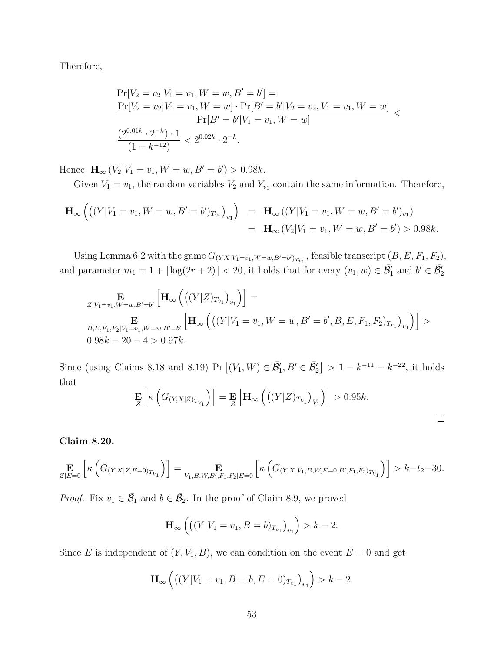Therefore,

$$
\Pr[V_2 = v_2 | V_1 = v_1, W = w, B' = b'] =
$$
\n
$$
\frac{\Pr[V_2 = v_2 | V_1 = v_1, W = w] \cdot \Pr[B' = b' | V_2 = v_2, V_1 = v_1, W = w]}{\Pr[B' = b' | V_1 = v_1, W = w]}
$$
\n
$$
\frac{(2^{0.01k} \cdot 2^{-k}) \cdot 1}{(1 - k^{-12})} < 2^{0.02k} \cdot 2^{-k}.
$$

Hence,  $\mathbf{H}_{\infty} (V_2 | V_1 = v_1, W = w, B' = b') > 0.98k.$ 

Given  $V_1 = v_1$ , the random variables  $V_2$  and  $Y_{v_1}$  contain the same information. Therefore,

$$
\mathbf{H}_{\infty} \left( \left( (Y|V_1 = v_1, W = w, B' = b')_{T_{v_1}} \right)_{v_1} \right) = \mathbf{H}_{\infty} \left( (Y|V_1 = v_1, W = w, B' = b')_{v_1} \right)
$$
  
=  $\mathbf{H}_{\infty} \left( V_2|V_1 = v_1, W = w, B' = b' \right) > 0.98k.$ 

Using Lemma 6.2 with the game  $G_{(YX|V_1=v_1,W=w,B'=b')_{T_{v_1}}}$ , feasible transcript  $(B, E, F_1, F_2)$ , and parameter  $m_1 = 1 + \lceil \log(2r + 2) \rceil < 20$ , it holds that for every  $(v_1, w) \in \overline{\mathcal{B}}_1$  and  $b' \in \overline{\mathcal{B}}_2$ 

$$
\mathbf{E}_{Z|V_1=v_1,W=w,B'=b'}\left[\mathbf{H}_{\infty}\left(\left((Y|Z)_{T_{v_1}}\right)_{v_1}\right)\right]=\n\mathbf{E}_{B,E,F_1,F_2|V_1=v_1,W=w,B'=b'}\left[\mathbf{H}_{\infty}\left(\left((Y|V_1=v_1,W=w,B'=b',B,E,F_1,F_2)_{T_{v_1}}\right)_{v_1}\right)\right] > \\
0.98k - 20 - 4 > 0.97k.
$$

Since (using Claims 8.18 and 8.19) Pr  $[(V_1, W) \in \bar{\mathcal{B}}'_1, B' \in \bar{\mathcal{B}}'_2] > 1 - k^{-11} - k^{-22}$ , it holds that

$$
\mathbf{E}_{Z}\left[\kappa\left(G_{(Y,X|Z)_{T_{V_1}}}\right)\right] = \mathbf{E}_{Z}\left[\mathbf{H}_{\infty}\left(\left((Y|Z)_{T_{V_1}}\right)_{V_1}\right)\right] > 0.95k.
$$

Claim 8.20.

$$
\mathop{\mathbf{E}}_{Z|E=0} \left[ \kappa \left( G_{(Y,X|Z,E=0)_{T_{V_1}}} \right) \right] = \mathop{\mathbf{E}}_{V_1,B,W,B',F_1,F_2|E=0} \left[ \kappa \left( G_{(Y,X|V_1,B,W,E=0,B',F_1,F_2)_{T_{V_1}}} \right) \right] > k - t_2 - 30.
$$

*Proof.* Fix  $v_1 \in \overline{\mathcal{B}}_1$  and  $b \in \overline{\mathcal{B}}_2$ . In the proof of Claim 8.9, we proved

$$
\mathbf{H}_{\infty}\left(\left((Y|V_1 = v_1, B = b)_{T_{v_1}}\right)_{v_1}\right) > k - 2.
$$

Since E is independent of  $(Y, V_1, B)$ , we can condition on the event  $E = 0$  and get

$$
\mathbf{H}_{\infty}\left(\left((Y|V_1=v_1,B=b,E=0)_{T_{v_1}}\right)_{v_1}\right) > k-2.
$$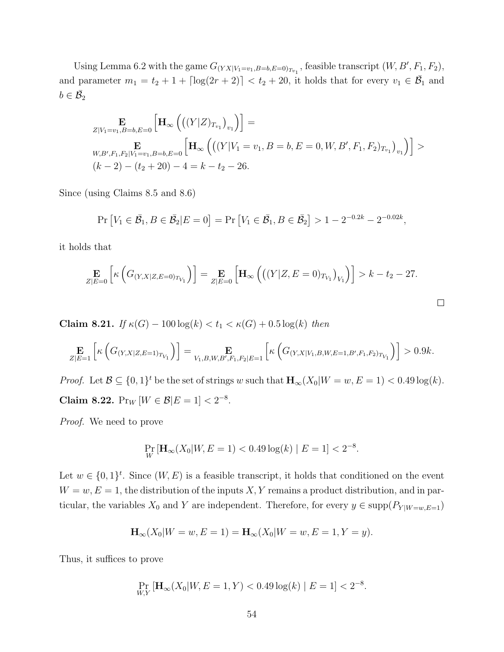Using Lemma 6.2 with the game  $G_{(YX|V_1=v_1,B=b,E=0)}$ , feasible transcript  $(W, B', F_1, F_2)$ , and parameter  $m_1 = t_2 + 1 + \lceil \log(2r + 2) \rceil < t_2 + 20$ , it holds that for every  $v_1 \in \overline{\mathcal{B}}_1$  and  $b \in \overline{\mathcal{B}}_2$ 

$$
\mathop{\mathbf{E}}_{Z|V_1=v_1,B=b,E=0} \left[ \mathbf{H}_{\infty} \left( \left( (Y|Z)_{T_{v_1}} \right)_{v_1} \right) \right] =
$$
\n
$$
\mathop{\mathbf{E}}_{W,B',F_1,F_2|V_1=v_1,B=b,E=0} \left[ \mathbf{H}_{\infty} \left( \left( (Y|V_1=v_1,B=b,E=0,W,B',F_1,F_2)_{T_{v_1}} \right)_{v_1} \right) \right] >
$$
\n
$$
(k-2)-(t_2+20)-4=k-t_2-26.
$$

Since (using Claims 8.5 and 8.6)

$$
\Pr[V_1 \in \bar{\mathcal{B}}_1, B \in \bar{\mathcal{B}}_2 | E = 0] = \Pr[V_1 \in \bar{\mathcal{B}}_1, B \in \bar{\mathcal{B}}_2] > 1 - 2^{-0.2k} - 2^{-0.02k},
$$

it holds that

$$
\mathop{\mathbf{E}}_{Z|E=0} \left[ \kappa \left( G_{(Y,X|Z,E=0)_{T_{V_1}}} \right) \right] = \mathop{\mathbf{E}}_{Z|E=0} \left[ \mathbf{H}_{\infty} \left( \left( (Y|Z,E=0)_{T_{V_1}} \right)_{V_1} \right) \right] > k - t_2 - 27.
$$

 $\Box$ 

Claim 8.21. If  $\kappa(G) - 100 \log(k) < t_1 < \kappa(G) + 0.5 \log(k)$  then

$$
\mathop{\mathbf{E}}_{Z|E=1} \left[ \kappa \left( G_{(Y,X|Z,E=1)_{T_{V_1}}} \right) \right] = \mathop{\mathbf{E}}_{V_1,B,W,B',F_1,F_2|E=1} \left[ \kappa \left( G_{(Y,X|V_1,B,W,E=1,B',F_1,F_2)_{T_{V_1}}} \right) \right] > 0.9k.
$$

*Proof.* Let  $\mathcal{B} \subseteq \{0,1\}^t$  be the set of strings w such that  $\mathbf{H}_{\infty}(X_0|W=w,E=1) < 0.49 \log(k)$ . Claim 8.22.  $Pr_W[W \in \mathcal{B}|E = 1] < 2^{-8}$ .

Proof. We need to prove

$$
\Pr_{W} \left[ \mathbf{H}_{\infty}(X_0 | W, E = 1) < 0.49 \log(k) \mid E = 1 \right] < 2^{-8}.
$$

Let  $w \in \{0,1\}^t$ . Since  $(W, E)$  is a feasible transcript, it holds that conditioned on the event  $W = w, E = 1$ , the distribution of the inputs X, Y remains a product distribution, and in particular, the variables  $X_0$  and Y are independent. Therefore, for every  $y \in \text{supp}(P_{Y|W=w,E=1})$ 

$$
\mathbf{H}_{\infty}(X_0|W=w,E=1) = \mathbf{H}_{\infty}(X_0|W=w,E=1,Y=y).
$$

Thus, it suffices to prove

$$
\Pr_{W,Y} \left[ \mathbf{H}_{\infty}(X_0 | W, E = 1, Y) < 0.49 \log(k) \mid E = 1 \right] < 2^{-8}.
$$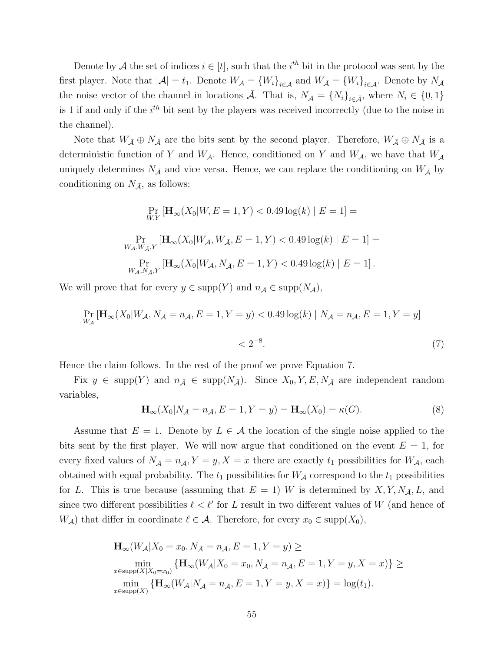Denote by A the set of indices  $i \in [t]$ , such that the  $i^{th}$  bit in the protocol was sent by the first player. Note that  $|\mathcal{A}| = t_1$ . Denote  $W_{\mathcal{A}} = \{W_i\}_{i \in \mathcal{A}}$  and  $W_{\bar{\mathcal{A}}} = \{W_i\}_{i \in \bar{\mathcal{A}}}$ . Denote by  $N_{\bar{\mathcal{A}}}$ the noise vector of the channel in locations  $\bar{\mathcal{A}}$ . That is,  $N_{\bar{\mathcal{A}}} = \{N_i\}_{i \in \bar{\mathcal{A}}}$ , where  $N_i \in \{0, 1\}$ is 1 if and only if the  $i<sup>th</sup>$  bit sent by the players was received incorrectly (due to the noise in the channel).

Note that  $W_{\bar{A}} \oplus N_{\bar{A}}$  are the bits sent by the second player. Therefore,  $W_{\bar{A}} \oplus N_{\bar{A}}$  is a deterministic function of Y and  $W_{\mathcal{A}}$ . Hence, conditioned on Y and  $W_{\mathcal{A}}$ , we have that  $W_{\bar{\mathcal{A}}}$ uniquely determines  $N_{\bar{A}}$  and vice versa. Hence, we can replace the conditioning on  $W_{\bar{A}}$  by conditioning on  $N_{\bar{A}}$ , as follows:

$$
\Pr_{W,Y} \left[ \mathbf{H}_{\infty}(X_0 | W, E = 1, Y) < 0.49 \log(k) \mid E = 1 \right] =
$$
\n
$$
\Pr_{W_{\mathcal{A}}, W_{\mathcal{A}}, Y} \left[ \mathbf{H}_{\infty}(X_0 | W_{\mathcal{A}}, W_{\mathcal{A}}, E = 1, Y) < 0.49 \log(k) \mid E = 1 \right] =
$$
\n
$$
\Pr_{W_{\mathcal{A}}, N_{\mathcal{A}}, Y} \left[ \mathbf{H}_{\infty}(X_0 | W_{\mathcal{A}}, N_{\mathcal{A}}, E = 1, Y) < 0.49 \log(k) \mid E = 1 \right].
$$

We will prove that for every  $y \in \text{supp}(Y)$  and  $n_{\bar{A}} \in \text{supp}(N_{\bar{A}})$ ,

$$
\Pr_{W_{\mathcal{A}}} \left[ \mathbf{H}_{\infty}(X_0 | W_{\mathcal{A}}, N_{\bar{\mathcal{A}}} = n_{\bar{\mathcal{A}}}, E = 1, Y = y) < 0.49 \log(k) \mid N_{\bar{\mathcal{A}}} = n_{\bar{\mathcal{A}}}, E = 1, Y = y \right] < 2^{-8}.
$$
\n<sup>(7)</sup>

Hence the claim follows. In the rest of the proof we prove Equation 7.

Fix  $y \in \text{supp}(Y)$  and  $n_{\bar{A}} \in \text{supp}(N_{\bar{A}})$ . Since  $X_0, Y, E, N_{\bar{A}}$  are independent random variables,

$$
\mathbf{H}_{\infty}(X_0|N_{\bar{\mathcal{A}}}=n_{\bar{\mathcal{A}}}, E=1, Y=y) = \mathbf{H}_{\infty}(X_0) = \kappa(G). \tag{8}
$$

Assume that  $E = 1$ . Denote by  $L \in \mathcal{A}$  the location of the single noise applied to the bits sent by the first player. We will now argue that conditioned on the event  $E = 1$ , for every fixed values of  $N_{\bar{A}} = n_{\bar{A}}, Y = y, X = x$  there are exactly  $t_1$  possibilities for  $W_{\mathcal{A}}$ , each obtained with equal probability. The  $t_1$  possibilities for  $W_{\mathcal{A}}$  correspond to the  $t_1$  possibilities for L. This is true because (assuming that  $E = 1$ ) W is determined by  $X, Y, N_{\bar{A}}, L$ , and since two different possibilities  $\ell < \ell'$  for L result in two different values of W (and hence of  $W_{\mathcal{A}}$ ) that differ in coordinate  $\ell \in \mathcal{A}$ . Therefore, for every  $x_0 \in \text{supp}(X_0)$ ,

$$
\mathbf{H}_{\infty}(W_{\mathcal{A}}|X_0 = x_0, N_{\bar{\mathcal{A}}} = n_{\bar{\mathcal{A}}}, E = 1, Y = y) \ge
$$
  
\n
$$
\min_{x \in \text{supp}(X|X_0 = x_0)} \{ \mathbf{H}_{\infty}(W_{\mathcal{A}}|X_0 = x_0, N_{\bar{\mathcal{A}}} = n_{\bar{\mathcal{A}}}, E = 1, Y = y, X = x) \} \ge
$$
  
\n
$$
\min_{x \in \text{supp}(X)} \{ \mathbf{H}_{\infty}(W_{\mathcal{A}}|N_{\bar{\mathcal{A}}} = n_{\bar{\mathcal{A}}}, E = 1, Y = y, X = x) \} = \log(t_1).
$$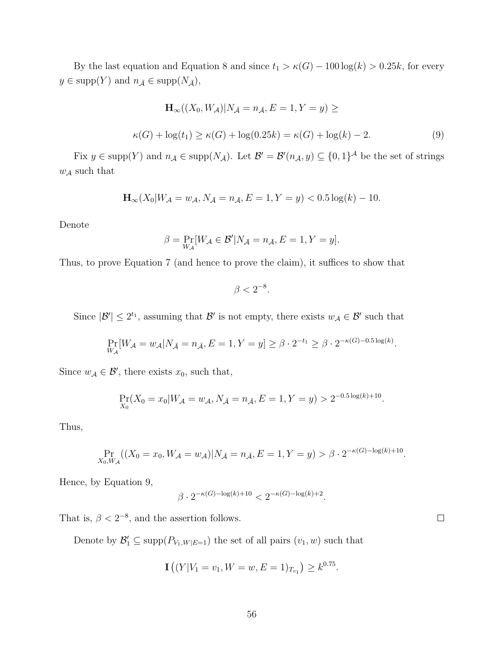By the last equation and Equation 8 and since  $t_1 > \kappa(G) - 100 \log(k) > 0.25k$ , for every  $y \in \text{supp}(Y)$  and  $n_{\bar{A}} \in \text{supp}(N_{\bar{A}})$ ,

$$
\mathbf{H}_{\infty}((X_0, W_{\mathcal{A}})|N_{\bar{\mathcal{A}}} = n_{\bar{\mathcal{A}}}, E = 1, Y = y) \ge
$$
  

$$
\kappa(G) + \log(t_1) \ge \kappa(G) + \log(0.25k) = \kappa(G) + \log(k) - 2.
$$
 (9)

Fix  $y \in \text{supp}(Y)$  and  $n_{\bar{\mathcal{A}}} \in \text{supp}(N_{\bar{\mathcal{A}}})$ . Let  $\mathcal{B}' = \mathcal{B}'(n_{\bar{\mathcal{A}}}, y) \subseteq \{0, 1\}^{\mathcal{A}}$  be the set of strings  $w_{\mathcal{A}}$  such that

$$
\mathbf{H}_{\infty}(X_0|W_{\mathcal{A}} = w_{\mathcal{A}}, N_{\bar{\mathcal{A}}} = n_{\bar{\mathcal{A}}}, E = 1, Y = y) < 0.5 \log(k) - 10.
$$

Denote

$$
\beta = \Pr_{W_{\mathcal{A}}}[W_{\mathcal{A}} \in \mathcal{B}' | N_{\bar{\mathcal{A}}} = n_{\bar{\mathcal{A}}}, E = 1, Y = y].
$$

Thus, to prove Equation 7 (and hence to prove the claim), it suffices to show that

 $\beta < 2^{-8}$ .

Since  $|\mathcal{B}'| \leq 2^{t_1}$ , assuming that  $\mathcal{B}'$  is not empty, there exists  $w_{\mathcal{A}} \in \mathcal{B}'$  such that

$$
\Pr_{W_{\mathcal{A}}} [W_{\mathcal{A}} = w_{\mathcal{A}} | N_{\bar{\mathcal{A}}} = n_{\bar{\mathcal{A}}}, E = 1, Y = y] \ge \beta \cdot 2^{-t_1} \ge \beta \cdot 2^{-\kappa(G) - 0.5 \log(k)}.
$$

Since  $w_{\mathcal{A}} \in \mathcal{B}'$ , there exists  $x_0$ , such that,

$$
\Pr_{X_0}(X_0 = x_0 | W_{\mathcal{A}} = w_{\mathcal{A}}, N_{\bar{\mathcal{A}}} = n_{\bar{\mathcal{A}}}, E = 1, Y = y) > 2^{-0.5 \log(k) + 10}.
$$

Thus,

$$
\Pr_{X_0, W_{\mathcal{A}}}((X_0 = x_0, W_{\mathcal{A}} = w_{\mathcal{A}})|N_{\bar{\mathcal{A}}} = n_{\bar{\mathcal{A}}}, E = 1, Y = y) > \beta \cdot 2^{-\kappa(G) - \log(k) + 10}.
$$

Hence, by Equation 9,

$$
\beta \cdot 2^{-\kappa(G) - \log(k) + 10} < 2^{-\kappa(G) - \log(k) + 2}.
$$

That is,  $\beta < 2^{-8}$ , and the assertion follows.

Denote by  $\mathcal{B}'_1 \subseteq \text{supp}(P_{V_1,W|E=1})$  the set of all pairs  $(v_1, w)$  such that

$$
\mathbf{I}\left((Y|V_1=v_1, W=w, E=1)_{T_{v_1}}\right) \ge k^{0.75}.
$$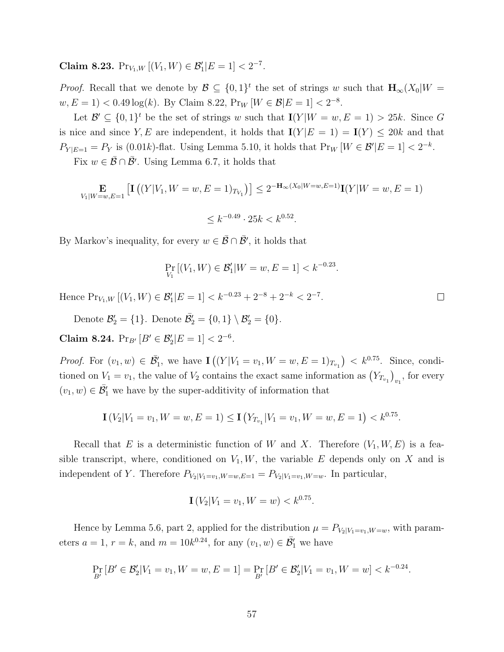Claim 8.23.  $Pr_{V_1,W} [(V_1,W) \in \mathcal{B}'_1 | E = 1] < 2^{-7}$ .

*Proof.* Recall that we denote by  $\mathcal{B} \subseteq \{0,1\}^t$  the set of strings w such that  $\mathbf{H}_{\infty}(X_0|W)$  $w, E = 1$  < 0.49 log(k). By Claim 8.22,  $Pr_W[W \in \mathcal{B}|E = 1] < 2^{-8}$ .

Let  $\mathcal{B}' \subseteq \{0,1\}^t$  be the set of strings w such that  $I(Y|W = w, E = 1) > 25k$ . Since G is nice and since Y, E are independent, it holds that  $I(Y|E = 1) = I(Y) \le 20k$  and that  $P_{Y|E=1} = P_Y$  is (0.01k)-flat. Using Lemma 5.10, it holds that  $Pr_W[W \in \mathcal{B}'|E=1] < 2^{-k}$ .

Fix  $w \in \overline{\mathcal{B}} \cap \overline{\mathcal{B}}'$ . Using Lemma 6.7, it holds that

$$
\mathop{\mathbf{E}}_{V_1|W=w,E=1} \left[ \mathbf{I} \left( (Y|V_1, W=w, E=1)_{T_{V_1}} \right) \right] \le 2^{-\mathbf{H}_{\infty}(X_0|W=w, E=1)} \mathbf{I}(Y|W=w, E=1)
$$

$$
\leq k^{-0.49} \cdot 25k < k^{0.52}.
$$

By Markov's inequality, for every  $w \in \overline{\mathcal{B}} \cap \overline{\mathcal{B}}'$ , it holds that

$$
\Pr_{V_1} [(V_1, W) \in \mathcal{B}'_1 | W = w, E = 1] < k^{-0.23}.
$$

Hence  $Pr_{V_1,W} [(V_1,W) \in \mathcal{B}'_1 | E = 1] < k^{-0.23} + 2^{-8} + 2^{-k} < 2^{-7}.$ 

Denote  $\mathcal{B}'_2 = \{1\}$ . Denote  $\overline{\mathcal{B}}'_2 = \{0, 1\} \setminus \mathcal{B}'_2 = \{0\}$ .

Claim 8.24.  $Pr_{B'} [B' \in \mathcal{B}'_2 | E = 1] < 2^{-6}$ .

*Proof.* For  $(v_1, w) \in \overline{\mathcal{B}}'_1$ , we have  $\mathbf{I}((Y|V_1 = v_1, W = w, E = 1)_{T_{v_1}}) < k^{0.75}$ . Since, conditioned on  $V_1 = v_1$ , the value of  $V_2$  contains the exact same information as  $(Y_{T_{v_1}})_{v_1}$ , for every  $(v_1, w) \in \overline{\mathcal{B}}'_1$  we have by the super-additivity of information that

$$
\mathbf{I}\left(V_2|V_1=v_1,W=w,E=1\right)\leq \mathbf{I}\left(Y_{T_{v_1}}|V_1=v_1,W=w,E=1\right)
$$

Recall that E is a deterministic function of W and X. Therefore  $(V_1, W, E)$  is a feasible transcript, where, conditioned on  $V_1, W$ , the variable E depends only on X and is independent of Y. Therefore  $P_{V_2|V_1=v_1,W=w,E=1} = P_{V_2|V_1=v_1,W=w}$ . In particular,

$$
\mathbf{I}\left(V_2|V_1=v_1,W=w\right)
$$

Hence by Lemma 5.6, part 2, applied for the distribution  $\mu = P_{V_2|V_1=v_1,W=w}$ , with parameters  $a = 1$ ,  $r = k$ , and  $m = 10k^{0.24}$ , for any  $(v_1, w) \in \overline{\mathcal{B}}'_1$  we have

$$
\Pr_{B'}\left[B' \in \mathcal{B}'_2 | V_1 = v_1, W = w, E = 1\right] = \Pr_{B'}\left[B' \in \mathcal{B}'_2 | V_1 = v_1, W = w\right] < k^{-0.24}.
$$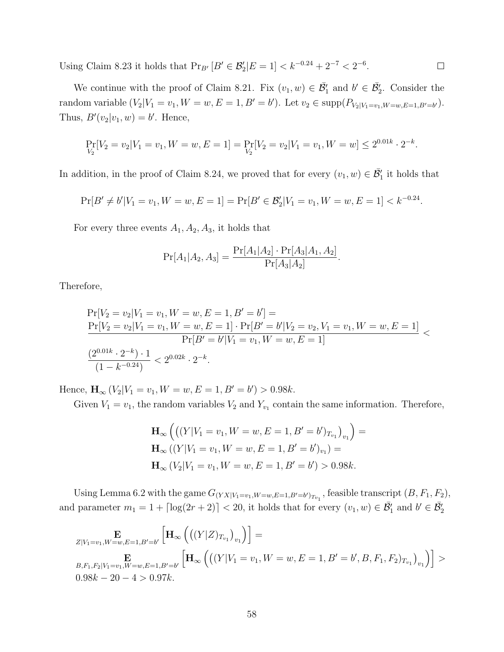Using Claim 8.23 it holds that  $Pr_{B'} [B' \in \mathcal{B}'_2 | E = 1] < k^{-0.24} + 2^{-7} < 2^{-6}$ .  $\Box$ 

We continue with the proof of Claim 8.21. Fix  $(v_1, w) \in \overline{\mathcal{B}}'_1$  and  $b' \in \overline{\mathcal{B}}'_2$ . Consider the random variable  $(V_2|V_1 = v_1, W = w, E = 1, B' = b')$ . Let  $v_2 \in \text{supp}(P_{V_2|V_1=v_1, W=w, E=1, B'=b'})$ . Thus,  $B'(v_2|v_1,w) = b'$ . Hence,

$$
\Pr_{V_2}[V_2 = v_2 | V_1 = v_1, W = w, E = 1] = \Pr_{V_2}[V_2 = v_2 | V_1 = v_1, W = w] \le 2^{0.01k} \cdot 2^{-k}.
$$

In addition, in the proof of Claim 8.24, we proved that for every  $(v_1, w) \in \overline{\mathcal{B}}'_1$  it holds that

$$
\Pr[B' \neq b'|V_1 = v_1, W = w, E = 1] = \Pr[B' \in \mathcal{B}'_2 | V_1 = v_1, W = w, E = 1] < k^{-0.24}.
$$

For every three events  $A_1, A_2, A_3$ , it holds that

$$
Pr[A_1|A_2, A_3] = \frac{Pr[A_1|A_2] \cdot Pr[A_3|A_1, A_2]}{Pr[A_3|A_2]}.
$$

Therefore,

$$
\Pr[V_2 = v_2 | V_1 = v_1, W = w, E = 1, B' = b'] =
$$
\n
$$
\frac{\Pr[V_2 = v_2 | V_1 = v_1, W = w, E = 1] \cdot \Pr[B' = b' | V_2 = v_2, V_1 = v_1, W = w, E = 1]}{\Pr[B' = b' | V_1 = v_1, W = w, E = 1]} \n\frac{(2^{0.01k} \cdot 2^{-k}) \cdot 1}{(1 - k^{-0.24})} < 2^{0.02k} \cdot 2^{-k}.
$$

Hence,  $\mathbf{H}_{\infty} (V_2 | V_1 = v_1, W = w, E = 1, B' = b') > 0.98k.$ 

Given  $V_1 = v_1$ , the random variables  $V_2$  and  $Y_{v_1}$  contain the same information. Therefore,

$$
\mathbf{H}_{\infty} \left( \left( (Y|V_1 = v_1, W = w, E = 1, B' = b')_{T_{v_1}} \right)_{v_1} \right) = \mathbf{H}_{\infty} \left( (Y|V_1 = v_1, W = w, E = 1, B' = b')_{v_1} \right) = \mathbf{H}_{\infty} \left( V_2|V_1 = v_1, W = w, E = 1, B' = b' \right) > 0.98k.
$$

Using Lemma 6.2 with the game  $G_{(YX|V_1=v_1,W=w,E=1,B'=b')_{T_{v_1}}}$ , feasible transcript  $(B, F_1, F_2)$ , and parameter  $m_1 = 1 + \lceil \log(2r + 2) \rceil < 20$ , it holds that for every  $(v_1, w) \in \overline{\mathcal{B}}_1$  and  $b' \in \overline{\mathcal{B}}_2$ 

$$
\mathbf{E}_{Z|V_1=v_1,W=w,E=1,B'=b'}\left[\mathbf{H}_{\infty}\left(\left((Y|Z)_{T_{v_1}}\right)_{v_1}\right)\right]=\mathbf{E}_{B,F_1,F_2|V_1=v_1,W=w,E=1,B'=b'}\left[\mathbf{H}_{\infty}\left(\left((Y|V_1=v_1,W=w,E=1,B'=b',B,F_1,F_2)_{T_{v_1}}\right)_{v_1}\right)\right] >\\ 0.98k-20-4 > 0.97k.
$$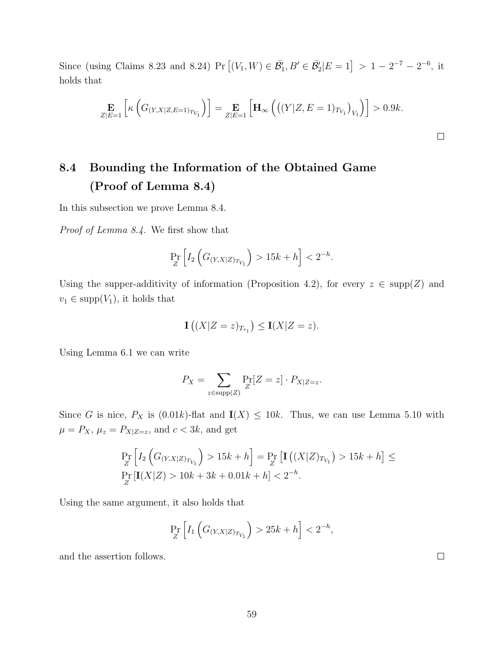Since (using Claims 8.23 and 8.24) Pr  $[(V_1, W) \in \mathcal{B}'_1, B' \in \mathcal{B}'_2 | E = 1] > 1 - 2^{-7} - 2^{-6}$ , it holds that

$$
\mathop{\mathbf{E}}_{Z|E=1} \left[ \kappa \left( G_{(Y,X|Z,E=1)_{T_{V_1}}} \right) \right] = \mathop{\mathbf{E}}_{Z|E=1} \left[ \mathbf{H}_{\infty} \left( \left( (Y|Z,E=1)_{T_{V_1}} \right)_{V_1} \right) \right] > 0.9k.
$$

# 8.4 Bounding the Information of the Obtained Game (Proof of Lemma 8.4)

In this subsection we prove Lemma 8.4.

Proof of Lemma 8.4. We first show that

$$
\Pr_Z \left[ I_2 \left( G_{(Y,X|Z)_{T_{V_1}}} \right) > 15k + h \right] < 2^{-h}.
$$

Using the supper-additivity of information (Proposition 4.2), for every  $z \in \text{supp}(Z)$  and  $v_1 \in \text{supp}(V_1)$ , it holds that

$$
\mathbf{I}\left((X|Z=z)_{T_{v_1}}\right)\leq \mathbf{I}(X|Z=z).
$$

Using Lemma 6.1 we can write

$$
P_X = \sum_{z \in \text{supp}(Z)} \Pr_Z[Z = z] \cdot P_{X|Z=z}.
$$

Since G is nice,  $P_X$  is (0.01k)-flat and  $I(X) \le 10k$ . Thus, we can use Lemma 5.10 with  $\mu = P_X$ ,  $\mu_z = P_{X|Z=z}$ , and  $c < 3k$ , and get

$$
\Pr_Z \left[ I_2 \left( G_{(Y,X|Z)_{T_{V_1}}} \right) > 15k + h \right] = \Pr_Z \left[ \mathbf{I} \left( (X|Z)_{T_{V_1}} \right) > 15k + h \right] \le
$$
\n
$$
\Pr_Z \left[ \mathbf{I}(X|Z) > 10k + 3k + 0.01k + h \right] < 2^{-h}.
$$

Using the same argument, it also holds that

$$
\Pr_Z \left[ I_1 \left( G_{(Y,X|Z)_{T_{V_1}}} \right) > 25k + h \right] < 2^{-h},
$$

and the assertion follows.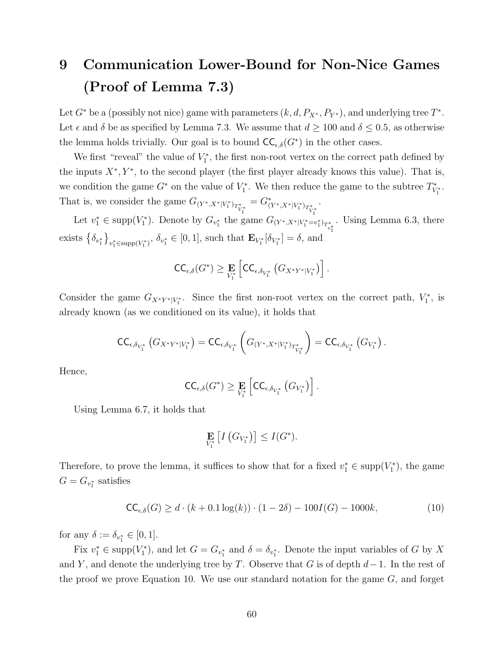# 9 Communication Lower-Bound for Non-Nice Games (Proof of Lemma 7.3)

Let  $G^*$  be a (possibly not nice) game with parameters  $(k, d, P_{X^*}, P_{Y^*})$ , and underlying tree  $T^*$ . Let  $\epsilon$  and  $\delta$  be as specified by Lemma 7.3. We assume that  $d \ge 100$  and  $\delta \le 0.5$ , as otherwise the lemma holds trivially. Our goal is to bound  $\mathsf{CC}_{\epsilon,\delta}(G^*)$  in the other cases.

We first "reveal" the value of  $V_1^*$ , the first non-root vertex on the correct path defined by the inputs  $X^*, Y^*$ , to the second player (the first player already knows this value). That is, we condition the game  $G^*$  on the value of  $V_1^*$ . We then reduce the game to the subtree  $T^*_{V_1^*}$ . That is, we consider the game  $G_{(Y^*,X^*|V_1^*)_{T^*_{V_1^*}}}\,$  $=G^*_{(Y^*,X^*|V_1^*)_{T^*_{V_1^*}}}$ .

Let  $v_1^* \in \text{supp}(V_1^*)$ . Denote by  $G_{v_1^*}$  the game  $G_{(Y^*, X^* | V_1^* = v_1^*)_{T_{v_1^*}^*}}$ . Using Lemma 6.3, there exists  $\{\delta_{v_1^*}\}_{v_1^* \in \text{supp}(V_1^*)}$ ,  $\delta_{v_1^*} \in [0, 1]$ , such that  $\mathbf{E}_{V_1^*}[\delta_{V_1^*}] = \delta$ , and

$$
\mathsf{CC}_{\epsilon,\delta}(G^*) \geq \mathop{\mathbf{E}}_{V_1^*} \left[ \mathsf{CC}_{\epsilon,\delta_{V_1^*}}\left( G_{X^*Y^*|V_1^*} \right) \right].
$$

Consider the game  $G_{X^*Y^*|V_1^*}$ . Since the first non-root vertex on the correct path,  $V_1^*$ , is already known (as we conditioned on its value), it holds that

$$
\mathsf{CC}_{\epsilon, \delta_{V_1^*}}\left(G_{X^*Y^*|V_1^*}\right) = \mathsf{CC}_{\epsilon, \delta_{V_1^*}}\left(G_{(Y^*, X^*|V_1^*)_{T^*_{V_1^*}}}\right) = \mathsf{CC}_{\epsilon, \delta_{V_1^*}}\left(G_{V_1^*}\right).
$$

Hence,

$$
\mathsf{CC}_{\epsilon,\delta}(G^*) \geq \mathop{\mathbf{E}}_{V_1^*} \left[ \mathsf{CC}_{\epsilon,\delta_{V_1^*}}(G_{V_1^*}) \right].
$$

Using Lemma 6.7, it holds that

$$
\mathop{\mathbf{E}}_{V_1^*} \left[ I\left( G_{V_1^*} \right) \right] \leq I(G^*).
$$

Therefore, to prove the lemma, it suffices to show that for a fixed  $v_1^* \in \text{supp}(V_1^*)$ , the game  $G = G_{v_1^*}$  satisfies

$$
\mathsf{CC}_{\epsilon,\delta}(G) \ge d \cdot (k + 0.1 \log(k)) \cdot (1 - 2\delta) - 100I(G) - 1000k,\tag{10}
$$

for any  $\delta := \delta_{v_1^*} \in [0, 1].$ 

Fix  $v_1^* \in \text{supp}(V_1^*)$ , and let  $G = G_{v_1^*}$  and  $\delta = \delta_{v_1^*}$ . Denote the input variables of G by X and Y, and denote the underlying tree by T. Observe that G is of depth  $d-1$ . In the rest of the proof we prove Equation 10. We use our standard notation for the game  $G$ , and forget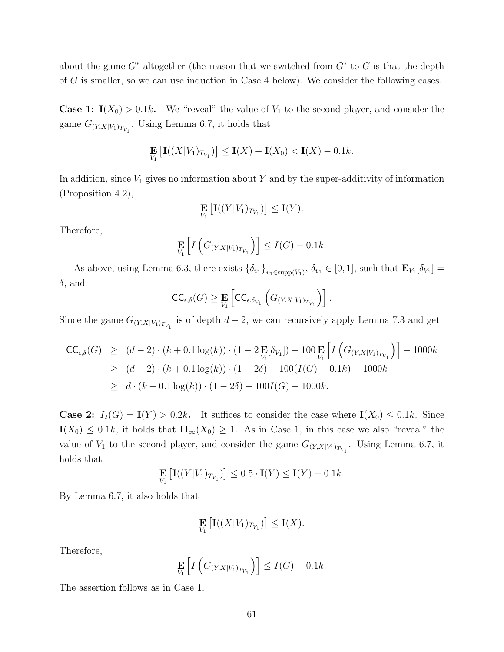about the game  $G^*$  altogether (the reason that we switched from  $G^*$  to G is that the depth of G is smaller, so we can use induction in Case 4 below). We consider the following cases.

**Case 1:**  $I(X_0) > 0.1k$ . We "reveal" the value of  $V_1$  to the second player, and consider the game  $G_{(Y,X|V_1)_{T_{V_1}}}$ . Using Lemma 6.7, it holds that

$$
\mathop{\mathbf{E}}_{V_1}\left[\mathbf{I}((X|V_1)_{T_{V_1}})\right] \le \mathbf{I}(X) - \mathbf{I}(X_0) < \mathbf{I}(X) - 0.1k.
$$

In addition, since  $V_1$  gives no information about Y and by the super-additivity of information (Proposition 4.2),

$$
\mathop{\mathbf{E}}_{V_1}\big[\mathbf{I}((Y|V_1)_{T_{V_1}})\big] \leq \mathbf{I}(Y).
$$

Therefore,

$$
\mathop{\mathbf{E}}_{V_1}\left[I\left(G_{(Y,X|V_1)_{T_{V_1}}}\right)\right] \leq I(G) - 0.1k.
$$

As above, using Lemma 6.3, there exists  $\{\delta_{v_1}\}_{v_1 \in \text{supp}(V_1)}$ ,  $\delta_{v_1} \in [0,1]$ , such that  $\mathbf{E}_{V_1}[\delta_{V_1}] =$  $\delta$ , and

$$
\mathsf{CC}_{\epsilon,\delta}(G) \geq \mathop{\mathbf{E}}_{V_1} \left[ \mathsf{CC}_{\epsilon,\delta_{V_1}} \left( G_{(Y,X|V_1)_{T_{V_1}}} \right) \right].
$$

Since the game  $G_{(Y,X|V_1)_{T_{V_1}}}$  is of depth  $d-2$ , we can recursively apply Lemma 7.3 and get

$$
\begin{aligned}\n\mathsf{CC}_{\epsilon,\delta}(G) &\geq (d-2) \cdot (k+0.1 \log(k)) \cdot (1-2 \mathop{\mathbf{E}}_{V_1}[\delta_{V_1}]) - 100 \mathop{\mathbf{E}}_{V_1} \left[ I \left( G_{(Y,X|V_1)_{T_{V_1}}} \right) \right] - 1000k \\
&\geq (d-2) \cdot (k+0.1 \log(k)) \cdot (1-2\delta) - 100(I(G) - 0.1k) - 1000k \\
&\geq d \cdot (k+0.1 \log(k)) \cdot (1-2\delta) - 100I(G) - 1000k.\n\end{aligned}
$$

**Case 2:**  $I_2(G) = I(Y) > 0.2k$ . It suffices to consider the case where  $I(X_0) \leq 0.1k$ . Since  $I(X_0) \leq 0.1k$ , it holds that  $H_\infty(X_0) \geq 1$ . As in Case 1, in this case we also "reveal" the value of  $V_1$  to the second player, and consider the game  $G_{(Y,X|V_1)_{T_{V_1}}}$ . Using Lemma 6.7, it holds that

$$
\mathop{\mathbf{E}}_{V_1}\left[\mathbf{I}((Y|V_1)_{T_{V_1}})\right] \leq 0.5 \cdot \mathbf{I}(Y) \leq \mathbf{I}(Y) - 0.1k.
$$

By Lemma 6.7, it also holds that

$$
\mathop{\mathbf{E}}_{V_1}\big[\mathbf{I}((X|V_1)_{T_{V_1}})\big] \leq \mathbf{I}(X).
$$

Therefore,

$$
\mathop{\mathbf{E}}_{V_1}\left[I\left(G_{(Y,X|V_1)_{T_{V_1}}}\right)\right] \leq I(G) - 0.1k.
$$

The assertion follows as in Case 1.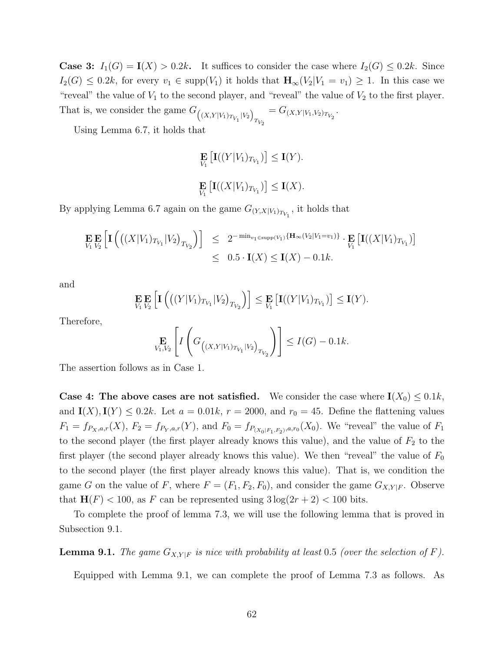**Case 3:**  $I_1(G) = I(X) > 0.2k$ . It suffices to consider the case where  $I_2(G) \leq 0.2k$ . Since  $I_2(G) \leq 0.2k$ , for every  $v_1 \in \text{supp}(V_1)$  it holds that  $H_\infty(V_2|V_1 = v_1) \geq 1$ . In this case we "reveal" the value of  $V_1$  to the second player, and "reveal" the value of  $V_2$  to the first player. That is, we consider the game  $G_{( (X,Y|V_1)_{T_{V_1}} | V_2)}$  $= G_{(X,Y|V_1,V_2)_{T_{V_2}}}$ .

Using Lemma 6.7, it holds that

$$
\mathop{\mathbf{E}}_{V_1} \left[ \mathbf{I}((Y|V_1)_{T_{V_1}}) \right] \le \mathbf{I}(Y).
$$
  

$$
\mathop{\mathbf{E}}_{V_1} \left[ \mathbf{I}((X|V_1)_{T_{V_1}}) \right] \le \mathbf{I}(X).
$$

By applying Lemma 6.7 again on the game  $G_{(Y,X|V_1)_{T_{V_1}}}$ , it holds that

$$
\mathbf{E}_{V_1} \mathbf{E}_{V_2} \left[ \mathbf{I} \left( \left( (X|V_1)_{T_{V_1}} |V_2 \right)_{T_{V_2}} \right) \right] \leq 2^{-\min_{v_1 \in \text{supp}(V_1)} \{ \mathbf{H}_{\infty}(V_2 | V_1 = v_1) \}} \cdot \mathbf{E}_{V_1} \left[ \mathbf{I} \left( (X|V_1)_{T_{V_1}} \right) \right] \leq 0.5 \cdot \mathbf{I}(X) \leq \mathbf{I}(X) - 0.1k.
$$

and

$$
\underset{V_1}{\mathbf{E}} \underset{V_2}{\mathbf{E}} \left[ \mathbf{I} \left( \left( (Y|V_1)_{T_{V_1}} | V_2 \right)_{T_{V_2}} \right) \right] \leq \underset{V_1}{\mathbf{E}} \left[ \mathbf{I} \left( (Y|V_1)_{T_{V_1}} \right) \right] \leq \mathbf{I}(Y).
$$

Therefore,

$$
\mathop{\mathbf{E}}_{V_1, V_2} \left[ I \left( G_{( (X, Y | V_1)_{T_{V_1}} | V_2)_{T_{V_2}}} \right) \right] \le I(G) - 0.1k.
$$

The assertion follows as in Case 1.

**Case 4: The above cases are not satisfied.** We consider the case where  $I(X_0) \leq 0.1k$ , and  $I(X), I(Y) \le 0.2k$ . Let  $a = 0.01k$ ,  $r = 2000$ , and  $r_0 = 45$ . Define the flattening values  $F_1 = f_{P_X,a,r}(X)$ ,  $F_2 = f_{P_Y,a,r}(Y)$ , and  $F_0 = f_{P_{(X_0|F_1,F_2)},a,r_0}(X_0)$ . We "reveal" the value of  $F_1$ to the second player (the first player already knows this value), and the value of  $F_2$  to the first player (the second player already knows this value). We then "reveal" the value of  $F_0$ to the second player (the first player already knows this value). That is, we condition the game G on the value of F, where  $F = (F_1, F_2, F_0)$ , and consider the game  $G_{X,Y|F}$ . Observe that  $H(F) < 100$ , as F can be represented using  $3 \log(2r + 2) < 100$  bits.

To complete the proof of lemma 7.3, we will use the following lemma that is proved in Subsection 9.1.

**Lemma 9.1.** The game  $G_{X,Y|F}$  is nice with probability at least 0.5 (over the selection of F).

Equipped with Lemma 9.1, we can complete the proof of Lemma 7.3 as follows. As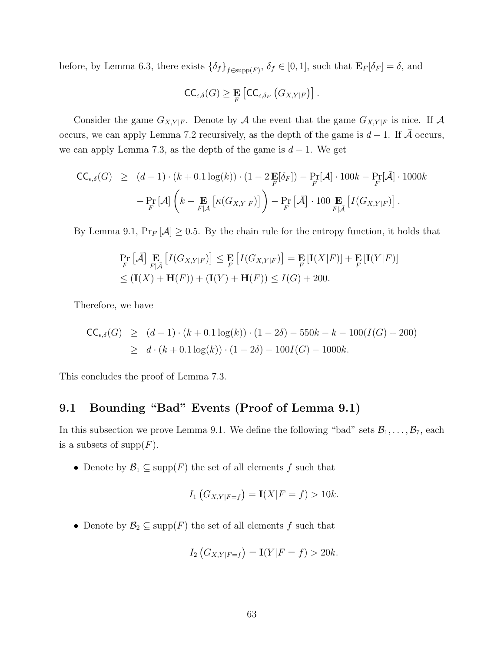before, by Lemma 6.3, there exists  $\{\delta_f\}_{f \in \text{supp}(F)}$ ,  $\delta_f \in [0,1]$ , such that  $\mathbf{E}_F[\delta_F] = \delta$ , and

$$
\mathsf{CC}_{\epsilon,\delta}(G) \geq \mathop{\mathbf{E}}_{F}\left[\mathsf{CC}_{\epsilon,\delta_F}\left(G_{X,Y|F}\right)\right].
$$

Consider the game  $G_{X,Y|F}$ . Denote by A the event that the game  $G_{X,Y|F}$  is nice. If A occurs, we can apply Lemma 7.2 recursively, as the depth of the game is  $d-1$ . If A occurs, we can apply Lemma 7.3, as the depth of the game is  $d-1$ . We get

$$
\begin{split} \mathsf{CC}_{\epsilon,\delta}(G) &\geq (d-1) \cdot (k+0.1 \log(k)) \cdot (1-2 \mathop{\mathbf{E}}_{F}[\delta_{F}]) - \Pr_{F}[\mathcal{A}] \cdot 100k - \Pr_{F}[\bar{\mathcal{A}}] \cdot 1000k \\ &- \Pr_{F}[\mathcal{A}] \left( k - \mathop{\mathbf{E}}_{F[\mathcal{A}} \left[ \kappa(G_{X,Y|F}) \right] \right) - \Pr_{F}[\bar{\mathcal{A}}] \cdot 100 \mathop{\mathbf{E}}_{F|\bar{\mathcal{A}}} \left[ I(G_{X,Y|F}) \right]. \end{split}
$$

By Lemma 9.1,  $Pr_F[\mathcal{A}] \geq 0.5$ . By the chain rule for the entropy function, it holds that

$$
\Pr_{F} \left[ \bar{\mathcal{A}} \right] \Pr_{F | \bar{\mathcal{A}}} \left[ I(G_{X, Y | F}) \right] \leq \Pr_{F} \left[ I(G_{X, Y | F}) \right] = \Pr_{F} \left[ I(X | F) \right] + \Pr_{F} \left[ I(Y | F) \right] \leq \left( \mathbf{I}(X) + \mathbf{H}(F) \right) + \left( \mathbf{I}(Y) + \mathbf{H}(F) \right) \leq I(G) + 200.
$$

Therefore, we have

$$
\begin{aligned} \mathsf{CC}_{\epsilon,\delta}(G) &\geq (d-1) \cdot (k+0.1 \log(k)) \cdot (1-2\delta) - 550k - k - 100(I(G) + 200) \\ &\geq d \cdot (k+0.1 \log(k)) \cdot (1-2\delta) - 100I(G) - 1000k. \end{aligned}
$$

This concludes the proof of Lemma 7.3.

## 9.1 Bounding "Bad" Events (Proof of Lemma 9.1)

In this subsection we prove Lemma 9.1. We define the following "bad" sets  $\mathcal{B}_1, \ldots, \mathcal{B}_7$ , each is a subsets of  $\text{supp}(F)$ .

• Denote by  $\mathcal{B}_1 \subseteq \text{supp}(F)$  the set of all elements f such that

$$
I_1(G_{X,Y|F=f}) = \mathbf{I}(X|F=f) > 10k.
$$

• Denote by  $\mathcal{B}_2 \subseteq \text{supp}(F)$  the set of all elements f such that

$$
I_2(G_{X,Y|F=f}) = \mathbf{I}(Y|F = f) > 20k.
$$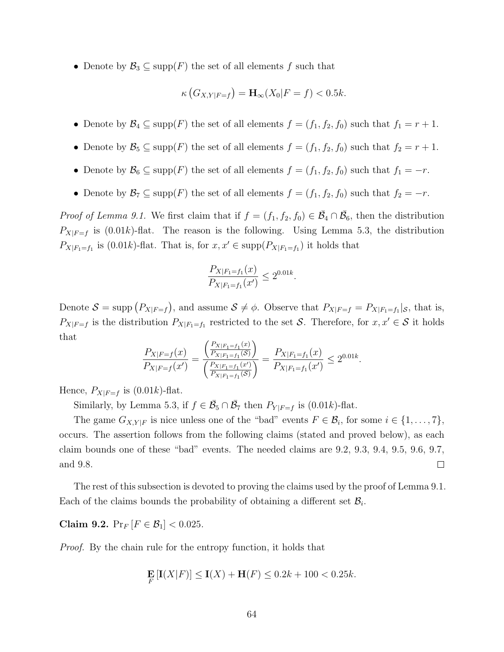• Denote by  $\mathcal{B}_3 \subseteq \text{supp}(F)$  the set of all elements f such that

$$
\kappa\left(G_{X,Y|F=f}\right) = \mathbf{H}_{\infty}(X_0|F=f) < 0.5k.
$$

- Denote by  $\mathcal{B}_4 \subseteq \text{supp}(F)$  the set of all elements  $f = (f_1, f_2, f_0)$  such that  $f_1 = r + 1$ .
- Denote by  $\mathcal{B}_5 \subseteq \text{supp}(F)$  the set of all elements  $f = (f_1, f_2, f_0)$  such that  $f_2 = r + 1$ .
- Denote by  $\mathcal{B}_6 \subseteq \text{supp}(F)$  the set of all elements  $f = (f_1, f_2, f_0)$  such that  $f_1 = -r$ .
- Denote by  $\mathcal{B}_7 \subseteq \text{supp}(F)$  the set of all elements  $f = (f_1, f_2, f_0)$  such that  $f_2 = -r$ .

*Proof of Lemma 9.1.* We first claim that if  $f = (f_1, f_2, f_0) \in \overline{\mathcal{B}}_4 \cap \overline{\mathcal{B}}_6$ , then the distribution  $P_{X|F=f}$  is (0.01k)-flat. The reason is the following. Using Lemma 5.3, the distribution  $P_{X|F_1=f_1}$  is (0.01k)-flat. That is, for  $x, x' \in \text{supp}(P_{X|F_1=f_1})$  it holds that

$$
\frac{P_{X|F_1=f_1}(x)}{P_{X|F_1=f_1}(x')} \le 2^{0.01k}.
$$

Denote  $S = \text{supp} (P_{X|F=f})$ , and assume  $S \neq \phi$ . Observe that  $P_{X|F=f} = P_{X|F=f} |_{S}$ , that is,  $P_{X|F=f}$  is the distribution  $P_{X|F_1=f_1}$  restricted to the set S. Therefore, for  $x, x' \in S$  it holds that  $\overline{D}$ 

$$
\frac{P_{X|F=f}(x)}{P_{X|F=f}(x')} = \frac{\left(\frac{P_{X|F_1=f_1}(x)}{P_{X|F_1=f_1}(S)}\right)}{\left(\frac{P_{X|F_1=f_1}(x')}{P_{X|F_1=f_1}(S)}\right)} = \frac{P_{X|F_1=f_1}(x)}{P_{X|F_1=f_1}(x')} \le 2^{0.01k}.
$$

Hence,  $P_{X|F=f}$  is  $(0.01k)$ -flat.

Similarly, by Lemma 5.3, if  $f \in \overline{\mathcal{B}}_5 \cap \overline{\mathcal{B}}_7$  then  $P_{Y|F=f}$  is (0.01k)-flat.

The game  $G_{X,Y|F}$  is nice unless one of the "bad" events  $F \in \mathcal{B}_i$ , for some  $i \in \{1, \ldots, 7\}$ , occurs. The assertion follows from the following claims (stated and proved below), as each claim bounds one of these "bad" events. The needed claims are 9.2, 9.3, 9.4, 9.5, 9.6, 9.7, and 9.8.  $\Box$ 

The rest of this subsection is devoted to proving the claims used by the proof of Lemma 9.1. Each of the claims bounds the probability of obtaining a different set  $\mathcal{B}_i$ .

Claim 9.2.  $Pr_F [F \in \mathcal{B}_1] < 0.025$ .

Proof. By the chain rule for the entropy function, it holds that

$$
\mathbf{E}_{F} \left[ \mathbf{I}(X|F) \right] \le \mathbf{I}(X) + \mathbf{H}(F) \le 0.2k + 100 < 0.25k.
$$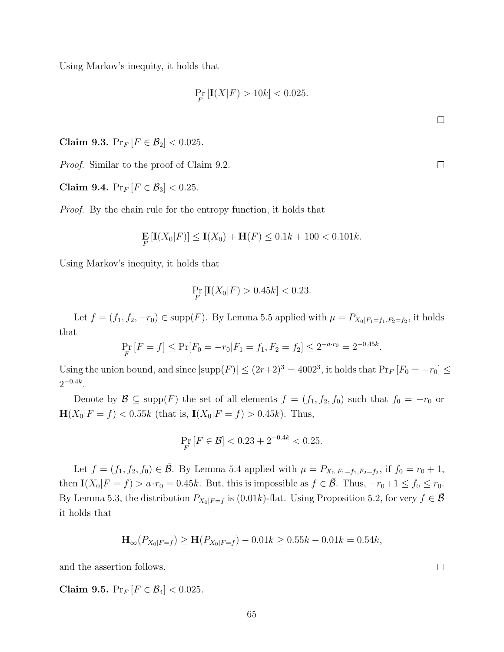Using Markov's inequity, it holds that

$$
\Pr_{F} \left[ \mathbf{I}(X|F) > 10k \right] < 0.025.
$$

Claim 9.3.  $Pr_F [F \in \mathcal{B}_2] < 0.025$ .

Proof. Similar to the proof of Claim 9.2.

Claim 9.4.  $Pr_F [F \in \mathcal{B}_3] < 0.25$ .

Proof. By the chain rule for the entropy function, it holds that

$$
\mathbf{E}_{F} \left[ \mathbf{I}(X_0|F) \right] \le \mathbf{I}(X_0) + \mathbf{H}(F) \le 0.1k + 100 < 0.101k.
$$

Using Markov's inequity, it holds that

$$
\Pr_{F} \left[ \mathbf{I}(X_0 | F) > 0.45k \right] < 0.23.
$$

Let  $f = (f_1, f_2, -r_0) \in \text{supp}(F)$ . By Lemma 5.5 applied with  $\mu = P_{X_0|F_1 = f_1, F_2 = f_2}$ , it holds that

$$
\Pr_{F}[F = f] \le \Pr[F_0 = -r_0 | F_1 = f_1, F_2 = f_2] \le 2^{-a \cdot r_0} = 2^{-0.45k}.
$$

Using the union bound, and since  $|\text{supp}(F)| \le (2r+2)^3 = 4002^3$ , it holds that  $\Pr_F[F_0 = -r_0] \le$  $2^{-0.4k}$ .

Denote by  $\mathcal{B} \subseteq \text{supp}(F)$  the set of all elements  $f = (f_1, f_2, f_0)$  such that  $f_0 = -r_0$  or  $\mathbf{H}(X_0|F = f) < 0.55k$  (that is,  $\mathbf{I}(X_0|F = f) > 0.45k$ ). Thus,

$$
\Pr_{F}[F \in \mathcal{B}] < 0.23 + 2^{-0.4k} < 0.25.
$$

Let  $f = (f_1, f_2, f_0) \in \overline{\mathcal{B}}$ . By Lemma 5.4 applied with  $\mu = P_{X_0|F_1=f_1, F_2=f_2}$ , if  $f_0 = r_0 + 1$ , then  $I(X_0|F = f) > a \cdot r_0 = 0.45k$ . But, this is impossible as  $f \in \overline{\mathcal{B}}$ . Thus,  $-r_0+1 \le f_0 \le r_0$ . By Lemma 5.3, the distribution  $P_{X_0|F=f}$  is (0.01k)-flat. Using Proposition 5.2, for very  $f \in \overline{\mathcal{B}}$ it holds that

$$
\mathbf{H}_{\infty}(P_{X_0|F=f}) \ge \mathbf{H}(P_{X_0|F=f}) - 0.01k \ge 0.55k - 0.01k = 0.54k,
$$

and the assertion follows.

Claim 9.5.  $Pr_F [F \in \mathcal{B}_4] < 0.025$ .

 $\Box$ 

 $\Box$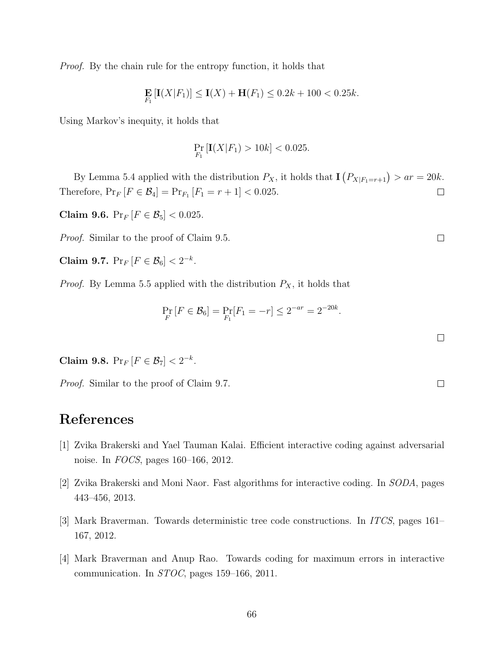Proof. By the chain rule for the entropy function, it holds that

$$
\mathbf{E}_{F_1}[\mathbf{I}(X|F_1)] \le \mathbf{I}(X) + \mathbf{H}(F_1) \le 0.2k + 100 < 0.25k.
$$

Using Markov's inequity, it holds that

$$
\Pr_{F_1} \left[ \mathbf{I}(X|F_1) > 10k \right] < 0.025.
$$

By Lemma 5.4 applied with the distribution  $P_X$ , it holds that  $\mathbf{I}(P_{X|F_1=r+1}) > ar = 20k$ . Therefore,  $Pr_F[F \in \mathcal{B}_4] = Pr_{F_1}[F_1 = r + 1] < 0.025$ .  $\Box$ 

Claim 9.6.  $Pr_F [F \in \mathcal{B}_5] < 0.025$ .

Proof. Similar to the proof of Claim 9.5.

Claim 9.7.  $Pr_F[F \in \mathcal{B}_6] < 2^{-k}$ .

*Proof.* By Lemma 5.5 applied with the distribution  $P_X$ , it holds that

$$
\Pr_{F}[F \in \mathcal{B}_6] = \Pr_{F_1}[F_1 = -r] \le 2^{-ar} = 2^{-20k}.
$$

Claim 9.8.  $Pr_F[F \in \mathcal{B}_7] < 2^{-k}$ .

Proof. Similar to the proof of Claim 9.7.

# References

- [1] Zvika Brakerski and Yael Tauman Kalai. Efficient interactive coding against adversarial noise. In FOCS, pages 160–166, 2012.
- [2] Zvika Brakerski and Moni Naor. Fast algorithms for interactive coding. In SODA, pages 443–456, 2013.
- [3] Mark Braverman. Towards deterministic tree code constructions. In ITCS, pages 161– 167, 2012.
- [4] Mark Braverman and Anup Rao. Towards coding for maximum errors in interactive communication. In STOC, pages 159–166, 2011.

 $\Box$ 

 $\Box$